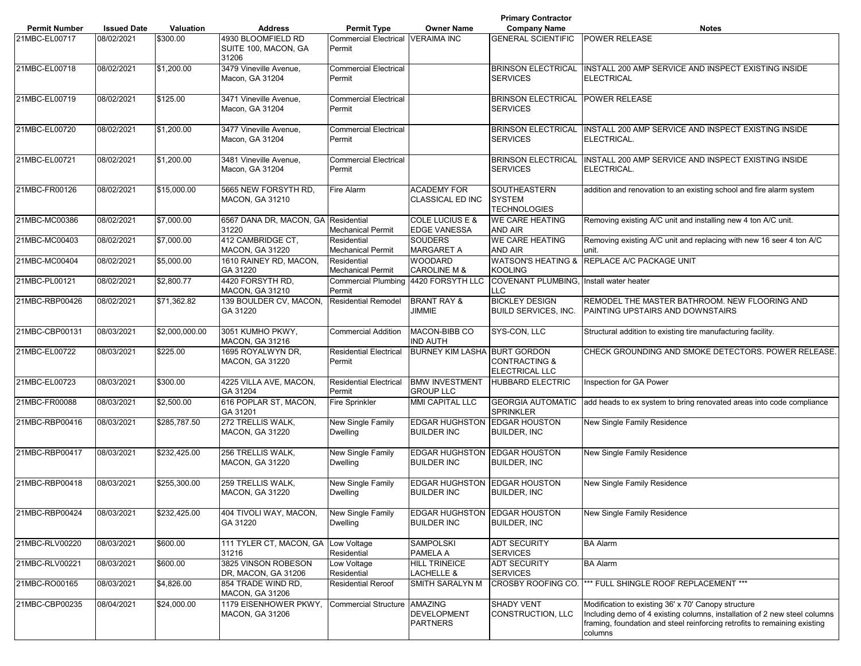|                      |                    |                |                                                     |                                             |                                                           | <b>Primary Contractor</b>                             |                                                                                                                                                                                                                          |
|----------------------|--------------------|----------------|-----------------------------------------------------|---------------------------------------------|-----------------------------------------------------------|-------------------------------------------------------|--------------------------------------------------------------------------------------------------------------------------------------------------------------------------------------------------------------------------|
| <b>Permit Number</b> | <b>Issued Date</b> | Valuation      | <b>Address</b>                                      | <b>Permit Type</b>                          | <b>Owner Name</b>                                         | <b>Company Name</b>                                   | <b>Notes</b>                                                                                                                                                                                                             |
| 21MBC-EL00717        | 08/02/2021         | \$300.00       | 4930 BLOOMFIELD RD<br>SUITE 100, MACON, GA<br>31206 | Commercial Electrical VERAIMA INC<br>Permit |                                                           | <b>GENERAL SCIENTIFIC</b>                             | <b>POWER RELEASE</b>                                                                                                                                                                                                     |
| 21MBC-EL00718        | 08/02/2021         | \$1,200.00     | 3479 Vineville Avenue,<br>Macon, GA 31204           | <b>Commercial Electrical</b><br>Permit      |                                                           | <b>BRINSON ELECTRICAL</b><br><b>SERVICES</b>          | INSTALL 200 AMP SERVICE AND INSPECT EXISTING INSIDE<br><b>ELECTRICAL</b>                                                                                                                                                 |
| 21MBC-EL00719        | 08/02/2021         | \$125.00       | 3471 Vineville Avenue,<br>Macon, GA 31204           | <b>Commercial Electrical</b><br>Permit      |                                                           | BRINSON ELECTRICAL POWER RELEASE<br><b>SERVICES</b>   |                                                                                                                                                                                                                          |
| 21MBC-EL00720        | 08/02/2021         | \$1,200.00     | 3477 Vineville Avenue,<br>Macon, GA 31204           | <b>Commercial Electrical</b><br>Permit      |                                                           | <b>BRINSON ELECTRICAL</b><br><b>SERVICES</b>          | INSTALL 200 AMP SERVICE AND INSPECT EXISTING INSIDE<br>ELECTRICAL.                                                                                                                                                       |
| 21MBC-EL00721        | 08/02/2021         | \$1,200.00     | 3481 Vineville Avenue.<br>Macon, GA 31204           | <b>Commercial Electrical</b><br>Permit      |                                                           | <b>BRINSON ELECTRICAL</b><br><b>SERVICES</b>          | INSTALL 200 AMP SERVICE AND INSPECT EXISTING INSIDE<br>ELECTRICAL.                                                                                                                                                       |
| 21MBC-FR00126        | 08/02/2021         | \$15,000.00    | 5665 NEW FORSYTH RD,<br><b>MACON, GA 31210</b>      | Fire Alarm                                  | <b>ACADEMY FOR</b><br>CLASSICAL ED INC                    | SOUTHEASTERN<br><b>SYSTEM</b><br><b>TECHNOLOGIES</b>  | addition and renovation to an existing school and fire alarm system                                                                                                                                                      |
| 21MBC-MC00386        | 08/02/2021         | \$7,000.00     | 6567 DANA DR, MACON, GA Residential<br>31220        | <b>Mechanical Permit</b>                    | COLE LUCIUS E &<br><b>EDGE VANESSA</b>                    | <b>WE CARE HEATING</b><br><b>AND AIR</b>              | Removing existing A/C unit and installing new 4 ton A/C unit.                                                                                                                                                            |
| 21MBC-MC00403        | 08/02/2021         | \$7,000.00     | 412 CAMBRIDGE CT,<br><b>MACON, GA 31220</b>         | Residential<br><b>Mechanical Permit</b>     | <b>SOUDERS</b><br><b>MARGARET A</b>                       | <b>WE CARE HEATING</b><br>AND AIR                     | Removing existing A/C unit and replacing with new 16 seer 4 ton A/C<br>unit.                                                                                                                                             |
| 21MBC-MC00404        | 08/02/2021         | \$5,000.00     | 1610 RAINEY RD, MACON,<br>GA 31220                  | Residential<br><b>Mechanical Permit</b>     | <b>WOODARD</b><br><b>CAROLINE M &amp;</b>                 | <b>KOOLING</b>                                        | WATSON'S HEATING & REPLACE A/C PACKAGE UNIT                                                                                                                                                                              |
| 21MBC-PL00121        | 08/02/2021         | \$2,800.77     | 4420 FORSYTH RD,<br>MACON, GA 31210                 | Permit                                      | Commercial Plumbing 4420 FORSYTH LLC                      | COVENANT PLUMBING, Install water heater<br><b>LLC</b> |                                                                                                                                                                                                                          |
| 21MBC-RBP00426       | 08/02/2021         | \$71,362.82    | 139 BOULDER CV, MACON,<br>GA 31220                  | <b>Residential Remodel</b>                  | <b>BRANT RAY &amp;</b><br>JIMMIE                          | <b>BICKLEY DESIGN</b><br><b>BUILD SERVICES. INC.</b>  | REMODEL THE MASTER BATHROOM. NEW FLOORING AND<br>PAINTING UPSTAIRS AND DOWNSTAIRS                                                                                                                                        |
| 21MBC-CBP00131       | 08/03/2021         | \$2,000,000.00 | 3051 KUMHO PKWY,<br><b>MACON, GA 31216</b>          | <b>Commercial Addition</b>                  | MACON-BIBB CO<br><b>IND AUTH</b>                          | SYS-CON, LLC                                          | Structural addition to existing tire manufacturing facility.                                                                                                                                                             |
| 21MBC-EL00722        | 08/03/2021         | \$225.00       | 1695 ROYALWYN DR,<br><b>MACON, GA 31220</b>         | <b>Residential Electrical</b><br>Permit     | <b>BURNEY KIM LASHA BURT GORDON</b>                       | <b>CONTRACTING &amp;</b><br>ELECTRICAL LLC            | CHECK GROUNDING AND SMOKE DETECTORS. POWER RELEASE.                                                                                                                                                                      |
| 21MBC-EL00723        | 08/03/2021         | \$300.00       | 4225 VILLA AVE, MACON,<br>GA 31204                  | <b>Residential Electrical</b><br>Permit     | <b>BMW INVESTMENT</b><br><b>GROUP LLC</b>                 | <b>HUBBARD ELECTRIC</b>                               | Inspection for GA Power                                                                                                                                                                                                  |
| 21MBC-FR00088        | 08/03/2021         | \$2,500.00     | 616 POPLAR ST, MACON,<br>GA 31201                   | Fire Sprinkler                              | <b>MMI CAPITAL LLC</b>                                    | <b>GEORGIA AUTOMATIC</b><br><b>SPRINKLER</b>          | add heads to ex system to bring renovated areas into code compliance                                                                                                                                                     |
| 21MBC-RBP00416       | 08/03/2021         | \$285,787.50   | 272 TRELLIS WALK,<br><b>MACON, GA 31220</b>         | New Single Family<br><b>Dwelling</b>        | EDGAR HUGHSTON EDGAR HOUSTON<br><b>BUILDER INC</b>        | BUILDER, INC                                          | New Single Family Residence                                                                                                                                                                                              |
| 21MBC-RBP00417       | 08/03/2021         | \$232,425.00   | 256 TRELLIS WALK,<br>MACON, GA 31220                | New Single Family<br><b>Dwelling</b>        | EDGAR HUGHSTON EDGAR HOUSTON<br><b>BUILDER INC</b>        | <b>BUILDER, INC</b>                                   | New Single Family Residence                                                                                                                                                                                              |
| 21MBC-RBP00418       | 08/03/2021         | \$255,300.00   | 259 TRELLIS WALK,<br>MACON, GA 31220                | New Single Family<br>Dwelling               | EDGAR HUGHSTON EDGAR HOUSTON<br><b>BUILDER INC</b>        | <b>BUILDER, INC</b>                                   | New Single Family Residence                                                                                                                                                                                              |
| 21MBC-RBP00424       | 08/03/2021         | \$232,425.00   | 404 TIVOLI WAY, MACON,<br>GA 31220                  | <b>New Single Family</b><br>Dwelling        | <b>EDGAR HUGHSTON EDGAR HOUSTON</b><br><b>BUILDER INC</b> | <b>BUILDER, INC</b>                                   | New Single Family Residence                                                                                                                                                                                              |
| 21MBC-RLV00220       | 08/03/2021         | \$600.00       | 111 TYLER CT, MACON, GA<br>31216                    | Low Voltage<br>Residential                  | SAMPOLSKI<br>PAMELA A                                     | ADT SECURITY<br><b>SERVICES</b>                       | <b>BA Alarm</b>                                                                                                                                                                                                          |
| 21MBC-RLV00221       | 08/03/2021         | \$600.00       | 3825 VINSON ROBESON<br>DR, MACON, GA 31206          | Low Voltage<br>Residential                  | <b>HILL TRINEICE</b><br>LACHELLE &                        | ADT SECURITY<br><b>SERVICES</b>                       | <b>BA Alarm</b>                                                                                                                                                                                                          |
| 21MBC-RO00165        | 08/03/2021         | \$4,826.00     | 854 TRADE WIND RD,<br><b>MACON, GA 31206</b>        | <b>Residential Reroof</b>                   | SMITH SARALYN M                                           | CROSBY ROOFING CO.                                    | *** FULL SHINGLE ROOF REPLACEMENT ***                                                                                                                                                                                    |
| 21MBC-CBP00235       | 08/04/2021         | \$24,000.00    | 1179 EISENHOWER PKWY,<br>MACON, GA 31206            | <b>Commercial Structure</b>                 | <b>AMAZING</b><br>DEVELOPMENT<br><b>PARTNERS</b>          | <b>SHADY VENT</b><br>CONSTRUCTION, LLC                | Modification to existing 36' x 70' Canopy structure<br>Including demo of 4 existing columns, installation of 2 new steel columns<br>framing, foundation and steel reinforcing retrofits to remaining existing<br>columns |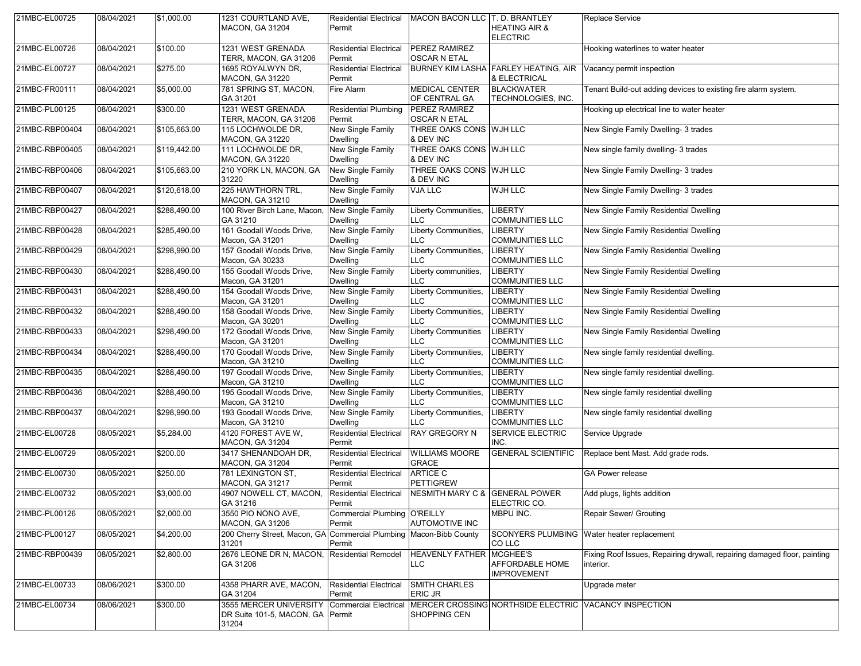| 21MBC-EL00725  | 08/04/2021 | \$1,000.00   | 1231 COURTLAND AVE,                                                                       | <b>Residential Electrical</b>           | MACON BACON LLC T. D. BRANTLEY              |                                             | Replace Service                                                                       |
|----------------|------------|--------------|-------------------------------------------------------------------------------------------|-----------------------------------------|---------------------------------------------|---------------------------------------------|---------------------------------------------------------------------------------------|
|                |            |              | <b>MACON, GA 31204</b>                                                                    | Permit                                  |                                             | <b>HEATING AIR &amp;</b><br><b>ELECTRIC</b> |                                                                                       |
| 21MBC-EL00726  | 08/04/2021 | \$100.00     | 1231 WEST GRENADA<br>TERR, MACON, GA 31206                                                | <b>Residential Electrical</b><br>Permit | <b>PEREZ RAMIREZ</b><br><b>OSCAR N ETAL</b> |                                             | Hooking waterlines to water heater                                                    |
| 21MBC-EL00727  | 08/04/2021 | \$275.00     | 1695 ROYALWYN DR.<br><b>MACON, GA 31220</b>                                               | <b>Residential Electrical</b><br>Permit |                                             | & ELECTRICAL                                | BURNEY KIM LASHA FARLEY HEATING, AIR Vacancy permit inspection                        |
| 21MBC-FR00111  | 08/04/2021 | \$5,000.00   | 781 SPRING ST, MACON,<br>GA 31201                                                         | Fire Alarm                              | <b>MEDICAL CENTER</b><br>OF CENTRAL GA      | <b>BLACKWATER</b><br>TECHNOLOGIES, INC.     | Tenant Build-out adding devices to existing fire alarm system.                        |
| 21MBC-PL00125  | 08/04/2021 | \$300.00     | 1231 WEST GRENADA<br>TERR, MACON, GA 31206                                                | <b>Residential Plumbing</b><br>Permit   | PEREZ RAMIREZ<br><b>OSCAR N ETAL</b>        |                                             | Hooking up electrical line to water heater                                            |
| 21MBC-RBP00404 | 08/04/2021 | \$105,663.00 | 115 LOCHWOLDE DR.<br><b>MACON, GA 31220</b>                                               | New Single Family<br><b>Dwelling</b>    | THREE OAKS CONS WJH LLC<br>& DEV INC        |                                             | New Single Family Dwelling- 3 trades                                                  |
| 21MBC-RBP00405 | 08/04/2021 | \$119,442.00 | 111 LOCHWOLDE DR,<br><b>MACON, GA 31220</b>                                               | New Single Family<br><b>Dwelling</b>    | THREE OAKS CONS WJH LLC<br>& DEV INC        |                                             | New single family dwelling- 3 trades                                                  |
| 21MBC-RBP00406 | 08/04/2021 | \$105,663.00 | 210 YORK LN, MACON, GA<br>31220                                                           | New Single Family<br><b>Dwelling</b>    | THREE OAKS CONS WJH LLC<br>& DEV INC        |                                             | New Single Family Dwelling- 3 trades                                                  |
| 21MBC-RBP00407 | 08/04/2021 | \$120,618.00 | 225 HAWTHORN TRL,<br><b>MACON, GA 31210</b>                                               | New Single Family<br><b>Dwelling</b>    | <b>VJA LLC</b>                              | WJH LLC                                     | New Single Family Dwelling- 3 trades                                                  |
| 21MBC-RBP00427 | 08/04/2021 | \$288,490.00 | 100 River Birch Lane, Macon,<br>GA 31210                                                  | New Single Family<br><b>Dwelling</b>    | Liberty Communities,<br><b>LLC</b>          | <b>LIBERTY</b><br><b>COMMUNITIES LLC</b>    | New Single Family Residential Dwelling                                                |
| 21MBC-RBP00428 | 08/04/2021 | \$285,490.00 | 161 Goodall Woods Drive,<br>Macon, GA 31201                                               | New Single Family<br><b>Dwelling</b>    | Liberty Communities,<br><b>LLC</b>          | <b>LIBERTY</b><br><b>COMMUNITIES LLC</b>    | New Single Family Residential Dwelling                                                |
| 21MBC-RBP00429 | 08/04/2021 | \$298,990.00 | 157 Goodall Woods Drive,<br>Macon, GA 30233                                               | New Single Family<br>Dwelling           | Liberty Communities,<br><b>LLC</b>          | <b>LIBERTY</b><br><b>COMMUNITIES LLC</b>    | New Single Family Residential Dwelling                                                |
| 21MBC-RBP00430 | 08/04/2021 | \$288,490.00 | 155 Goodall Woods Drive,<br>Macon, GA 31201                                               | New Single Family<br>Dwelling           | Liberty communities,<br>LLC.                | <b>LIBERTY</b><br><b>COMMUNITIES LLC</b>    | New Single Family Residential Dwelling                                                |
| 21MBC-RBP00431 | 08/04/2021 | \$288,490.00 | 154 Goodall Woods Drive,<br>Macon, GA 31201                                               | New Single Family<br>Dwelling           | Liberty Communities,<br>LLC                 | <b>LIBERTY</b><br><b>COMMUNITIES LLC</b>    | New Single Family Residential Dwelling                                                |
| 21MBC-RBP00432 | 08/04/2021 | \$288,490.00 | 158 Goodall Woods Drive,<br>Macon, GA 30201                                               | New Single Family<br><b>Dwelling</b>    | Liberty Communities,<br><b>LLC</b>          | <b>LIBERTY</b><br><b>COMMUNITIES LLC</b>    | New Single Family Residential Dwelling                                                |
| 21MBC-RBP00433 | 08/04/2021 | \$298,490.00 | 172 Goodall Woods Drive,<br>Macon, GA 31201                                               | New Single Family<br><b>Dwelling</b>    | <b>Liberty Communities</b><br><b>LLC</b>    | <b>LIBERTY</b><br><b>COMMUNITIES LLC</b>    | New Single Family Residential Dwelling                                                |
| 21MBC-RBP00434 | 08/04/2021 | \$288,490.00 | 170 Goodall Woods Drive,<br>Macon, GA 31210                                               | New Single Family<br><b>Dwelling</b>    | Liberty Communities,<br><b>LLC</b>          | <b>LIBERTY</b><br><b>COMMUNITIES LLC</b>    | New single family residential dwelling.                                               |
| 21MBC-RBP00435 | 08/04/2021 | \$288,490.00 | 197 Goodall Woods Drive,<br>Macon, GA 31210                                               | New Single Family<br><b>Dwelling</b>    | Liberty Communities,<br><b>LLC</b>          | <b>LIBERTY</b><br><b>COMMUNITIES LLC</b>    | New single family residential dwelling.                                               |
| 21MBC-RBP00436 | 08/04/2021 | \$288,490.00 | 195 Goodall Woods Drive,<br>Macon, GA 31210                                               | New Single Family<br><b>Dwelling</b>    | Liberty Communities,<br>LLC                 | <b>LIBERTY</b><br><b>COMMUNITIES LLC</b>    | New single family residential dwelling                                                |
| 21MBC-RBP00437 | 08/04/2021 | \$298,990.00 | 193 Goodall Woods Drive,<br>Macon, GA 31210                                               | New Single Family<br><b>Dwelling</b>    | Liberty Communities,<br><b>LLC</b>          | <b>LIBERTY</b><br><b>COMMUNITIES LLC</b>    | New single family residential dwelling                                                |
| 21MBC-EL00728  | 08/05/2021 | \$5,284.00   | 4120 FOREST AVE W,<br><b>MACON, GA 31204</b>                                              | <b>Residential Electrical</b><br>Permit | <b>RAY GREGORY N</b>                        | <b>SERVICE ELECTRIC</b><br>INC.             | Service Upgrade                                                                       |
| 21MBC-EL00729  | 08/05/2021 | \$200.00     | 3417 SHENANDOAH DR,<br>MACON, GA 31204                                                    | <b>Residential Electrical</b><br>Permit | <b>WILLIAMS MOORE</b><br><b>GRACE</b>       | <b>GENERAL SCIENTIFIC</b>                   | Replace bent Mast. Add grade rods.                                                    |
| 21MBC-EL00730  | 08/05/2021 | \$250.00     | 781 LEXINGTON ST,<br><b>MACON, GA 31217</b>                                               | <b>Residential Electrical</b><br>Permit | <b>ARTICE C</b><br><b>PETTIGREW</b>         |                                             | GA Power release                                                                      |
| 21MBC-EL00732  | 08/05/2021 | \$3,000.00   | 4907 NOWELL CT, MACON, Residential Electrical<br>GA 31216                                 | Permit                                  | NESMITH MARY C & GENERAL POWER              | ELECTRIC CO.                                | Add plugs, lights addition                                                            |
| 21MBC-PL00126  | 08/05/2021 | \$2,000.00   | 3550 PIO NONO AVE,<br><b>MACON, GA 31206</b>                                              | Commercial Plumbing O'REILLY<br>Permit  | <b>AUTOMOTIVE INC</b>                       | MBPU INC.                                   | Repair Sewer/ Grouting                                                                |
| 21MBC-PL00127  | 08/05/2021 | \$4,200.00   | 200 Cherry Street, Macon, GA Commercial Plumbing Macon-Bibb County<br>31201               | Permit                                  |                                             | CO LLC                                      | SCONYERS PLUMBING Water heater replacement                                            |
| 21MBC-RBP00439 | 08/05/2021 | \$2,800.00   | 2676 LEONE DR N, MACON, Residential Remodel<br>GA 31206                                   |                                         | HEAVENLY FATHER MCGHEE'S<br><b>LLC</b>      | AFFORDABLE HOME<br><b>IMPROVEMENT</b>       | Fixing Roof Issues, Repairing drywall, repairing damaged floor, painting<br>interior. |
| 21MBC-EL00733  | 08/06/2021 | \$300.00     | 4358 PHARR AVE. MACON.<br>GA 31204                                                        | <b>Residential Electrical</b><br>Permit | <b>SMITH CHARLES</b><br>ERIC JR             |                                             | Upgrade meter                                                                         |
| 21MBC-EL00734  | 08/06/2021 | \$300.00     | 3555 MERCER UNIVERSITY Commercial Electrical<br>DR Suite 101-5, MACON, GA Permit<br>31204 |                                         | SHOPPING CEN                                |                                             | MERCER CROSSING NORTHSIDE ELECTRIC VACANCY INSPECTION                                 |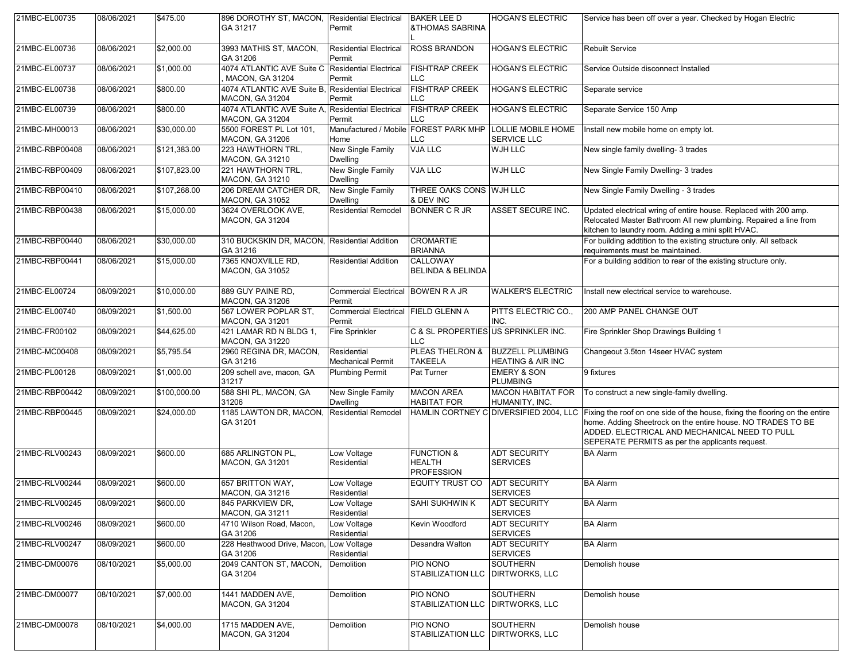| 21MBC-EL00735  | 08/06/2021 | \$475.00     | 896 DOROTHY ST, MACON, Residential Electrical<br>GA 31217 | Permit                                        | <b>BAKER LEE D</b><br><b>&amp;THOMAS SABRINA</b>            | <b>HOGAN'S ELECTRIC</b>                                                        | Service has been off over a year. Checked by Hogan Electric                                                                                                                                                                                    |
|----------------|------------|--------------|-----------------------------------------------------------|-----------------------------------------------|-------------------------------------------------------------|--------------------------------------------------------------------------------|------------------------------------------------------------------------------------------------------------------------------------------------------------------------------------------------------------------------------------------------|
| 21MBC-EL00736  | 08/06/2021 | \$2,000.00   | 3993 MATHIS ST, MACON,<br>GA 31206                        | <b>Residential Electrical</b><br>Permit       | <b>ROSS BRANDON</b>                                         | <b>HOGAN'S ELECTRIC</b>                                                        | <b>Rebuilt Service</b>                                                                                                                                                                                                                         |
| 21MBC-EL00737  | 08/06/2021 | \$1,000.00   | 4074 ATLANTIC AVE Suite C<br><b>MACON, GA 31204</b>       | <b>Residential Electrical</b><br>Permit       | <b>FISHTRAP CREEK</b><br><b>LLC</b>                         | <b>HOGAN'S ELECTRIC</b>                                                        | Service Outside disconnect Installed                                                                                                                                                                                                           |
| 21MBC-EL00738  | 08/06/2021 | \$800.00     | 4074 ATLANTIC AVE Suite B,<br><b>MACON, GA 31204</b>      | <b>Residential Electrical</b><br>Permit       | <b>FISHTRAP CREEK</b><br><b>LLC</b>                         | <b>HOGAN'S ELECTRIC</b>                                                        | Separate service                                                                                                                                                                                                                               |
| 21MBC-EL00739  | 08/06/2021 | \$800.00     | 4074 ATLANTIC AVE Suite A,<br><b>MACON, GA 31204</b>      | Residential Electrical<br>Permit              | <b>FISHTRAP CREEK</b><br><b>LLC</b>                         | <b>HOGAN'S ELECTRIC</b>                                                        | Separate Service 150 Amp                                                                                                                                                                                                                       |
| 21MBC-MH00013  | 08/06/2021 | \$30,000.00  | 5500 FOREST PL Lot 101,<br><b>MACON, GA 31206</b>         | Home                                          | <b>LLC</b>                                                  | Manufactured / Mobile FOREST PARK MHP LOLLIE MOBILE HOME<br><b>SERVICE LLC</b> | Install new mobile home on empty lot.                                                                                                                                                                                                          |
| 21MBC-RBP00408 | 08/06/2021 | \$121,383.00 | 223 HAWTHORN TRL,<br><b>MACON, GA 31210</b>               | New Single Family<br><b>Dwelling</b>          | <b>VJA LLC</b>                                              | <b>WJH LLC</b>                                                                 | New single family dwelling- 3 trades                                                                                                                                                                                                           |
| 21MBC-RBP00409 | 08/06/2021 | \$107,823.00 | 221 HAWTHORN TRL,<br><b>MACON, GA 31210</b>               | New Single Family<br><b>Dwelling</b>          | <b>VJA LLC</b>                                              | WJH LLC                                                                        | New Single Family Dwelling- 3 trades                                                                                                                                                                                                           |
| 21MBC-RBP00410 | 08/06/2021 | \$107,268.00 | 206 DREAM CATCHER DR,<br><b>MACON, GA 31052</b>           | New Single Family<br><b>Dwelling</b>          | THREE OAKS CONS WJH LLC<br>& DEV INC                        |                                                                                | New Single Family Dwelling - 3 trades                                                                                                                                                                                                          |
| 21MBC-RBP00438 | 08/06/2021 | \$15,000.00  | 3624 OVERLOOK AVE,<br><b>MACON, GA 31204</b>              | <b>Residential Remodel</b>                    | <b>BONNER C R JR</b>                                        | ASSET SECURE INC.                                                              | Updated electrical wring of entire house. Replaced with 200 amp.<br>Relocated Master Bathroom All new plumbing. Repaired a line from<br>kitchen to laundry room. Adding a mini split HVAC.                                                     |
| 21MBC-RBP00440 | 08/06/2021 | \$30,000.00  | 310 BUCKSKIN DR, MACON, Residential Addition<br>GA 31216  |                                               | <b>CROMARTIE</b><br><b>BRIANNA</b>                          |                                                                                | For building addtition to the existing structure only. All setback<br>requirements must be maintained.                                                                                                                                         |
| 21MBC-RBP00441 | 08/06/2021 | \$15,000.00  | 7365 KNOXVILLE RD,<br><b>MACON, GA 31052</b>              | <b>Residential Addition</b>                   | <b>CALLOWAY</b><br><b>BELINDA &amp; BELINDA</b>             |                                                                                | For a building addition to rear of the existing structure only.                                                                                                                                                                                |
| 21MBC-EL00724  | 08/09/2021 | \$10,000.00  | 889 GUY PAINE RD.<br><b>MACON, GA 31206</b>               | Commercial Electrical BOWEN R A JR<br>Permit  |                                                             | <b>WALKER'S ELECTRIC</b>                                                       | Install new electrical service to warehouse.                                                                                                                                                                                                   |
| 21MBC-EL00740  | 08/09/2021 | \$1,500.00   | 567 LOWER POPLAR ST.<br><b>MACON, GA 31201</b>            | Commercial Electrical FIELD GLENN A<br>Permit |                                                             | PITTS ELECTRIC CO.,<br>INC.                                                    | 200 AMP PANEL CHANGE OUT                                                                                                                                                                                                                       |
| 21MBC-FR00102  | 08/09/2021 | \$44,625.00  | 421 LAMAR RD N BLDG 1,<br><b>MACON, GA 31220</b>          | <b>Fire Sprinkler</b>                         | C & SL PROPERTIES US SPRINKLER INC.<br>LLC                  |                                                                                | Fire Sprinkler Shop Drawings Building 1                                                                                                                                                                                                        |
| 21MBC-MC00408  | 08/09/2021 | \$5,795.54   | 2960 REGINA DR, MACON,<br>GA 31216                        | Residential<br><b>Mechanical Permit</b>       | PLEAS THELRON &<br><b>TAKEELA</b>                           | <b>BUZZELL PLUMBING</b><br><b>HEATING &amp; AIR INC</b>                        | Changeout 3.5ton 14seer HVAC system                                                                                                                                                                                                            |
| 21MBC-PL00128  | 08/09/2021 | \$1,000.00   | 209 schell ave, macon, GA<br>31217                        | <b>Plumbing Permit</b>                        | Pat Turner                                                  | <b>EMERY &amp; SON</b><br><b>PLUMBING</b>                                      | 9 fixtures                                                                                                                                                                                                                                     |
| 21MBC-RBP00442 | 08/09/2021 | \$100,000.00 | 588 SHI PL, MACON, GA<br>31206                            | New Single Family<br><b>Dwelling</b>          | <b>MACON AREA</b><br><b>HABITAT FOR</b>                     | <b>MACON HABITAT FOR</b><br>HUMANITY, INC.                                     | To construct a new single-family dwelling.                                                                                                                                                                                                     |
| 21MBC-RBP00445 | 08/09/2021 | \$24,000.00  | 1185 LAWTON DR, MACON,<br>GA 31201                        | <b>Residential Remodel</b>                    |                                                             | HAMLIN CORTNEY C DIVERSIFIED 2004, LLC                                         | Fixing the roof on one side of the house, fixing the flooring on the entire<br>home. Adding Sheetrock on the entire house. NO TRADES TO BE<br>ADDED. ELECTRICAL AND MECHANICAL NEED TO PULL<br>SEPERATE PERMITS as per the applicants request. |
| 21MBC-RLV00243 | 08/09/2021 | \$600.00     | 685 ARLINGTON PL.<br><b>MACON, GA 31201</b>               | Low Voltage<br>Residential                    | <b>FUNCTION &amp;</b><br><b>HEALTH</b><br><b>PROFESSION</b> | <b>ADT SECURITY</b><br><b>SERVICES</b>                                         | <b>BA Alarm</b>                                                                                                                                                                                                                                |
| 21MBC-RLV00244 | 08/09/2021 | \$600.00     | 657 BRITTON WAY,<br><b>MACON, GA 31216</b>                | Low Voltage<br>Residential                    | <b>EQUITY TRUST CO</b>                                      | <b>ADT SECURITY</b><br><b>SERVICES</b>                                         | <b>BA Alarm</b>                                                                                                                                                                                                                                |
| 21MBC-RLV00245 | 08/09/2021 | \$600.00     | 845 PARKVIEW DR,<br><b>MACON, GA 31211</b>                | Low Voltage<br>Residential                    | <b>SAHI SUKHWIN K</b>                                       | <b>ADT SECURITY</b><br><b>SERVICES</b>                                         | <b>BA Alarm</b>                                                                                                                                                                                                                                |
| 21MBC-RLV00246 | 08/09/2021 | \$600.00     | 4710 Wilson Road, Macon,<br>GA 31206                      | Low Voltage<br>Residential                    | Kevin Woodford                                              | <b>ADT SECURITY</b><br><b>SERVICES</b>                                         | <b>BA Alarm</b>                                                                                                                                                                                                                                |
| 21MBC-RLV00247 | 08/09/2021 | \$600.00     | 228 Heathwood Drive, Macon,<br>GA 31206                   | Low Voltage<br>Residential                    | Desandra Walton                                             | <b>ADT SECURITY</b><br><b>SERVICES</b>                                         | <b>BA Alarm</b>                                                                                                                                                                                                                                |
| 21MBC-DM00076  | 08/10/2021 | \$5,000.00   | 2049 CANTON ST, MACON,<br>GA 31204                        | Demolition                                    | PIO NONO<br>STABILIZATION LLC   DIRTWORKS, LLC              | <b>SOUTHERN</b>                                                                | Demolish house                                                                                                                                                                                                                                 |
| 21MBC-DM00077  | 08/10/2021 | \$7,000.00   | 1441 MADDEN AVE,<br><b>MACON, GA 31204</b>                | Demolition                                    | PIO NONO<br>STABILIZATION LLC   DIRTWORKS, LLC              | <b>SOUTHERN</b>                                                                | Demolish house                                                                                                                                                                                                                                 |
| 21MBC-DM00078  | 08/10/2021 | \$4,000.00   | 1715 MADDEN AVE,<br><b>MACON, GA 31204</b>                | Demolition                                    | PIO NONO<br>STABILIZATION LLC DIRTWORKS. LLC                | <b>SOUTHERN</b>                                                                | Demolish house                                                                                                                                                                                                                                 |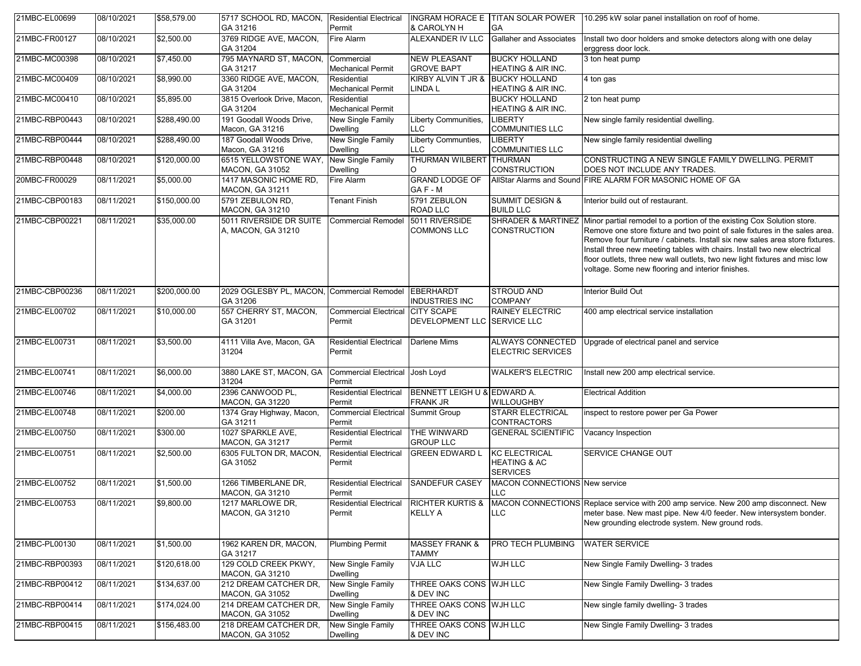| 21MBC-EL00699  | 08/10/2021 | \$58,579.00  | 5717 SCHOOL RD, MACON,<br>GA 31216                     | Residential Electrical<br>Permit          | & CAROLYN H                                    | GA                                                                 | INGRAM HORACE E TITAN SOLAR POWER 10.295 kW solar panel installation on roof of home.                                                                                                                                                                                                                                                                                                                                                               |
|----------------|------------|--------------|--------------------------------------------------------|-------------------------------------------|------------------------------------------------|--------------------------------------------------------------------|-----------------------------------------------------------------------------------------------------------------------------------------------------------------------------------------------------------------------------------------------------------------------------------------------------------------------------------------------------------------------------------------------------------------------------------------------------|
| 21MBC-FR00127  | 08/10/2021 | \$2,500.00   | 3769 RIDGE AVE, MACON,<br>GA 31204                     | Fire Alarm                                | ALEXANDER IV LLC                               | <b>Gallaher and Associates</b>                                     | Install two door holders and smoke detectors along with one delay<br>erggress door lock.                                                                                                                                                                                                                                                                                                                                                            |
| 21MBC-MC00398  | 08/10/2021 | \$7,450.00   | 795 MAYNARD ST, MACON, Commercial<br>GA 31217          | Mechanical Permit                         | <b>NEW PLEASANT</b><br><b>GROVE BAPT</b>       | <b>BUCKY HOLLAND</b><br><b>HEATING &amp; AIR INC.</b>              | 3 ton heat pump                                                                                                                                                                                                                                                                                                                                                                                                                                     |
| 21MBC-MC00409  | 08/10/2021 | \$8,990.00   | 3360 RIDGE AVE, MACON,<br>GA 31204                     | Residential<br><b>Mechanical Permit</b>   | KIRBY ALVIN T JR & BUCKY HOLLAND<br>LINDA L    | HEATING & AIR INC.                                                 | 4 ton gas                                                                                                                                                                                                                                                                                                                                                                                                                                           |
| 21MBC-MC00410  | 08/10/2021 | \$5,895.00   | 3815 Overlook Drive, Macon,<br>GA 31204                | Residential<br><b>Mechanical Permit</b>   |                                                | <b>BUCKY HOLLAND</b><br><b>HEATING &amp; AIR INC.</b>              | 2 ton heat pump                                                                                                                                                                                                                                                                                                                                                                                                                                     |
| 21MBC-RBP00443 | 08/10/2021 | \$288,490.00 | 191 Goodall Woods Drive,<br>Macon, GA 31216            | New Single Family<br><b>Dwelling</b>      | Liberty Communities,<br><b>LLC</b>             | <b>LIBERTY</b><br><b>COMMUNITIES LLC</b>                           | New single family residential dwelling.                                                                                                                                                                                                                                                                                                                                                                                                             |
| 21MBC-RBP00444 | 08/10/2021 | \$288,490.00 | 187 Goodall Woods Drive,<br>Macon, GA 31216            | New Single Family<br><b>Dwelling</b>      | Liberty Communties,<br><b>LLC</b>              | <b>LIBERTY</b><br><b>COMMUNITIES LLC</b>                           | New single family residential dwelling                                                                                                                                                                                                                                                                                                                                                                                                              |
| 21MBC-RBP00448 | 08/10/2021 | \$120,000.00 | 6515 YELLOWSTONE WAY,<br><b>MACON, GA 31052</b>        | New Single Family<br><b>Dwelling</b>      | THURMAN WILBERT THURMAN<br>$\circ$             | <b>CONSTRUCTION</b>                                                | CONSTRUCTING A NEW SINGLE FAMILY DWELLING. PERMIT<br>DOES NOT INCLUDE ANY TRADES.                                                                                                                                                                                                                                                                                                                                                                   |
| 20MBC-FR00029  | 08/11/2021 | \$5,000.00   | 1417 MASONIC HOME RD,<br><b>MACON, GA 31211</b>        | Fire Alarm                                | <b>GRAND LODGE OF</b><br>GAF-M                 |                                                                    | AllStar Alarms and Sound FIRE ALARM FOR MASONIC HOME OF GA                                                                                                                                                                                                                                                                                                                                                                                          |
| 21MBC-CBP00183 | 08/11/2021 | \$150,000.00 | 5791 ZEBULON RD,<br><b>MACON, GA 31210</b>             | <b>Tenant Finish</b>                      | 5791 ZEBULON<br>ROAD LLC                       | <b>SUMMIT DESIGN &amp;</b><br><b>BUILD LLC</b>                     | Interior build out of restaurant.                                                                                                                                                                                                                                                                                                                                                                                                                   |
| 21MBC-CBP00221 | 08/11/2021 | \$35,000.00  | 5011 RIVERSIDE DR SUITE<br>A, MACON, GA 31210          | <b>Commercial Remodel</b>                 | 5011 RIVERSIDE<br><b>COMMONS LLC</b>           | <b>SHRADER &amp; MARTINEZ</b><br><b>CONSTRUCTION</b>               | Minor partial remodel to a portion of the existing Cox Solution store.<br>Remove one store fixture and two point of sale fixtures in the sales area.<br>Remove four furniture / cabinets. Install six new sales area store fixtures.<br>Install three new meeting tables with chairs. Install two new electrical<br>floor outlets, three new wall outlets, two new light fixtures and misc low<br>voltage. Some new flooring and interior finishes. |
| 21MBC-CBP00236 | 08/11/2021 | \$200,000.00 | 2029 OGLESBY PL, MACON, Commercial Remodel<br>GA 31206 |                                           | EBERHARDT<br><b>INDUSTRIES INC</b>             | <b>STROUD AND</b><br><b>COMPANY</b>                                | Interior Build Out                                                                                                                                                                                                                                                                                                                                                                                                                                  |
| 21MBC-EL00702  | 08/11/2021 | \$10,000.00  | 557 CHERRY ST, MACON,<br>GA 31201                      | <b>Commercial Electrical</b><br>Permit    | <b>CITY SCAPE</b><br><b>DEVELOPMENT LLC</b>    | <b>RAINEY ELECTRIC</b><br><b>SERVICE LLC</b>                       | 400 amp electrical service installation                                                                                                                                                                                                                                                                                                                                                                                                             |
| 21MBC-EL00731  | 08/11/2021 | \$3,500.00   | 4111 Villa Ave, Macon, GA<br>31204                     | <b>Residential Electrical</b><br>Permit   | Darlene Mims                                   | <b>ALWAYS CONNECTED</b><br><b>ELECTRIC SERVICES</b>                | Upgrade of electrical panel and service                                                                                                                                                                                                                                                                                                                                                                                                             |
| 21MBC-EL00741  | 08/11/2021 | \$6,000.00   | 3880 LAKE ST, MACON, GA<br>31204                       | Commercial Electrical Josh Loyd<br>Permit |                                                | <b>WALKER'S ELECTRIC</b>                                           | Install new 200 amp electrical service.                                                                                                                                                                                                                                                                                                                                                                                                             |
| 21MBC-EL00746  | 08/11/2021 | \$4,000.00   | 2396 CANWOOD PL,<br><b>MACON, GA 31220</b>             | Residential Electrical<br>Permit          | BENNETT LEIGH U & EDWARD A.<br><b>FRANK JR</b> | <b>WILLOUGHBY</b>                                                  | <b>Electrical Addition</b>                                                                                                                                                                                                                                                                                                                                                                                                                          |
| 21MBC-EL00748  | 08/11/2021 | \$200.00     | 1374 Gray Highway, Macon,<br>GA 31211                  | <b>Commercial Electrical</b><br>Permit    | Summit Group                                   | <b>STARR ELECTRICAL</b><br>CONTRACTORS                             | inspect to restore power per Ga Power                                                                                                                                                                                                                                                                                                                                                                                                               |
| 21MBC-EL00750  | 08/11/2021 | \$300.00     | 1027 SPARKLE AVE,<br><b>MACON, GA 31217</b>            | Residential Electrical<br>Permit          | THE WINWARD<br><b>GROUP LLC</b>                | <b>GENERAL SCIENTIFIC</b>                                          | Vacancy Inspection                                                                                                                                                                                                                                                                                                                                                                                                                                  |
| 21MBC-EL00751  | 08/11/2021 | \$2,500.00   | 6305 FULTON DR, MACON,<br>GA 31052                     | <b>Residential Electrical</b><br>Permit   | <b>GREEN EDWARD L</b>                          | <b>KC ELECTRICAL</b><br><b>HEATING &amp; AC</b><br><b>SERVICES</b> | SERVICE CHANGE OUT                                                                                                                                                                                                                                                                                                                                                                                                                                  |
| 21MBC-EL00752  | 08/11/2021 | \$1,500.00   | 1266 TIMBERLANE DR,<br><b>MACON, GA 31210</b>          | <b>Residential Electrical</b><br>Permit   | SANDEFUR CASEY                                 | MACON CONNECTIONS New service<br>LLC.                              |                                                                                                                                                                                                                                                                                                                                                                                                                                                     |
| 21MBC-EL00753  | 08/11/2021 | \$9,800.00   | 1217 MARLOWE DR,<br><b>MACON, GA 31210</b>             | <b>Residential Electrical</b><br>Permit   | <b>RICHTER KURTIS &amp;</b><br><b>KELLY A</b>  | LLC.                                                               | MACON CONNECTIONS Replace service with 200 amp service. New 200 amp disconnect. New<br>meter base. New mast pipe. New 4/0 feeder. New intersystem bonder.<br>New grounding electrode system. New ground rods.                                                                                                                                                                                                                                       |
| 21MBC-PL00130  | 08/11/2021 | \$1,500.00   | 1962 KAREN DR, MACON,<br>GA 31217                      | <b>Plumbing Permit</b>                    | <b>MASSEY FRANK &amp;</b><br>TAMMY             | PRO TECH PLUMBING                                                  | <b>WATER SERVICE</b>                                                                                                                                                                                                                                                                                                                                                                                                                                |
| 21MBC-RBP00393 | 08/11/2021 | \$120,618.00 | 129 COLD CREEK PKWY,<br><b>MACON, GA 31210</b>         | New Single Family<br><b>Dwelling</b>      | <b>VJA LLC</b>                                 | <b>WJH LLC</b>                                                     | New Single Family Dwelling- 3 trades                                                                                                                                                                                                                                                                                                                                                                                                                |
| 21MBC-RBP00412 | 08/11/2021 | \$134,637.00 | 212 DREAM CATCHER DR,<br><b>MACON, GA 31052</b>        | New Single Family<br><b>Dwelling</b>      | THREE OAKS CONS WJH LLC<br>& DEV INC           |                                                                    | New Single Family Dwelling- 3 trades                                                                                                                                                                                                                                                                                                                                                                                                                |
| 21MBC-RBP00414 | 08/11/2021 | \$174,024.00 | 214 DREAM CATCHER DR.<br><b>MACON, GA 31052</b>        | New Single Family<br><b>Dwelling</b>      | THREE OAKS CONS WJH LLC<br>& DEV INC           |                                                                    | New single family dwelling- 3 trades                                                                                                                                                                                                                                                                                                                                                                                                                |
| 21MBC-RBP00415 | 08/11/2021 | \$156,483.00 | 218 DREAM CATCHER DR,<br><b>MACON, GA 31052</b>        | New Single Family<br><b>Dwelling</b>      | THREE OAKS CONS WJH LLC<br>& DEV INC           |                                                                    | New Single Family Dwelling- 3 trades                                                                                                                                                                                                                                                                                                                                                                                                                |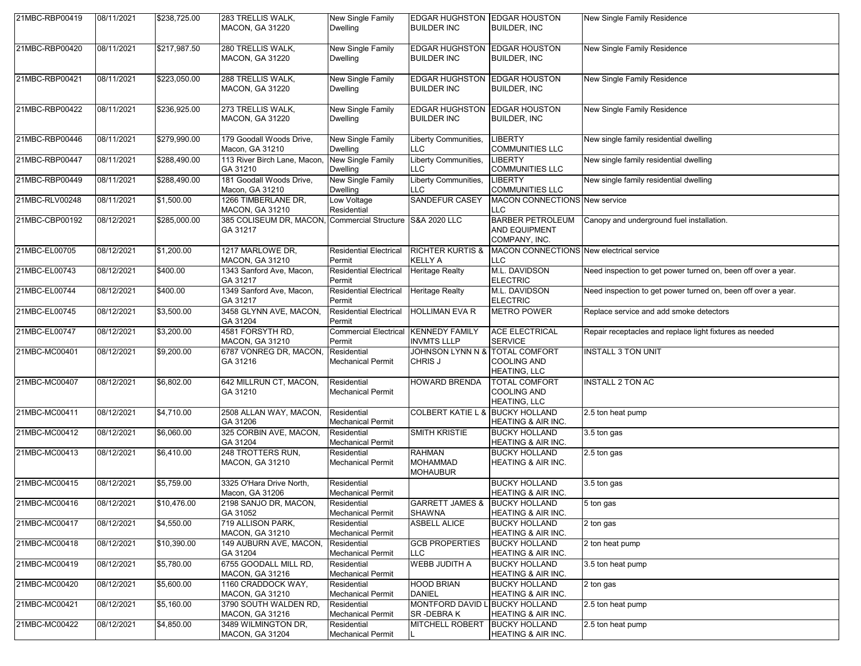| 21MBC-RBP00419 | 08/11/2021 | \$238,725.00 | 283 TRELLIS WALK,                                                     | New Single Family                              | <b>EDGAR HUGHSTON EDGAR HOUSTON</b>                 |                                                                   | New Single Family Residence                                   |
|----------------|------------|--------------|-----------------------------------------------------------------------|------------------------------------------------|-----------------------------------------------------|-------------------------------------------------------------------|---------------------------------------------------------------|
|                |            |              | <b>MACON, GA 31220</b>                                                | <b>Dwelling</b>                                | <b>BUILDER INC</b>                                  | <b>BUILDER, INC</b>                                               |                                                               |
| 21MBC-RBP00420 | 08/11/2021 | \$217,987.50 | 280 TRELLIS WALK,<br>MACON, GA 31220                                  | New Single Family<br><b>Dwelling</b>           | <b>EDGAR HUGHSTON</b><br><b>BUILDER INC</b>         | <b>EDGAR HOUSTON</b><br><b>BUILDER, INC</b>                       | New Single Family Residence                                   |
| 21MBC-RBP00421 | 08/11/2021 | \$223,050.00 | 288 TRELLIS WALK,<br>MACON, GA 31220                                  | New Single Family<br>Dwelling                  | <b>EDGAR HUGHSTON</b><br><b>BUILDER INC</b>         | <b>EDGAR HOUSTON</b><br><b>BUILDER, INC</b>                       | New Single Family Residence                                   |
| 21MBC-RBP00422 | 08/11/2021 | \$236,925.00 | 273 TRELLIS WALK,<br><b>MACON, GA 31220</b>                           | <b>New Single Family</b><br><b>Dwelling</b>    | <b>EDGAR HUGHSTON</b><br><b>BUILDER INC</b>         | <b>EDGAR HOUSTON</b><br><b>BUILDER, INC</b>                       | New Single Family Residence                                   |
| 21MBC-RBP00446 | 08/11/2021 | \$279,990.00 | 179 Goodall Woods Drive,<br>Macon, GA 31210                           | New Single Family<br>Dwelling                  | Liberty Communities,<br><b>LLC</b>                  | <b>LIBERTY</b><br><b>COMMUNITIES LLC</b>                          | New single family residential dwelling                        |
| 21MBC-RBP00447 | 08/11/2021 | \$288,490.00 | 113 River Birch Lane, Macon,<br>GA 31210                              | New Single Family<br>Dwelling                  | Liberty Communities,<br><b>LLC</b>                  | <b>LIBERTY</b><br><b>COMMUNITIES LLC</b>                          | New single family residential dwelling                        |
| 21MBC-RBP00449 | 08/11/2021 | \$288,490.00 | 181 Goodall Woods Drive,<br>Macon, GA 31210                           | <b>New Single Family</b><br>Dwelling           | Liberty Communities,<br><b>LLC</b>                  | <b>LIBERTY</b><br><b>COMMUNITIES LLC</b>                          | New single family residential dwelling                        |
| 21MBC-RLV00248 | 08/11/2021 | \$1,500.00   | 1266 TIMBERLANE DR.<br>MACON, GA 31210                                | Low Voltage<br>Residential                     | SANDEFUR CASEY                                      | <b>MACON CONNECTIONS New service</b><br>LLC.                      |                                                               |
| 21MBC-CBP00192 | 08/12/2021 | \$285,000.00 | 385 COLISEUM DR, MACON, Commercial Structure S&A 2020 LLC<br>GA 31217 |                                                |                                                     | <b>BARBER PETROLEUM</b><br><b>AND EQUIPMENT</b><br>COMPANY, INC.  | Canopy and underground fuel installation.                     |
| 21MBC-EL00705  | 08/12/2021 | \$1,200.00   | 1217 MARLOWE DR.<br>MACON, GA 31210                                   | <b>Residential Electrical</b><br>Permit        | <b>RICHTER KURTIS &amp;</b><br><b>KELLY A</b>       | MACON CONNECTIONS New electrical service<br>LLC.                  |                                                               |
| 21MBC-EL00743  | 08/12/2021 | \$400.00     | 1343 Sanford Ave, Macon,<br>GA 31217                                  | <b>Residential Electrical</b><br>Permit        | <b>Heritage Realty</b>                              | M.L. DAVIDSON<br><b>ELECTRIC</b>                                  | Need inspection to get power turned on, been off over a year. |
| 21MBC-EL00744  | 08/12/2021 | \$400.00     | 1349 Sanford Ave, Macon,<br>GA 31217                                  | <b>Residential Electrical</b><br>Permit        | <b>Heritage Realty</b>                              | M.L. DAVIDSON<br><b>ELECTRIC</b>                                  | Need inspection to get power turned on, been off over a year. |
| 21MBC-EL00745  | 08/12/2021 | \$3,500.00   | 3458 GLYNN AVE, MACON,<br>GA 31204                                    | <b>Residential Electrical</b><br>Permit        | <b>HOLLIMAN EVA R</b>                               | <b>METRO POWER</b>                                                | Replace service and add smoke detectors                       |
| 21MBC-EL00747  | 08/12/2021 | \$3,200.00   | 4581 FORSYTH RD,<br><b>MACON, GA 31210</b>                            | Commercial Electrical KENNEDY FAMILY<br>Permit | <b>INVMTS LLLP</b>                                  | <b>ACE ELECTRICAL</b><br><b>SERVICE</b>                           | Repair receptacles and replace light fixtures as needed       |
| 21MBC-MC00401  | 08/12/2021 | \$9,200.00   | 6787 VONREG DR, MACON,<br>GA 31216                                    | Residential<br>Mechanical Permit               | <b>JOHNSON LYNN N &amp;</b><br>CHRIS J              | <b>TOTAL COMFORT</b><br><b>COOLING AND</b><br>HEATING, LLC        | <b>INSTALL 3 TON UNIT</b>                                     |
| 21MBC-MC00407  | 08/12/2021 | \$6,802.00   | 642 MILLRUN CT, MACON,<br>GA 31210                                    | Residential<br>Mechanical Permit               | HOWARD BRENDA                                       | <b>TOTAL COMFORT</b><br><b>COOLING AND</b><br><b>HEATING, LLC</b> | <b>INSTALL 2 TON AC</b>                                       |
| 21MBC-MC00411  | 08/12/2021 | \$4,710.00   | 2508 ALLAN WAY, MACON,<br>GA 31206                                    | Residential<br><b>Mechanical Permit</b>        | <b>COLBERT KATIE L &amp;</b>                        | <b>BUCKY HOLLAND</b><br>HEATING & AIR INC.                        | 2.5 ton heat pump                                             |
| 21MBC-MC00412  | 08/12/2021 | \$6,060.00   | 325 CORBIN AVE, MACON,<br>GA 31204                                    | Residential<br><b>Mechanical Permit</b>        | <b>SMITH KRISTIE</b>                                | <b>BUCKY HOLLAND</b><br>HEATING & AIR INC.                        | 3.5 ton gas                                                   |
| 21MBC-MC00413  | 08/12/2021 | \$6,410.00   | 248 TROTTERS RUN,<br>MACON, GA 31210                                  | Residential<br><b>Mechanical Permit</b>        | <b>RAHMAN</b><br><b>MOHAMMAD</b><br><b>MOHAUBUR</b> | <b>BUCKY HOLLAND</b><br>HEATING & AIR INC.                        | 2.5 ton gas                                                   |
| 21MBC-MC00415  | 08/12/2021 | \$5,759.00   | 3325 O'Hara Drive North.<br>Macon, GA 31206                           | Residential<br><b>Mechanical Permit</b>        |                                                     | <b>BUCKY HOLLAND</b><br><b>HEATING &amp; AIR INC.</b>             | 3.5 ton gas                                                   |
| 21MBC-MC00416  | 08/12/2021 | \$10,476.00  | 2198 SANJO DR, MACON,<br>GA 31052                                     | Residential<br>Mechanical Permit               | GARRETT JAMES &  BUCKY HOLLAND<br><b>SHAWNA</b>     | <b>HEATING &amp; AIR INC.</b>                                     | 5 ton gas                                                     |
| 21MBC-MC00417  | 08/12/2021 | \$4,550.00   | 719 ALLISON PARK,<br><b>MACON, GA 31210</b>                           | Residential<br>Mechanical Permit               | <b>ASBELL ALICE</b>                                 | <b>BUCKY HOLLAND</b><br>HEATING & AIR INC.                        | 2 ton gas                                                     |
| 21MBC-MC00418  | 08/12/2021 | \$10,390.00  | 149 AUBURN AVE, MACON,<br>GA 31204                                    | Residential<br>Mechanical Permit               | <b>GCB PROPERTIES</b><br><b>LLC</b>                 | <b>BUCKY HOLLAND</b><br>HEATING & AIR INC.                        | 2 ton heat pump                                               |
| 21MBC-MC00419  | 08/12/2021 | \$5,780.00   | 6755 GOODALL MILL RD,<br>MACON, GA 31216                              | Residential<br>Mechanical Permit               | <b>WEBB JUDITH A</b>                                | <b>BUCKY HOLLAND</b><br>HEATING & AIR INC.                        | 3.5 ton heat pump                                             |
| 21MBC-MC00420  | 08/12/2021 | \$5,600.00   | 1160 CRADDOCK WAY,<br><b>MACON, GA 31210</b>                          | Residential<br>Mechanical Permit               | <b>HOOD BRIAN</b><br><b>DANIEL</b>                  | <b>BUCKY HOLLAND</b><br>HEATING & AIR INC.                        | 2 ton gas                                                     |
| 21MBC-MC00421  | 08/12/2021 | \$5,160.00   | 3790 SOUTH WALDEN RD,<br>MACON, GA 31216                              | Residential<br><b>Mechanical Permit</b>        | <b>MONTFORD DAVID L</b><br>SR-DEBRAK                | <b>BUCKY HOLLAND</b><br>HEATING & AIR INC.                        | 2.5 ton heat pump                                             |
| 21MBC-MC00422  | 08/12/2021 | \$4,850.00   | 3489 WILMINGTON DR.<br>MACON, GA 31204                                | Residential<br><b>Mechanical Permit</b>        | <b>MITCHELL ROBERT</b>                              | <b>BUCKY HOLLAND</b><br>HEATING & AIR INC.                        | 2.5 ton heat pump                                             |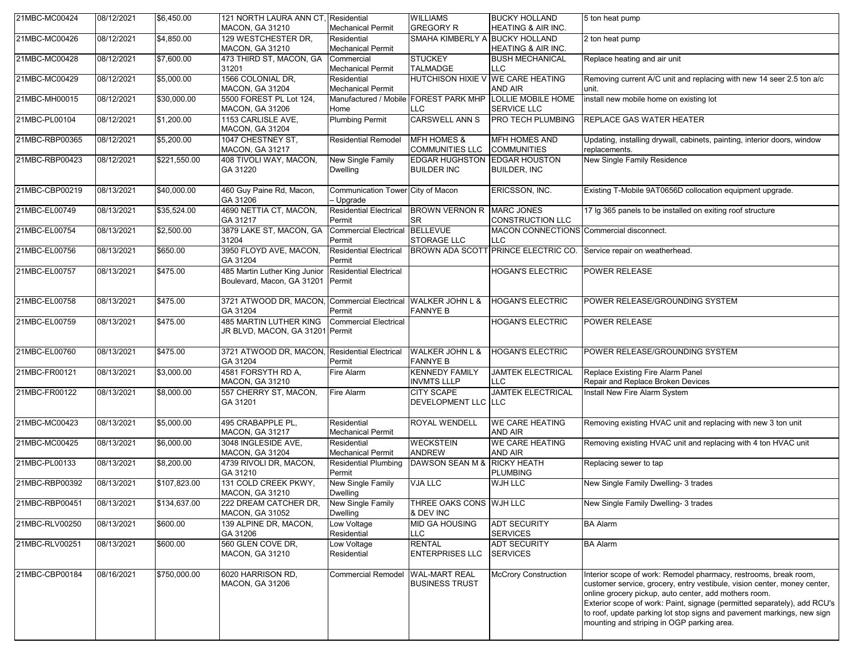| 21MBC-MC00424  | 08/12/2021 | \$6,450.00   | 121 NORTH LAURA ANN CT, Residential<br><b>MACON, GA 31210</b>            | <b>Mechanical Permit</b>                       | <b>WILLIAMS</b><br><b>GREGORY R</b>              | <b>BUCKY HOLLAND</b><br>HEATING & AIR INC.      | 5 ton heat pump                                                                                                                                                                                                                                                                                                                                                                                           |
|----------------|------------|--------------|--------------------------------------------------------------------------|------------------------------------------------|--------------------------------------------------|-------------------------------------------------|-----------------------------------------------------------------------------------------------------------------------------------------------------------------------------------------------------------------------------------------------------------------------------------------------------------------------------------------------------------------------------------------------------------|
| 21MBC-MC00426  | 08/12/2021 | \$4,850.00   | 129 WESTCHESTER DR.                                                      | Residential                                    | SMAHA KIMBERLY A BUCKY HOLLAND                   |                                                 | 2 ton heat pump                                                                                                                                                                                                                                                                                                                                                                                           |
|                |            |              | MACON, GA 31210                                                          | <b>Mechanical Permit</b>                       |                                                  | <b>HEATING &amp; AIR INC.</b>                   |                                                                                                                                                                                                                                                                                                                                                                                                           |
| 21MBC-MC00428  | 08/12/2021 | \$7,600.00   | 473 THIRD ST, MACON, GA<br>31201                                         | Commercial<br><b>Mechanical Permit</b>         | <b>STUCKEY</b><br><b>TALMADGE</b>                | <b>BUSH MECHANICAL</b><br><b>LLC</b>            | Replace heating and air unit                                                                                                                                                                                                                                                                                                                                                                              |
| 21MBC-MC00429  | 08/12/2021 | \$5,000.00   | 1566 COLONIAL DR.<br><b>MACON, GA 31204</b>                              | Residential<br><b>Mechanical Permit</b>        |                                                  | HUTCHISON HIXIE V WE CARE HEATING<br>AND AIR    | Removing current A/C unit and replacing with new 14 seer 2.5 ton a/c<br>unit.                                                                                                                                                                                                                                                                                                                             |
| 21MBC-MH00015  | 08/12/2021 | \$30,000.00  | 5500 FOREST PL Lot 124,<br><b>MACON, GA 31206</b>                        | Home                                           | Manufactured / Mobile   FOREST PARK MHP<br>LLC   | <b>LOLLIE MOBILE HOME</b><br>SERVICE LLC        | install new mobile home on existing lot                                                                                                                                                                                                                                                                                                                                                                   |
| 21MBC-PL00104  | 08/12/2021 | \$1,200.00   | 1153 CARLISLE AVE,<br><b>MACON, GA 31204</b>                             | <b>Plumbing Permit</b>                         | CARSWELL ANN S                                   | PRO TECH PLUMBING                               | REPLACE GAS WATER HEATER                                                                                                                                                                                                                                                                                                                                                                                  |
| 21MBC-RBP00365 | 08/12/2021 | \$5,200.00   | 1047 CHESTNEY ST.<br><b>MACON, GA 31217</b>                              | <b>Residential Remodel</b>                     | <b>MFH HOMES &amp;</b><br><b>COMMUNITIES LLC</b> | <b>MFH HOMES AND</b><br><b>COMMUNITIES</b>      | Updating, installing drywall, cabinets, painting, interior doors, window<br>replacements.                                                                                                                                                                                                                                                                                                                 |
| 21MBC-RBP00423 | 08/12/2021 | \$221,550.00 | 408 TIVOLI WAY, MACON,<br>GA 31220                                       | New Single Family<br><b>Dwelling</b>           | <b>EDGAR HUGHSTON</b><br><b>BUILDER INC</b>      | <b>EDGAR HOUSTON</b><br><b>BUILDER, INC</b>     | New Single Family Residence                                                                                                                                                                                                                                                                                                                                                                               |
| 21MBC-CBP00219 | 08/13/2021 | \$40,000.00  | 460 Guy Paine Rd, Macon,<br>GA 31206                                     | Communication Tower City of Macon<br>- Upgrade |                                                  | ERICSSON, INC.                                  | Existing T-Mobile 9AT0656D collocation equipment upgrade.                                                                                                                                                                                                                                                                                                                                                 |
| 21MBC-EL00749  | 08/13/2021 | \$35,524.00  | 4690 NETTIA CT, MACON,<br>GA 31217                                       | <b>Residential Electrical</b><br>Permit        | BROWN VERNON R MARC JONES<br><b>SR</b>           | <b>CONSTRUCTION LLC</b>                         | 17 lg 365 panels to be installed on exiting roof structure                                                                                                                                                                                                                                                                                                                                                |
| 21MBC-EL00754  | 08/13/2021 | \$2,500.00   | 3879 LAKE ST, MACON, GA<br>31204                                         | <b>Commercial Electrical</b><br>Permit         | <b>BELLEVUE</b><br>STORAGE LLC                   | MACON CONNECTIONS Commercial disconnect.<br>LLC |                                                                                                                                                                                                                                                                                                                                                                                                           |
| 21MBC-EL00756  | 08/13/2021 | \$650.00     | 3950 FLOYD AVE, MACON,<br>GA 31204                                       | <b>Residential Electrical</b><br>Permit        |                                                  | BROWN ADA SCOTT PRINCE ELECTRIC CO.             | Service repair on weatherhead.                                                                                                                                                                                                                                                                                                                                                                            |
| 21MBC-EL00757  | 08/13/2021 | \$475.00     | 485 Martin Luther King Junior<br>Boulevard, Macon, GA 31201 Permit       | <b>Residential Electrical</b>                  |                                                  | <b>HOGAN'S ELECTRIC</b>                         | <b>POWER RELEASE</b>                                                                                                                                                                                                                                                                                                                                                                                      |
| 21MBC-EL00758  | 08/13/2021 | \$475.00     | 3721 ATWOOD DR, MACON, Commercial Electrical WALKER JOHN L &<br>GA 31204 | Permit                                         | <b>FANNYE B</b>                                  | <b>HOGAN'S ELECTRIC</b>                         | POWER RELEASE/GROUNDING SYSTEM                                                                                                                                                                                                                                                                                                                                                                            |
| 21MBC-EL00759  | 08/13/2021 | \$475.00     | <b>485 MARTIN LUTHER KING</b><br>JR BLVD, MACON, GA 31201 Permit         | <b>Commercial Electrical</b>                   |                                                  | <b>HOGAN'S ELECTRIC</b>                         | <b>POWER RELEASE</b>                                                                                                                                                                                                                                                                                                                                                                                      |
| 21MBC-EL00760  | 08/13/2021 | \$475.00     | 3721 ATWOOD DR, MACON, Residential Electrical<br>GA 31204                | Permit                                         | <b>WALKER JOHN L &amp;</b><br><b>FANNYE B</b>    | <b>HOGAN'S ELECTRIC</b>                         | POWER RELEASE/GROUNDING SYSTEM                                                                                                                                                                                                                                                                                                                                                                            |
| 21MBC-FR00121  | 08/13/2021 | \$3,000.00   | 4581 FORSYTH RD A,<br>MACON, GA 31210                                    | Fire Alarm                                     | <b>KENNEDY FAMILY</b><br><b>INVMTS LLLP</b>      | <b>JAMTEK ELECTRICAL</b><br><b>LLC</b>          | Replace Existing Fire Alarm Panel<br>Repair and Replace Broken Devices                                                                                                                                                                                                                                                                                                                                    |
| 21MBC-FR00122  | 08/13/2021 | \$8,000.00   | 557 CHERRY ST, MACON,<br>GA 31201                                        | Fire Alarm                                     | <b>CITY SCAPE</b><br>DEVELOPMENT LLC LLC         | <b>JAMTEK ELECTRICAL</b>                        | Install New Fire Alarm System                                                                                                                                                                                                                                                                                                                                                                             |
| 21MBC-MC00423  | 08/13/2021 | \$5,000.00   | 495 CRABAPPLE PL.<br><b>MACON, GA 31217</b>                              | Residential<br><b>Mechanical Permit</b>        | ROYAL WENDELL                                    | <b>WE CARE HEATING</b><br>AND AIR               | Removing existing HVAC unit and replacing with new 3 ton unit                                                                                                                                                                                                                                                                                                                                             |
| 21MBC-MC00425  | 08/13/2021 | \$6,000.00   | 3048 INGLESIDE AVE,<br><b>MACON, GA 31204</b>                            | Residential<br><b>Mechanical Permit</b>        | <b>WECKSTEIN</b><br><b>ANDREW</b>                | <b>WE CARE HEATING</b><br>AND AIR               | Removing existing HVAC unit and replacing with 4 ton HVAC unit                                                                                                                                                                                                                                                                                                                                            |
| 21MBC-PL00133  | 08/13/2021 | \$8,200.00   | 4739 RIVOLI DR, MACON,<br>GA 31210                                       | <b>Residential Plumbing</b><br>Permit          | DAWSON SEAN M &                                  | <b>RICKY HEATH</b><br><b>PLUMBING</b>           | Replacing sewer to tap                                                                                                                                                                                                                                                                                                                                                                                    |
| 21MBC-RBP00392 | 08/13/2021 | \$107,823.00 | 131 COLD CREEK PKWY,<br>MACON, GA 31210                                  | New Single Family<br>Dwelling                  | VJA LLC                                          | WJH LLC                                         | New Single Family Dwelling- 3 trades                                                                                                                                                                                                                                                                                                                                                                      |
| 21MBC-RBP00451 | 08/13/2021 | \$134,637.00 | 222 DREAM CATCHER DR,<br><b>MACON, GA 31052</b>                          | New Single Family<br><b>Dwelling</b>           | THREE OAKS CONS WJH LLC<br>& DEV INC             |                                                 | New Single Family Dwelling- 3 trades                                                                                                                                                                                                                                                                                                                                                                      |
| 21MBC-RLV00250 | 08/13/2021 | \$600.00     | 139 ALPINE DR, MACON,<br>GA 31206                                        | Low Voltage<br>Residential                     | <b>MID GA HOUSING</b><br><b>LLC</b>              | <b>ADT SECURITY</b><br><b>SERVICES</b>          | <b>BA Alarm</b>                                                                                                                                                                                                                                                                                                                                                                                           |
| 21MBC-RLV00251 | 08/13/2021 | \$600.00     | 560 GLEN COVE DR,<br><b>MACON, GA 31210</b>                              | Low Voltage<br>Residential                     | <b>RENTAL</b><br><b>ENTERPRISES LLC</b>          | <b>ADT SECURITY</b><br><b>SERVICES</b>          | <b>BA Alarm</b>                                                                                                                                                                                                                                                                                                                                                                                           |
| 21MBC-CBP00184 | 08/16/2021 | \$750,000.00 | 6020 HARRISON RD,<br><b>MACON, GA 31206</b>                              | <b>Commercial Remodel</b>                      | <b>WAL-MART REAL</b><br><b>BUSINESS TRUST</b>    | <b>McCrory Construction</b>                     | Interior scope of work: Remodel pharmacy, restrooms, break room,<br>customer service, grocery, entry vestibule, vision center, money center,<br>online grocery pickup, auto center, add mothers room.<br>Exterior scope of work: Paint, signage (permitted separately), add RCU's<br>to roof, update parking lot stop signs and pavement markings, new sign<br>mounting and striping in OGP parking area. |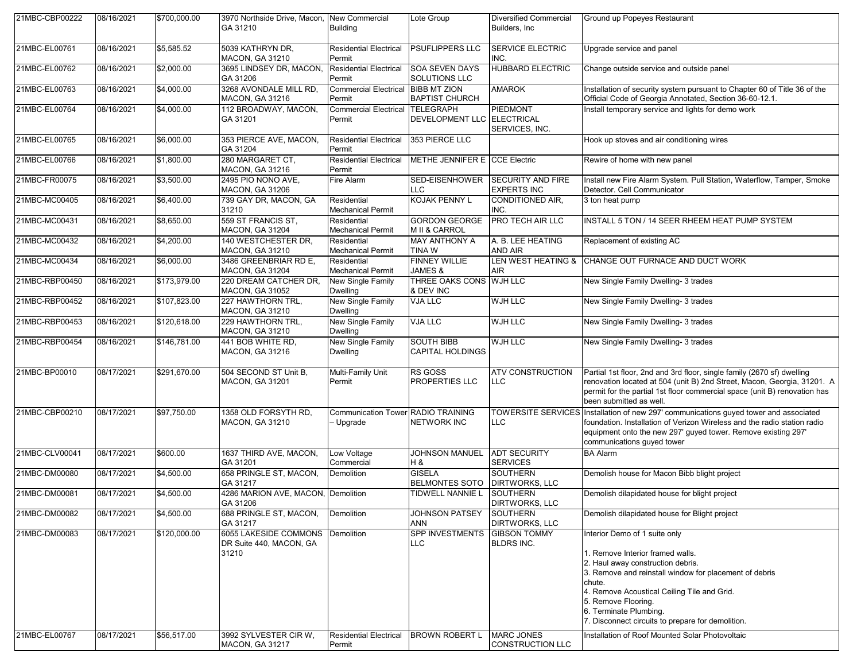| 21MBC-CBP00222 | 08/16/2021 | \$700,000.00 | 3970 Northside Drive, Macon, New Commercial<br>GA 31210   | <b>Building</b>                                 | Lote Group                                   | <b>Diversified Commercial</b><br>Builders, Inc.               | Ground up Popeyes Restaurant                                                                                                                                                                                                                                                                                                    |
|----------------|------------|--------------|-----------------------------------------------------------|-------------------------------------------------|----------------------------------------------|---------------------------------------------------------------|---------------------------------------------------------------------------------------------------------------------------------------------------------------------------------------------------------------------------------------------------------------------------------------------------------------------------------|
| 21MBC-EL00761  | 08/16/2021 | \$5,585.52   | 5039 KATHRYN DR,<br>MACON, GA 31210                       | <b>Residential Electrical</b><br>Permit         | <b>PSUFLIPPERS LLC</b>                       | <b>SERVICE ELECTRIC</b><br>INC.                               | Upgrade service and panel                                                                                                                                                                                                                                                                                                       |
| 21MBC-EL00762  | 08/16/2021 | \$2,000.00   | 3695 LINDSEY DR, MACON,<br>GA 31206                       | Residential Electrical<br>Permit                | <b>SOA SEVEN DAYS</b><br>SOLUTIONS LLC       | <b>HUBBARD ELECTRIC</b>                                       | Change outside service and outside panel                                                                                                                                                                                                                                                                                        |
| 21MBC-EL00763  | 08/16/2021 | \$4,000.00   | 3268 AVONDALE MILL RD,<br><b>MACON, GA 31216</b>          | <b>Commercial Electrical</b><br>Permit          | <b>BIBB MT ZION</b><br><b>BAPTIST CHURCH</b> | <b>AMAROK</b>                                                 | Installation of security system pursuant to Chapter 60 of Title 36 of the<br>Official Code of Georgia Annotated, Section 36-60-12.1.                                                                                                                                                                                            |
| 21MBC-EL00764  | 08/16/2021 | \$4,000.00   | 112 BROADWAY, MACON,<br>GA 31201                          | Commercial Electrical TELEGRAPH<br>Permit       | DEVELOPMENT LLC ELECTRICAL                   | PIEDMONT<br>SERVICES, INC.                                    | Install temporary service and lights for demo work                                                                                                                                                                                                                                                                              |
| 21MBC-EL00765  | 08/16/2021 | \$6,000.00   | 353 PIERCE AVE. MACON.<br>GA 31204                        | <b>Residential Electrical</b><br>Permit         | 353 PIERCE LLC                               |                                                               | Hook up stoves and air conditioning wires                                                                                                                                                                                                                                                                                       |
| 21MBC-EL00766  | 08/16/2021 | \$1,800.00   | 280 MARGARET CT,<br><b>MACON, GA 31216</b>                | <b>Residential Electrical</b><br>Permit         | METHE JENNIFER E CCE Electric                |                                                               | Rewire of home with new panel                                                                                                                                                                                                                                                                                                   |
| 21MBC-FR00075  | 08/16/2021 | \$3,500.00   | 2495 PIO NONO AVE,<br><b>MACON, GA 31206</b>              | Fire Alarm                                      | <b>LLC</b>                                   | SED-EISENHOWER SECURITY AND FIRE<br><b>EXPERTS INC</b>        | Install new Fire Alarm System. Pull Station, Waterflow, Tamper, Smoke<br>Detector. Cell Communicator                                                                                                                                                                                                                            |
| 21MBC-MC00405  | 08/16/2021 | \$6,400.00   | 739 GAY DR, MACON, GA<br>31210                            | Residential<br><b>Mechanical Permit</b>         | <b>KOJAK PENNY L</b>                         | <b>CONDITIONED AIR,</b><br>INC.                               | 3 ton heat pump                                                                                                                                                                                                                                                                                                                 |
| 21MBC-MC00431  | 08/16/2021 | \$8,650.00   | 559 ST FRANCIS ST.<br><b>MACON, GA 31204</b>              | Residential<br><b>Mechanical Permit</b>         | <b>GORDON GEORGE</b><br>M II & CARROL        | <b>PRO TECH AIR LLC</b>                                       | INSTALL 5 TON / 14 SEER RHEEM HEAT PUMP SYSTEM                                                                                                                                                                                                                                                                                  |
| 21MBC-MC00432  | 08/16/2021 | \$4,200.00   | 140 WESTCHESTER DR.<br><b>MACON, GA 31210</b>             | Residential<br><b>Mechanical Permit</b>         | <b>MAY ANTHONY A</b><br><b>TINAW</b>         | A. B. LEE HEATING<br>AND AIR                                  | Replacement of existing AC                                                                                                                                                                                                                                                                                                      |
| 21MBC-MC00434  | 08/16/2021 | \$6,000.00   | 3486 GREENBRIAR RD E,<br><b>MACON, GA 31204</b>           | Residential<br><b>Mechanical Permit</b>         | <b>FINNEY WILLIE</b><br>JAMES &              | <b>LEN WEST HEATING &amp;</b><br>AIR                          | CHANGE OUT FURNACE AND DUCT WORK                                                                                                                                                                                                                                                                                                |
| 21MBC-RBP00450 | 08/16/2021 | \$173,979.00 | 220 DREAM CATCHER DR,<br><b>MACON, GA 31052</b>           | New Single Family<br><b>Dwelling</b>            | THREE OAKS CONS WJH LLC<br>& DEV INC         |                                                               | New Single Family Dwelling- 3 trades                                                                                                                                                                                                                                                                                            |
| 21MBC-RBP00452 | 08/16/2021 | \$107,823.00 | 227 HAWTHORN TRL,<br>MACON, GA 31210                      | New Single Family<br>Dwelling                   | <b>VJA LLC</b>                               | WJH LLC                                                       | New Single Family Dwelling- 3 trades                                                                                                                                                                                                                                                                                            |
| 21MBC-RBP00453 | 08/16/2021 | \$120,618.00 | 229 HAWTHORN TRL,<br>MACON, GA 31210                      | New Single Family<br><b>Dwelling</b>            | <b>VJA LLC</b>                               | <b>WJH LLC</b>                                                | New Single Family Dwelling- 3 trades                                                                                                                                                                                                                                                                                            |
| 21MBC-RBP00454 | 08/16/2021 | \$146,781.00 | 441 BOB WHITE RD,<br><b>MACON, GA 31216</b>               | New Single Family<br><b>Dwelling</b>            | <b>SOUTH BIBB</b><br><b>CAPITAL HOLDINGS</b> | WJH LLC                                                       | New Single Family Dwelling- 3 trades                                                                                                                                                                                                                                                                                            |
| 21MBC-BP00010  | 08/17/2021 | \$291,670.00 | 504 SECOND ST Unit B,<br><b>MACON, GA 31201</b>           | Multi-Family Unit<br>Permit                     | <b>RS GOSS</b><br>PROPERTIES LLC             | <b>ATV CONSTRUCTION</b><br><b>LLC</b>                         | Partial 1st floor, 2nd and 3rd floor, single family (2670 sf) dwelling<br>renovation located at 504 (unit B) 2nd Street, Macon, Georgia, 31201. A<br>permit for the partial 1st floor commercial space (unit B) renovation has<br>been submitted as well.                                                                       |
| 21MBC-CBP00210 | 08/17/2021 | \$97,750.00  | 1358 OLD FORSYTH RD,<br>MACON, GA 31210                   | Communication Tower RADIO TRAINING<br>- Upgrade | <b>NETWORK INC</b>                           | <b>TOWERSITE SERVICES</b><br>LLC                              | Installation of new 297' communications guyed tower and associated<br>foundation. Installation of Verizon Wireless and the radio station radio<br>equipment onto the new 297' guyed tower. Remove existing 297'<br>communications guyed tower                                                                                   |
| 21MBC-CLV00041 | 08/17/2021 | \$600.00     | 1637 THIRD AVE, MACON,<br>GA 31201                        | Low Voltage<br>Commercial                       | <b>JOHNSON MANUEL</b><br>H &                 | <b>ADT SECURITY</b><br><b>SERVICES</b>                        | <b>BA Alarm</b>                                                                                                                                                                                                                                                                                                                 |
| 21MBC-DM00080  | 08/17/2021 | \$4,500.00   | 658 PRINGLE ST, MACON,<br>GA 31217                        | Demolition                                      | <b>GISELA</b><br>BELMONTES SOTO              | <b>SOUTHERN</b><br><b>DIRTWORKS, LLC</b>                      | Demolish house for Macon Bibb blight project                                                                                                                                                                                                                                                                                    |
| 21MBC-DM00081  | 08/17/2021 | \$4,500.00   | 4286 MARION AVE, MACON, Demolition<br>GA 31206            |                                                 | TIDWELL NANNIE L SOUTHERN                    | <b>DIRTWORKS, LLC</b>                                         | Demolish dilapidated house for blight project                                                                                                                                                                                                                                                                                   |
| 21MBC-DM00082  | 08/17/2021 | \$4,500.00   | 688 PRINGLE ST, MACON,<br>GA 31217                        | <b>Demolition</b>                               | JOHNSON PATSEY<br><b>ANN</b>                 | <b>SOUTHERN</b><br><b>DIRTWORKS, LLC</b>                      | Demolish dilapidated house for Blight project                                                                                                                                                                                                                                                                                   |
| 21MBC-DM00083  | 08/17/2021 | \$120,000.00 | 6055 LAKESIDE COMMONS<br>DR Suite 440, MACON, GA<br>31210 | Demolition                                      | <b>SPP INVESTMENTS</b><br><b>LLC</b>         | <b>GIBSON TOMMY</b><br><b>BLDRS INC.</b><br><b>MARC JONES</b> | Interior Demo of 1 suite only<br>1. Remove Interior framed walls.<br>2. Haul away construction debris.<br>3. Remove and reinstall window for placement of debris<br>chute.<br>4. Remove Acoustical Ceiling Tile and Grid.<br>5. Remove Flooring.<br>6. Terminate Plumbing.<br>7. Disconnect circuits to prepare for demolition. |
| 21MBC-EL00767  | 08/17/2021 | \$56,517.00  | 3992 SYLVESTER CIR W.<br><b>MACON, GA 31217</b>           | <b>Residential Electrical</b><br>Permit         | <b>BROWN ROBERT L</b>                        | <b>CONSTRUCTION LLC</b>                                       | Installation of Roof Mounted Solar Photovoltaic                                                                                                                                                                                                                                                                                 |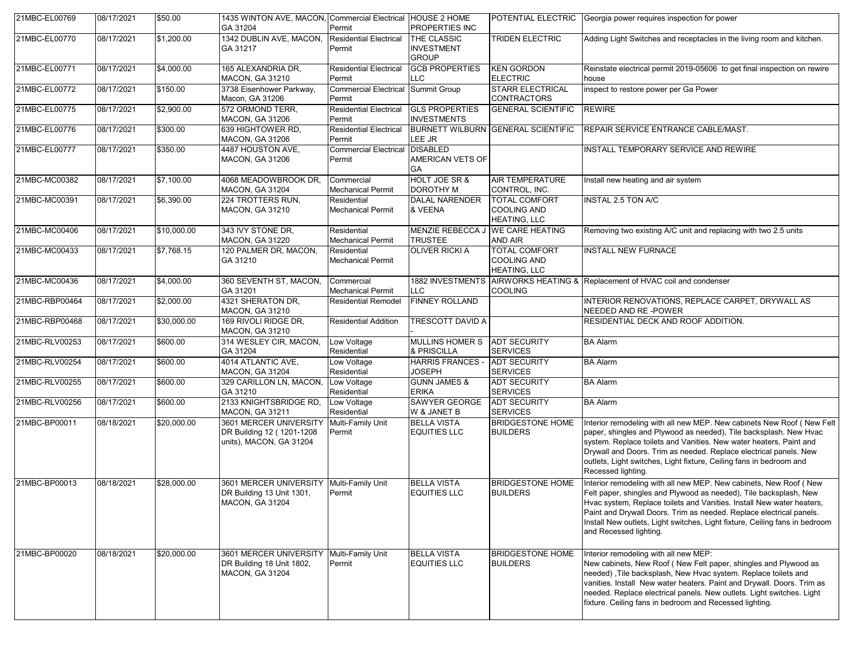| 21MBC-EL00769  | 08/17/2021 | \$50.00     | 1435 WINTON AVE, MACON, Commercial Electrical HOUSE 2 HOME<br>GA 31204         | Permit                                  | PROPERTIES INC                                   |                                                                   | POTENTIAL ELECTRIC Georgia power requires inspection for power                                                                                                                                                                                                                                                                                                                                  |
|----------------|------------|-------------|--------------------------------------------------------------------------------|-----------------------------------------|--------------------------------------------------|-------------------------------------------------------------------|-------------------------------------------------------------------------------------------------------------------------------------------------------------------------------------------------------------------------------------------------------------------------------------------------------------------------------------------------------------------------------------------------|
| 21MBC-EL00770  | 08/17/2021 | \$1,200.00  | 1342 DUBLIN AVE, MACON,<br>GA 31217                                            | <b>Residential Electrical</b><br>Permit | THE CLASSIC<br><b>INVESTMENT</b><br><b>GROUP</b> | <b>TRIDEN ELECTRIC</b>                                            | Adding Light Switches and receptacles in the living room and kitchen.                                                                                                                                                                                                                                                                                                                           |
| 21MBC-EL00771  | 08/17/2021 | \$4,000.00  | 165 ALEXANDRIA DR,<br><b>MACON, GA 31210</b>                                   | <b>Residential Electrical</b><br>Permit | <b>GCB PROPERTIES</b><br>LLC                     | <b>KEN GORDON</b><br><b>ELECTRIC</b>                              | Reinstate electrical permit 2019-05606 to get final inspection on rewire<br>house                                                                                                                                                                                                                                                                                                               |
| 21MBC-EL00772  | 08/17/2021 | \$150.00    | 3738 Eisenhower Parkway,<br>Macon, GA 31206                                    | <b>Commercial Electrical</b><br>Permit  | Summit Group                                     | <b>STARR ELECTRICAL</b><br><b>CONTRACTORS</b>                     | inspect to restore power per Ga Power                                                                                                                                                                                                                                                                                                                                                           |
| 21MBC-EL00775  | 08/17/2021 | \$2,900.00  | 572 ORMOND TERR,<br><b>MACON, GA 31206</b>                                     | <b>Residential Electrical</b><br>Permit | <b>GLS PROPERTIES</b><br><b>INVESTMENTS</b>      | <b>GENERAL SCIENTIFIC</b>                                         | <b>REWIRE</b>                                                                                                                                                                                                                                                                                                                                                                                   |
| 21MBC-EL00776  | 08/17/2021 | \$300.00    | 639 HIGHTOWER RD,<br><b>MACON, GA 31206</b>                                    | <b>Residential Electrical</b><br>Permit | LEE JR                                           | BURNETT WILBURN IGENERAL SCIENTIFIC                               | REPAIR SERVICE ENTRANCE CABLE/MAST.                                                                                                                                                                                                                                                                                                                                                             |
| 21MBC-EL00777  | 08/17/2021 | \$350.00    | 4487 HOUSTON AVE,<br>MACON, GA 31206                                           | <b>Commercial Electrical</b><br>Permit  | <b>DISABLED</b><br>AMERICAN VETS OF<br>GA        |                                                                   | INSTALL TEMPORARY SERVICE AND REWIRE                                                                                                                                                                                                                                                                                                                                                            |
| 21MBC-MC00382  | 08/17/2021 | \$7,100.00  | 4068 MEADOWBROOK DR.<br><b>MACON, GA 31204</b>                                 | Commercial<br><b>Mechanical Permit</b>  | <b>HOLT JOE SR &amp;</b><br><b>DOROTHY M</b>     | <b>AIR TEMPERATURE</b><br>CONTROL, INC.                           | Install new heating and air system                                                                                                                                                                                                                                                                                                                                                              |
| 21MBC-MC00391  | 08/17/2021 | \$6,390.00  | 224 TROTTERS RUN,<br><b>MACON, GA 31210</b>                                    | Residential<br><b>Mechanical Permit</b> | <b>DALAL NARENDER</b><br>& VEENA                 | <b>TOTAL COMFORT</b><br><b>COOLING AND</b><br><b>HEATING, LLC</b> | INSTAL 2.5 TON A/C                                                                                                                                                                                                                                                                                                                                                                              |
| 21MBC-MC00406  | 08/17/2021 | \$10,000.00 | 343 IVY STONE DR.<br>MACON, GA 31220                                           | Residential<br><b>Mechanical Permit</b> | <b>TRUSTEE</b>                                   | MENZIE REBECCA J WE CARE HEATING<br>AND AIR                       | Removing two existing A/C unit and replacing with two 2.5 units                                                                                                                                                                                                                                                                                                                                 |
| 21MBC-MC00433  | 08/17/2021 | \$7,768.15  | 120 PALMER DR, MACON,<br>GA 31210                                              | Residential<br><b>Mechanical Permit</b> | <b>OLIVER RICKI A</b>                            | <b>TOTAL COMFORT</b><br><b>COOLING AND</b><br><b>HEATING, LLC</b> | <b>INSTALL NEW FURNACE</b>                                                                                                                                                                                                                                                                                                                                                                      |
| 21MBC-MC00436  | 08/17/2021 | \$4,000.00  | 360 SEVENTH ST, MACON,<br>GA 31201                                             | Commercial<br><b>Mechanical Permit</b>  | <b>LLC</b>                                       | <b>COOLING</b>                                                    | 1882 INVESTMENTS AIRWORKS HEATING & Replacement of HVAC coil and condenser                                                                                                                                                                                                                                                                                                                      |
| 21MBC-RBP00464 | 08/17/2021 | \$2,000.00  | 4321 SHERATON DR,<br>MACON, GA 31210                                           | <b>Residential Remodel</b>              | <b>FINNEY ROLLAND</b>                            |                                                                   | INTERIOR RENOVATIONS, REPLACE CARPET, DRYWALL AS<br>NEEDED AND RE-POWER                                                                                                                                                                                                                                                                                                                         |
| 21MBC-RBP00468 | 08/17/2021 | \$30,000.00 | 169 RIVOLI RIDGE DR,<br><b>MACON, GA 31210</b>                                 | <b>Residential Addition</b>             | <b>TRESCOTT DAVID A</b>                          |                                                                   | RESIDENTIAL DECK AND ROOF ADDITION.                                                                                                                                                                                                                                                                                                                                                             |
| 21MBC-RLV00253 | 08/17/2021 | \$600.00    | 314 WESLEY CIR, MACON,<br>GA 31204                                             | Low Voltage<br>Residential              | <b>MULLINS HOMER S</b><br>& PRISCILLA            | <b>ADT SECURITY</b><br><b>SERVICES</b>                            | <b>BA Alarm</b>                                                                                                                                                                                                                                                                                                                                                                                 |
| 21MBC-RLV00254 | 08/17/2021 | \$600.00    | 4014 ATLANTIC AVE,<br><b>MACON, GA 31204</b>                                   | Low Voltage<br>Residential              | <b>HARRIS FRANCES</b><br><b>JOSEPH</b>           | <b>ADT SECURITY</b><br><b>SERVICES</b>                            | <b>BA Alarm</b>                                                                                                                                                                                                                                                                                                                                                                                 |
| 21MBC-RLV00255 | 08/17/2021 | \$600.00    | 329 CARILLON LN, MACON,<br>GA 31210                                            | Low Voltage<br>Residential              | <b>GUNN JAMES &amp;</b><br><b>ERIKA</b>          | <b>ADT SECURITY</b><br><b>SERVICES</b>                            | <b>BA Alarm</b>                                                                                                                                                                                                                                                                                                                                                                                 |
| 21MBC-RLV00256 | 08/17/2021 | \$600.00    | 2133 KNIGHTSBRIDGE RD,<br><b>MACON, GA 31211</b>                               | Low Voltage<br>Residential              | SAWYER GEORGE<br>W & JANET B                     | <b>ADT SECURITY</b><br><b>SERVICES</b>                            | <b>BA Alarm</b>                                                                                                                                                                                                                                                                                                                                                                                 |
| 21MBC-BP00011  | 08/18/2021 | \$20,000.00 | 3601 MERCER UNIVERSITY<br>DR Building 12 (1201-1208<br>units), MACON, GA 31204 | Multi-Family Unit<br>Permit             | <b>BELLA VISTA</b><br><b>EQUITIES LLC</b>        | <b>BRIDGESTONE HOME</b><br><b>BUILDERS</b>                        | Interior remodeling with all new MEP. New cabinets New Roof (New Felt<br>paper, shingles and Plywood as needed), Tile backsplash. New Hvac<br>system. Replace toilets and Vanities. New water heaters, Paint and<br>Drywall and Doors. Trim as needed. Replace electrical panels. New<br>outlets, Light switches, Light fixture, Ceiling fans in bedroom and<br>Recessed lighting.              |
| 21MBC-BP00013  | 08/18/2021 | \$28,000.00 | 3601 MERCER UNIVERSITY<br>DR Building 13 Unit 1301,<br>MACON, GA 31204         | Multi-Family Unit<br>Permit             | <b>BELLA VISTA</b><br><b>EQUITIES LLC</b>        | <b>BRIDGESTONE HOME</b><br><b>BUILDERS</b>                        | Interior remodeling with all new MEP. New cabinets, New Roof (New<br>Felt paper, shingles and Plywood as needed), Tile backsplash, New<br>Hvac system, Replace toilets and Vanities. Install New water heaters,<br>Paint and Drywall Doors. Trim as needed. Replace electrical panels.<br>Install New outlets, Light switches, Light fixture, Ceiling fans in bedroom<br>and Recessed lighting. |
| 21MBC-BP00020  | 08/18/2021 | \$20,000.00 | 3601 MERCER UNIVERSITY<br>DR Building 18 Unit 1802,<br>MACON, GA 31204         | Multi-Family Unit<br>Permit             | <b>BELLA VISTA</b><br><b>EQUITIES LLC</b>        | <b>BRIDGESTONE HOME</b><br><b>BUILDERS</b>                        | Interior remodeling with all new MEP:<br>New cabinets, New Roof (New Felt paper, shingles and Plywood as<br>needed), Tile backsplash, New Hvac system. Replace toilets and<br>vanities. Install New water heaters. Paint and Drywall. Doors. Trim as<br>needed. Replace electrical panels. New outlets. Light switches. Light<br>fixture. Ceiling fans in bedroom and Recessed lighting.        |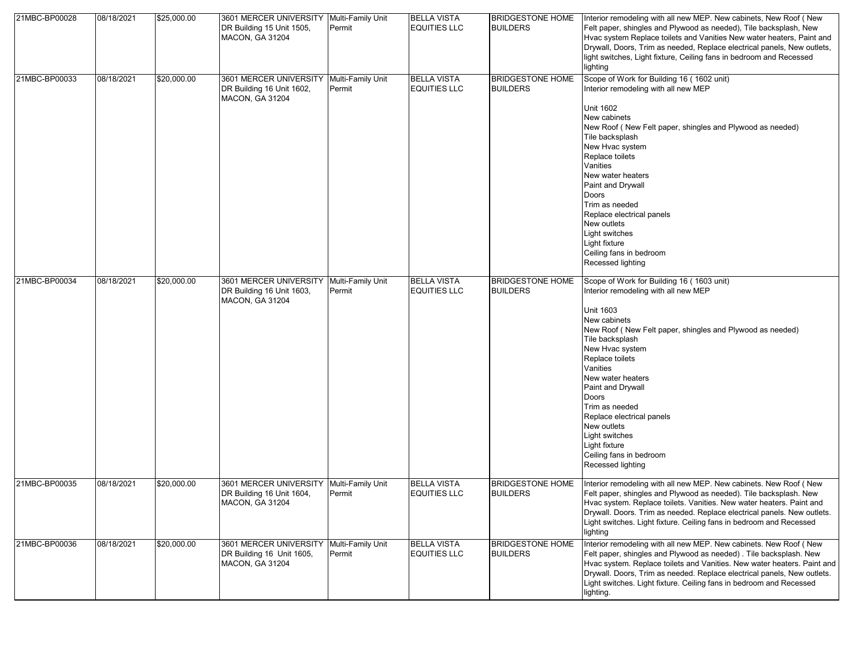| 21MBC-BP00028 | 08/18/2021 | \$25,000.00 | 3601 MERCER UNIVERSITY   Multi-Family Unit<br>DR Building 15 Unit 1505,<br>MACON, GA 31204      | Permit                      | <b>BELLA VISTA</b><br><b>EQUITIES LLC</b> | <b>BRIDGESTONE HOME</b><br><b>BUILDERS</b> | Interior remodeling with all new MEP. New cabinets, New Roof (New<br>Felt paper, shingles and Plywood as needed), Tile backsplash, New<br>Hvac system Replace toilets and Vanities New water heaters, Paint and<br>Drywall, Doors, Trim as needed, Replace electrical panels, New outlets,<br>light switches, Light fixture, Ceiling fans in bedroom and Recessed<br>lighting                                                                               |
|---------------|------------|-------------|-------------------------------------------------------------------------------------------------|-----------------------------|-------------------------------------------|--------------------------------------------|-------------------------------------------------------------------------------------------------------------------------------------------------------------------------------------------------------------------------------------------------------------------------------------------------------------------------------------------------------------------------------------------------------------------------------------------------------------|
| 21MBC-BP00033 | 08/18/2021 | \$20,000.00 | 3601 MERCER UNIVERSITY Multi-Family Unit<br>DR Building 16 Unit 1602,<br><b>MACON, GA 31204</b> | Permit                      | <b>BELLA VISTA</b><br><b>EQUITIES LLC</b> | <b>BRIDGESTONE HOME</b><br><b>BUILDERS</b> | Scope of Work for Building 16 (1602 unit)<br>Interior remodeling with all new MEP<br><b>Unit 1602</b><br>New cabinets<br>New Roof (New Felt paper, shingles and Plywood as needed)<br>Tile backsplash<br>New Hvac system<br>Replace toilets<br>Vanities<br>New water heaters<br>Paint and Drywall<br>Doors<br>Trim as needed<br>Replace electrical panels<br>New outlets<br>Light switches<br>Light fixture<br>Ceiling fans in bedroom<br>Recessed lighting |
| 21MBC-BP00034 | 08/18/2021 | \$20,000.00 | 3601 MERCER UNIVERSITY<br>DR Building 16 Unit 1603,<br><b>MACON, GA 31204</b>                   | Multi-Family Unit<br>Permit | <b>BELLA VISTA</b><br><b>EQUITIES LLC</b> | <b>BRIDGESTONE HOME</b><br><b>BUILDERS</b> | Scope of Work for Building 16 (1603 unit)<br>Interior remodeling with all new MEP<br>Unit 1603<br>New cabinets<br>New Roof (New Felt paper, shingles and Plywood as needed)<br>Tile backsplash<br>New Hvac system<br>Replace toilets<br>Vanities<br>New water heaters<br>Paint and Drywall<br>Doors<br>Trim as needed<br>Replace electrical panels<br>New outlets<br>Light switches<br>Light fixture<br>Ceiling fans in bedroom<br>Recessed lighting        |
| 21MBC-BP00035 | 08/18/2021 | \$20,000.00 | 3601 MERCER UNIVERSITY Multi-Family Unit<br>DR Building 16 Unit 1604,<br>MACON, GA 31204        | Permit                      | <b>BELLA VISTA</b><br><b>EQUITIES LLC</b> | <b>BRIDGESTONE HOME</b><br><b>BUILDERS</b> | Interior remodeling with all new MEP. New cabinets. New Roof (New<br>Felt paper, shingles and Plywood as needed). Tile backsplash. New<br>Hvac system. Replace toilets. Vanities. New water heaters. Paint and<br>Drywall. Doors. Trim as needed. Replace electrical panels. New outlets.<br>Light switches. Light fixture. Ceiling fans in bedroom and Recessed<br>lighting                                                                                |
| 21MBC-BP00036 | 08/18/2021 | \$20,000.00 | 3601 MERCER UNIVERSITY<br>DR Building 16 Unit 1605,<br><b>MACON, GA 31204</b>                   | Multi-Family Unit<br>Permit | <b>BELLA VISTA</b><br><b>EQUITIES LLC</b> | <b>BRIDGESTONE HOME</b><br><b>BUILDERS</b> | Interior remodeling with all new MEP. New cabinets. New Roof ( New<br>Felt paper, shingles and Plywood as needed). Tile backsplash. New<br>Hvac system. Replace toilets and Vanities. New water heaters. Paint and<br>Drywall. Doors, Trim as needed. Replace electrical panels, New outlets.<br>Light switches. Light fixture. Ceiling fans in bedroom and Recessed<br>lighting.                                                                           |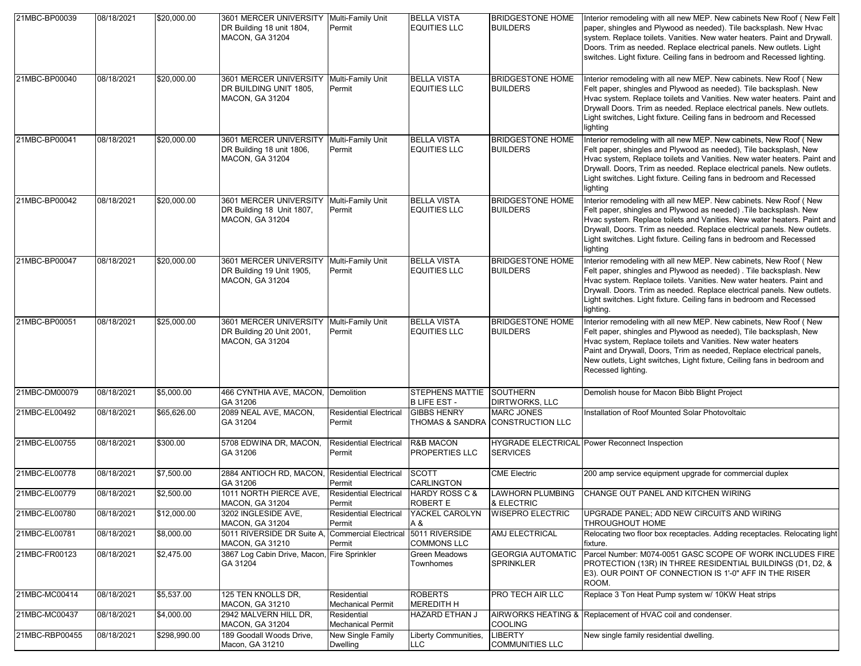| 21MBC-BP00039  | 08/18/2021 | \$20,000.00  | 3601 MERCER UNIVERSITY Multi-Family Unit<br>DR Building 18 unit 1804,<br><b>MACON, GA 31204</b> | Permit                                  | <b>BELLA VISTA</b><br><b>EQUITIES LLC</b>     | <b>BRIDGESTONE HOME</b><br><b>BUILDERS</b>            | Interior remodeling with all new MEP. New cabinets New Roof (New Felt<br>paper, shingles and Plywood as needed). Tile backsplash. New Hvac<br>system. Replace toilets. Vanities. New water heaters. Paint and Drywall.<br>Doors. Trim as needed. Replace electrical panels. New outlets. Light<br>switches. Light fixture. Ceiling fans in bedroom and Recessed lighting.         |
|----------------|------------|--------------|-------------------------------------------------------------------------------------------------|-----------------------------------------|-----------------------------------------------|-------------------------------------------------------|-----------------------------------------------------------------------------------------------------------------------------------------------------------------------------------------------------------------------------------------------------------------------------------------------------------------------------------------------------------------------------------|
| 21MBC-BP00040  | 08/18/2021 | \$20,000.00  | 3601 MERCER UNIVERSITY<br>DR BUILDING UNIT 1805,<br><b>MACON, GA 31204</b>                      | Multi-Family Unit<br>Permit             | <b>BELLA VISTA</b><br><b>EQUITIES LLC</b>     | <b>BRIDGESTONE HOME</b><br><b>BUILDERS</b>            | Interior remodeling with all new MEP. New cabinets. New Roof ( New<br>Felt paper, shingles and Plywood as needed). Tile backsplash. New<br>Hvac system. Replace toilets and Vanities. New water heaters. Paint and<br>Drywall Doors. Trim as needed. Replace electrical panels. New outlets.<br>Light switches, Light fixture. Ceiling fans in bedroom and Recessed<br>lighting   |
| 21MBC-BP00041  | 08/18/2021 | \$20,000.00  | 3601 MERCER UNIVERSITY<br>DR Building 18 unit 1806,<br><b>MACON, GA 31204</b>                   | Multi-Family Unit<br>Permit             | <b>BELLA VISTA</b><br><b>EQUITIES LLC</b>     | <b>BRIDGESTONE HOME</b><br><b>BUILDERS</b>            | Interior remodeling with all new MEP. New cabinets, New Roof ( New<br>Felt paper, shingles and Plywood as needed), Tile backsplash, New<br>Hvac system, Replace toilets and Vanities. New water heaters. Paint and<br>Drywall. Doors, Trim as needed. Replace electrical panels. New outlets.<br>Light switches. Light fixture. Ceiling fans in bedroom and Recessed<br>lighting  |
| 21MBC-BP00042  | 08/18/2021 | \$20,000.00  | 3601 MERCER UNIVERSITY<br>DR Building 18 Unit 1807,<br><b>MACON, GA 31204</b>                   | Multi-Family Unit<br>Permit             | <b>BELLA VISTA</b><br><b>EQUITIES LLC</b>     | <b>BRIDGESTONE HOME</b><br><b>BUILDERS</b>            | Interior remodeling with all new MEP. New cabinets. New Roof ( New<br>Felt paper, shingles and Plywood as needed) . Tile backsplash. New<br>Hvac system. Replace toilets and Vanities. New water heaters. Paint and<br>Drywall, Doors. Trim as needed. Replace electrical panels. New outlets.<br>Light switches. Light fixture. Ceiling fans in bedroom and Recessed<br>lighting |
| 21MBC-BP00047  | 08/18/2021 | \$20,000.00  | 3601 MERCER UNIVERSITY<br>DR Building 19 Unit 1905,<br><b>MACON, GA 31204</b>                   | Multi-Family Unit<br>Permit             | <b>BELLA VISTA</b><br><b>EQUITIES LLC</b>     | <b>BRIDGESTONE HOME</b><br><b>BUILDERS</b>            | Interior remodeling with all new MEP. New cabinets, New Roof ( New<br>Felt paper, shingles and Plywood as needed). Tile backsplash. New<br>Hvac system. Replace toilets. Vanities. New water heaters. Paint and<br>Drywall. Doors. Trim as needed. Replace electrical panels. New outlets.<br>Light switches. Light fixture. Ceiling fans in bedroom and Recessed<br>lighting.    |
| 21MBC-BP00051  | 08/18/2021 | \$25,000.00  | 3601 MERCER UNIVERSITY<br>DR Building 20 Unit 2001,<br><b>MACON, GA 31204</b>                   | Multi-Family Unit<br>Permit             | <b>BELLA VISTA</b><br><b>EQUITIES LLC</b>     | <b>BRIDGESTONE HOME</b><br><b>BUILDERS</b>            | Interior remodeling with all new MEP. New cabinets, New Roof (New<br>Felt paper, shingles and Plywood as needed), Tile backsplash, New<br>Hvac system, Replace toilets and Vanities. New water heaters<br>Paint and Drywall, Doors, Trim as needed, Replace electrical panels,<br>New outlets, Light switches, Light fixture, Ceiling fans in bedroom and<br>Recessed lighting.   |
| 21MBC-DM00079  | 08/18/2021 | \$5,000.00   | 466 CYNTHIA AVE, MACON, Demolition<br>GA 31206                                                  |                                         | STEPHENS MATTIE SOUTHERN<br><b>BLIFE EST-</b> | <b>DIRTWORKS, LLC</b>                                 | Demolish house for Macon Bibb Blight Project                                                                                                                                                                                                                                                                                                                                      |
| 21MBC-EL00492  | 08/18/2021 | \$65,626.00  | 2089 NEAL AVE, MACON,<br>GA 31204                                                               | <b>Residential Electrical</b><br>Permit | <b>GIBBS HENRY</b>                            | <b>MARC JONES</b><br>THOMAS & SANDRA CONSTRUCTION LLC | Installation of Roof Mounted Solar Photovoltaic                                                                                                                                                                                                                                                                                                                                   |
| 21MBC-EL00755  | 08/18/2021 | \$300.00     | 5708 EDWINA DR, MACON,<br>GA 31206                                                              | <b>Residential Electrical</b><br>Permit | <b>R&amp;B MACON</b><br>PROPERTIES LLC        | <b>SERVICES</b>                                       | HYGRADE ELECTRICAL Power Reconnect Inspection                                                                                                                                                                                                                                                                                                                                     |
| 21MBC-EL00778  | 08/18/2021 | \$7,500.00   | 2884 ANTIOCH RD. MACON. Residential Electrical<br>GA 31206                                      | Permit                                  | <b>SCOTT</b><br>CARLINGTON                    | <b>CME Electric</b>                                   | 200 amp service equipment upgrade for commercial duplex                                                                                                                                                                                                                                                                                                                           |
| 21MBC-EL00779  | 08/18/2021 | \$2,500.00   | 1011 NORTH PIERCE AVE,<br><b>MACON, GA 31204</b>                                                | <b>Residential Electrical</b><br>Permit | <b>HARDY ROSS C &amp;</b><br>ROBERT E         | <b>LAWHORN PLUMBING</b><br>& ELECTRIC                 | CHANGE OUT PANEL AND KITCHEN WIRING                                                                                                                                                                                                                                                                                                                                               |
| 21MBC-EL00780  | 08/18/2021 | \$12,000.00  | 3202 INGLESIDE AVE.<br><b>MACON, GA 31204</b>                                                   | <b>Residential Electrical</b><br>Permit | YACKEL CAROLYN<br>A &                         | <b>WISEPRO ELECTRIC</b>                               | UPGRADE PANEL: ADD NEW CIRCUITS AND WIRING<br>THROUGHOUT HOME                                                                                                                                                                                                                                                                                                                     |
| 21MBC-EL00781  | 08/18/2021 | \$8,000.00   | 5011 RIVERSIDE DR Suite A<br><b>MACON, GA 31210</b>                                             | <b>Commercial Electrical</b><br>Permit  | 5011 RIVERSIDE<br><b>COMMONS LLC</b>          | AMJ ELECTRICAL                                        | Relocating two floor box receptacles. Adding receptacles. Relocating light<br>fixture.                                                                                                                                                                                                                                                                                            |
| 21MBC-FR00123  | 08/18/2021 | \$2,475.00   | 3867 Log Cabin Drive, Macon, Fire Sprinkler<br>GA 31204                                         |                                         | Green Meadows<br>Townhomes                    | <b>GEORGIA AUTOMATIC</b><br><b>SPRINKLER</b>          | Parcel Number: M074-0051 GASC SCOPE OF WORK INCLUDES FIRE<br>PROTECTION (13R) IN THREE RESIDENTIAL BUILDINGS (D1, D2, &<br>E3). OUR POINT OF CONNECTION IS 1'-0" AFF IN THE RISER<br>ROOM.                                                                                                                                                                                        |
| 21MBC-MC00414  | 08/18/2021 | \$5,537.00   | 125 TEN KNOLLS DR.<br><b>MACON, GA 31210</b>                                                    | Residential<br><b>Mechanical Permit</b> | <b>ROBERTS</b><br><b>MEREDITH H</b>           | PRO TECH AIR LLC                                      | Replace 3 Ton Heat Pump system w/ 10KW Heat strips                                                                                                                                                                                                                                                                                                                                |
| 21MBC-MC00437  | 08/18/2021 | \$4,000.00   | 2942 MALVERN HILL DR.<br><b>MACON, GA 31204</b>                                                 | Residential<br><b>Mechanical Permit</b> | <b>HAZARD ETHAN J</b>                         | <b>COOLING</b>                                        | AIRWORKS HEATING & Replacement of HVAC coil and condenser.                                                                                                                                                                                                                                                                                                                        |
| 21MBC-RBP00455 | 08/18/2021 | \$298,990.00 | 189 Goodall Woods Drive,<br>Macon, GA 31210                                                     | New Single Family<br><b>Dwelling</b>    | Liberty Communities,<br><b>LLC</b>            | <b>LIBERTY</b><br><b>COMMUNITIES LLC</b>              | New single family residential dwelling.                                                                                                                                                                                                                                                                                                                                           |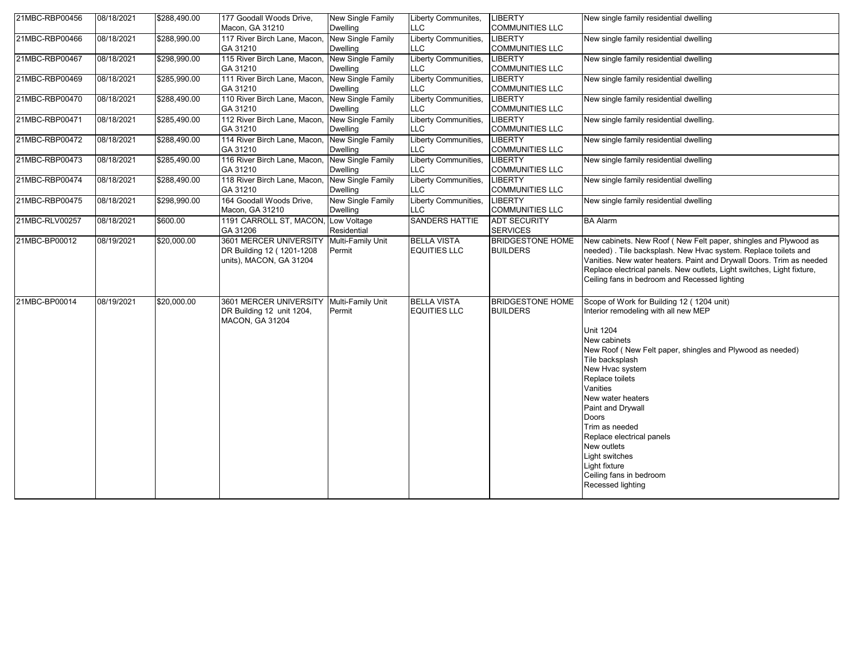| 21MBC-RBP00456 | 08/18/2021 | \$288,490.00 | 177 Goodall Woods Drive,                                                       | New Single Family                           | Liberty Communites,                       | <b>LIBERTY</b>                             | New single family residential dwelling                                                                                                                                                                                                                                                                                                                                                                                                               |
|----------------|------------|--------------|--------------------------------------------------------------------------------|---------------------------------------------|-------------------------------------------|--------------------------------------------|------------------------------------------------------------------------------------------------------------------------------------------------------------------------------------------------------------------------------------------------------------------------------------------------------------------------------------------------------------------------------------------------------------------------------------------------------|
| 21MBC-RBP00466 | 08/18/2021 | \$288,990.00 | Macon, GA 31210<br>117 River Birch Lane, Macon,                                | <b>Dwelling</b><br>New Single Family        | <b>LLC</b><br>Liberty Communities,        | <b>COMMUNITIES LLC</b><br>LIBERTY          | New single family residential dwelling                                                                                                                                                                                                                                                                                                                                                                                                               |
|                |            |              | GA 31210                                                                       | Dwelling                                    | LLC                                       | <b>COMMUNITIES LLC</b>                     |                                                                                                                                                                                                                                                                                                                                                                                                                                                      |
| 21MBC-RBP00467 | 08/18/2021 | \$298,990.00 | 115 River Birch Lane, Macon,                                                   | New Single Family                           | Liberty Communities,                      | <b>LIBERTY</b>                             | New single family residential dwelling                                                                                                                                                                                                                                                                                                                                                                                                               |
|                |            |              | GA 31210                                                                       | <b>Dwelling</b>                             | LLC                                       | <b>COMMUNITIES LLC</b>                     |                                                                                                                                                                                                                                                                                                                                                                                                                                                      |
| 21MBC-RBP00469 | 08/18/2021 | \$285,990.00 | 111 River Birch Lane, Macon,<br>GA 31210                                       | New Single Family<br><b>Dwelling</b>        | Liberty Communities,<br>LLC               | LIBERTY<br><b>COMMUNITIES LLC</b>          | New single family residential dwelling                                                                                                                                                                                                                                                                                                                                                                                                               |
| 21MBC-RBP00470 | 08/18/2021 | \$288,490.00 | 110 River Birch Lane, Macon,<br>GA 31210                                       | New Single Family<br><b>Dwelling</b>        | Liberty Communities,<br>LLC               | LIBERTY<br><b>COMMUNITIES LLC</b>          | New single family residential dwelling                                                                                                                                                                                                                                                                                                                                                                                                               |
| 21MBC-RBP00471 | 08/18/2021 | \$285,490.00 | 112 River Birch Lane, Macon,<br>GA 31210                                       | New Single Family<br><b>Dwelling</b>        | Liberty Communities,<br>LLC               | <b>LIBERTY</b><br><b>COMMUNITIES LLC</b>   | New single family residential dwelling.                                                                                                                                                                                                                                                                                                                                                                                                              |
| 21MBC-RBP00472 | 08/18/2021 | \$288,490.00 | 114 River Birch Lane, Macon,<br>GA 31210                                       | New Single Family<br><b>Dwelling</b>        | Liberty Communities,<br>LLC               | <b>LIBERTY</b><br><b>COMMUNITIES LLC</b>   | New single family residential dwelling                                                                                                                                                                                                                                                                                                                                                                                                               |
| 21MBC-RBP00473 | 08/18/2021 | \$285,490.00 | 116 River Birch Lane, Macon,<br>GA 31210                                       | New Single Family<br><b>Dwelling</b>        | Liberty Communities,<br>LLC               | <b>LIBERTY</b><br><b>COMMUNITIES LLC</b>   | New single family residential dwelling                                                                                                                                                                                                                                                                                                                                                                                                               |
| 21MBC-RBP00474 | 08/18/2021 | \$288,490.00 | 118 River Birch Lane, Macon,<br>GA 31210                                       | New Single Family<br><b>Dwelling</b>        | Liberty Communities,<br>LLC               | <b>LIBERTY</b><br><b>COMMUNITIES LLC</b>   | New single family residential dwelling                                                                                                                                                                                                                                                                                                                                                                                                               |
| 21MBC-RBP00475 | 08/18/2021 | \$298,990.00 | 164 Goodall Woods Drive,<br>Macon, GA 31210                                    | <b>New Single Family</b><br><b>Dwelling</b> | Liberty Communities,<br>LLC               | <b>LIBERTY</b><br><b>COMMUNITIES LLC</b>   | New single family residential dwelling                                                                                                                                                                                                                                                                                                                                                                                                               |
| 21MBC-RLV00257 | 08/18/2021 | \$600.00     | 1191 CARROLL ST, MACON,<br>GA 31206                                            | Low Voltage<br>Residential                  | <b>SANDERS HATTIE</b>                     | <b>ADT SECURITY</b><br><b>SERVICES</b>     | <b>BA Alarm</b>                                                                                                                                                                                                                                                                                                                                                                                                                                      |
| 21MBC-BP00012  | 08/19/2021 | \$20,000.00  | 3601 MERCER UNIVERSITY<br>DR Building 12 (1201-1208<br>units), MACON, GA 31204 | Multi-Family Unit<br>Permit                 | <b>BELLA VISTA</b><br><b>EQUITIES LLC</b> | <b>BRIDGESTONE HOME</b><br><b>BUILDERS</b> | New cabinets. New Roof (New Felt paper, shingles and Plywood as<br>needed). Tile backsplash. New Hvac system. Replace toilets and<br>Vanities. New water heaters. Paint and Drywall Doors. Trim as needed<br>Replace electrical panels. New outlets, Light switches, Light fixture,<br>Ceiling fans in bedroom and Recessed lighting                                                                                                                 |
| 21MBC-BP00014  | 08/19/2021 | \$20,000.00  | 3601 MERCER UNIVERSITY<br>DR Building 12 unit 1204,<br><b>MACON, GA 31204</b>  | Multi-Family Unit<br>Permit                 | <b>BELLA VISTA</b><br><b>EQUITIES LLC</b> | <b>BRIDGESTONE HOME</b><br><b>BUILDERS</b> | Scope of Work for Building 12 (1204 unit)<br>Interior remodeling with all new MEP<br>Unit 1204<br>New cabinets<br>New Roof (New Felt paper, shingles and Plywood as needed)<br>Tile backsplash<br>New Hvac system<br>Replace toilets<br>Vanities<br>New water heaters<br>Paint and Drywall<br>Doors<br>Trim as needed<br>Replace electrical panels<br>New outlets<br>Light switches<br>Light fixture<br>Ceiling fans in bedroom<br>Recessed lighting |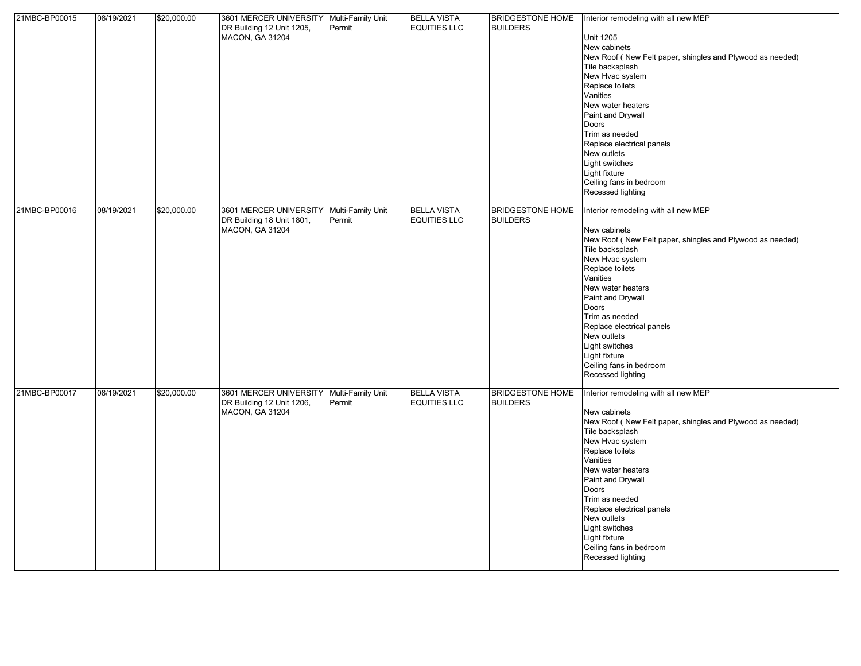| 21MBC-BP00015 | 08/19/2021 | \$20,000.00 | 3601 MERCER UNIVERSITY Multi-Family Unit |                   | <b>BELLA VISTA</b>  | <b>BRIDGESTONE HOME</b> | Interior remodeling with all new MEP                      |
|---------------|------------|-------------|------------------------------------------|-------------------|---------------------|-------------------------|-----------------------------------------------------------|
|               |            |             | DR Building 12 Unit 1205,                | Permit            | <b>EQUITIES LLC</b> | <b>BUILDERS</b>         |                                                           |
|               |            |             | <b>MACON, GA 31204</b>                   |                   |                     |                         | <b>Unit 1205</b>                                          |
|               |            |             |                                          |                   |                     |                         | New cabinets                                              |
|               |            |             |                                          |                   |                     |                         | New Roof (New Felt paper, shingles and Plywood as needed) |
|               |            |             |                                          |                   |                     |                         | Tile backsplash                                           |
|               |            |             |                                          |                   |                     |                         | New Hvac system                                           |
|               |            |             |                                          |                   |                     |                         | Replace toilets                                           |
|               |            |             |                                          |                   |                     |                         | Vanities                                                  |
|               |            |             |                                          |                   |                     |                         |                                                           |
|               |            |             |                                          |                   |                     |                         | New water heaters                                         |
|               |            |             |                                          |                   |                     |                         | Paint and Drywall                                         |
|               |            |             |                                          |                   |                     |                         | Doors                                                     |
|               |            |             |                                          |                   |                     |                         | Trim as needed                                            |
|               |            |             |                                          |                   |                     |                         | Replace electrical panels                                 |
|               |            |             |                                          |                   |                     |                         | New outlets                                               |
|               |            |             |                                          |                   |                     |                         | Light switches                                            |
|               |            |             |                                          |                   |                     |                         | Light fixture                                             |
|               |            |             |                                          |                   |                     |                         | Ceiling fans in bedroom                                   |
|               |            |             |                                          |                   |                     |                         | Recessed lighting                                         |
|               |            |             |                                          |                   |                     |                         |                                                           |
| 21MBC-BP00016 | 08/19/2021 | \$20,000.00 | 3601 MERCER UNIVERSITY                   | Multi-Family Unit | <b>BELLA VISTA</b>  | <b>BRIDGESTONE HOME</b> | Interior remodeling with all new MEP                      |
|               |            |             | DR Building 18 Unit 1801,                | Permit            | <b>EQUITIES LLC</b> | <b>BUILDERS</b>         |                                                           |
|               |            |             | <b>MACON, GA 31204</b>                   |                   |                     |                         | New cabinets                                              |
|               |            |             |                                          |                   |                     |                         | New Roof (New Felt paper, shingles and Plywood as needed) |
|               |            |             |                                          |                   |                     |                         | Tile backsplash                                           |
|               |            |             |                                          |                   |                     |                         | New Hvac system                                           |
|               |            |             |                                          |                   |                     |                         | Replace toilets                                           |
|               |            |             |                                          |                   |                     |                         | Vanities                                                  |
|               |            |             |                                          |                   |                     |                         | New water heaters                                         |
|               |            |             |                                          |                   |                     |                         | Paint and Drywall                                         |
|               |            |             |                                          |                   |                     |                         | Doors                                                     |
|               |            |             |                                          |                   |                     |                         | Trim as needed                                            |
|               |            |             |                                          |                   |                     |                         | Replace electrical panels                                 |
|               |            |             |                                          |                   |                     |                         | New outlets                                               |
|               |            |             |                                          |                   |                     |                         |                                                           |
|               |            |             |                                          |                   |                     |                         | Light switches                                            |
|               |            |             |                                          |                   |                     |                         | Light fixture                                             |
|               |            |             |                                          |                   |                     |                         | Ceiling fans in bedroom                                   |
|               |            |             |                                          |                   |                     |                         | Recessed lighting                                         |
|               | 08/19/2021 |             |                                          |                   |                     | <b>BRIDGESTONE HOME</b> |                                                           |
| 21MBC-BP00017 |            | \$20,000.00 | 3601 MERCER UNIVERSITY Multi-Family Unit |                   | <b>BELLA VISTA</b>  |                         | Interior remodeling with all new MEP                      |
|               |            |             | DR Building 12 Unit 1206,                | Permit            | <b>EQUITIES LLC</b> | <b>BUILDERS</b>         |                                                           |
|               |            |             | <b>MACON, GA 31204</b>                   |                   |                     |                         | New cabinets                                              |
|               |            |             |                                          |                   |                     |                         | New Roof (New Felt paper, shingles and Plywood as needed) |
|               |            |             |                                          |                   |                     |                         | Tile backsplash                                           |
|               |            |             |                                          |                   |                     |                         | New Hvac system                                           |
|               |            |             |                                          |                   |                     |                         | Replace toilets                                           |
|               |            |             |                                          |                   |                     |                         | Vanities                                                  |
|               |            |             |                                          |                   |                     |                         | New water heaters                                         |
|               |            |             |                                          |                   |                     |                         | Paint and Drywall                                         |
|               |            |             |                                          |                   |                     |                         | Doors                                                     |
|               |            |             |                                          |                   |                     |                         | Trim as needed                                            |
|               |            |             |                                          |                   |                     |                         | Replace electrical panels                                 |
|               |            |             |                                          |                   |                     |                         | New outlets                                               |
|               |            |             |                                          |                   |                     |                         | Light switches                                            |
|               |            |             |                                          |                   |                     |                         | Light fixture                                             |
|               |            |             |                                          |                   |                     |                         | Ceiling fans in bedroom                                   |
|               |            |             |                                          |                   |                     |                         | Recessed lighting                                         |
|               |            |             |                                          |                   |                     |                         |                                                           |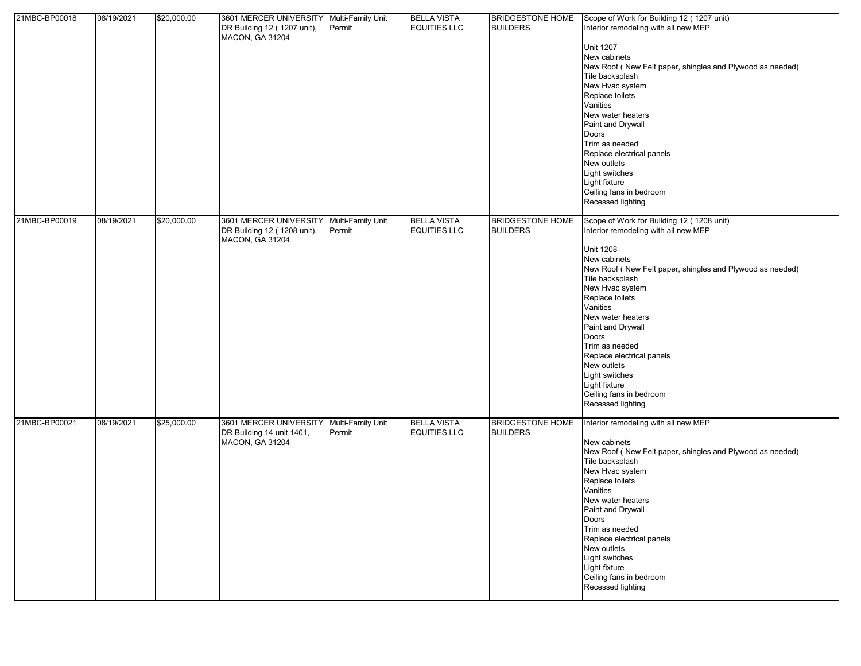| 21MBC-BP00018 | 08/19/2021 | \$20,000.00 | 3601 MERCER UNIVERSITY Multi-Family Unit<br>DR Building 12 (1207 unit),<br><b>MACON, GA 31204</b> | Permit                      | <b>BELLA VISTA</b><br><b>EQUITIES LLC</b> | <b>BRIDGESTONE HOME</b><br><b>BUILDERS</b> | Scope of Work for Building 12 (1207 unit)<br>Interior remodeling with all new MEP<br><b>Unit 1207</b><br>New cabinets<br>New Roof (New Felt paper, shingles and Plywood as needed)<br>Tile backsplash<br>New Hvac system<br>Replace toilets<br>Vanities<br>New water heaters<br>Paint and Drywall<br>Doors<br>Trim as needed<br>Replace electrical panels<br>New outlets<br>Light switches<br>Light fixture<br>Ceiling fans in bedroom<br>Recessed lighting |
|---------------|------------|-------------|---------------------------------------------------------------------------------------------------|-----------------------------|-------------------------------------------|--------------------------------------------|-------------------------------------------------------------------------------------------------------------------------------------------------------------------------------------------------------------------------------------------------------------------------------------------------------------------------------------------------------------------------------------------------------------------------------------------------------------|
| 21MBC-BP00019 | 08/19/2021 | \$20,000.00 | 3601 MERCER UNIVERSITY<br>DR Building 12 (1208 unit),<br><b>MACON, GA 31204</b>                   | Multi-Family Unit<br>Permit | <b>BELLA VISTA</b><br><b>EQUITIES LLC</b> | <b>BRIDGESTONE HOME</b><br><b>BUILDERS</b> | Scope of Work for Building 12 (1208 unit)<br>Interior remodeling with all new MEP<br><b>Unit 1208</b><br>New cabinets<br>New Roof (New Felt paper, shingles and Plywood as needed)<br>Tile backsplash<br>New Hvac system<br>Replace toilets<br>Vanities<br>New water heaters<br>Paint and Drywall<br>Doors<br>Trim as needed<br>Replace electrical panels<br>New outlets<br>Light switches<br>Light fixture<br>Ceiling fans in bedroom<br>Recessed lighting |
| 21MBC-BP00021 | 08/19/2021 | \$25,000.00 | 3601 MERCER UNIVERSITY<br>DR Building 14 unit 1401,<br><b>MACON, GA 31204</b>                     | Multi-Family Unit<br>Permit | <b>BELLA VISTA</b><br><b>EQUITIES LLC</b> | <b>BRIDGESTONE HOME</b><br><b>BUILDERS</b> | Interior remodeling with all new MEP<br>New cabinets<br>New Roof (New Felt paper, shingles and Plywood as needed)<br>Tile backsplash<br>New Hvac system<br>Replace toilets<br>Vanities<br>New water heaters<br>Paint and Drywall<br>Doors<br>Trim as needed<br>Replace electrical panels<br>New outlets<br><b>Light switches</b><br>Light fixture<br>Ceiling fans in bedroom<br>Recessed lighting                                                           |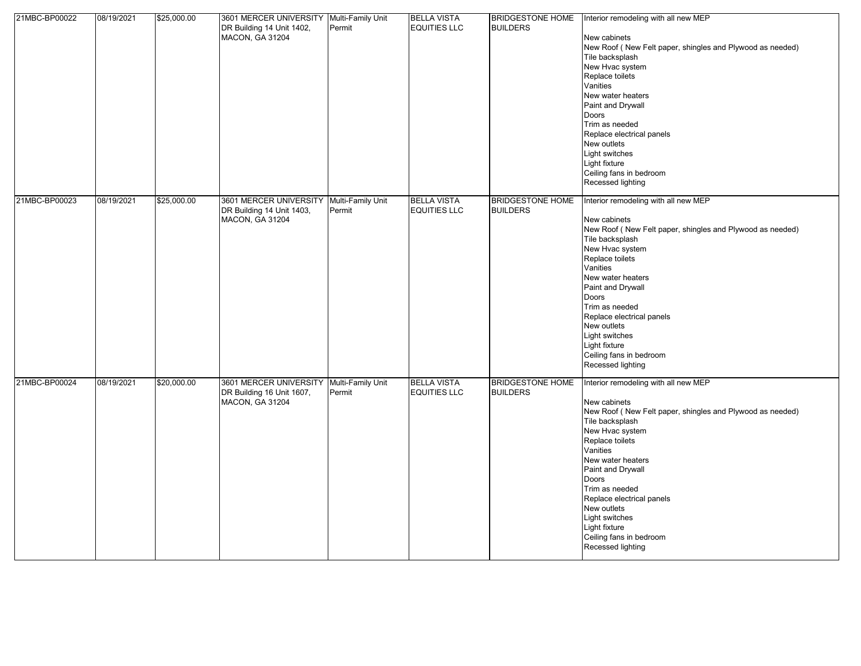| 21MBC-BP00022 | 08/19/2021 | \$25,000.00 | 3601 MERCER UNIVERSITY Multi-Family Unit<br>DR Building 14 Unit 1402,<br>MACON, GA 31204 | Permit                      | <b>BELLA VISTA</b><br><b>EQUITIES LLC</b> | <b>BRIDGESTONE HOME</b><br><b>BUILDERS</b> | Interior remodeling with all new MEP<br>New cabinets<br>New Roof (New Felt paper, shingles and Plywood as needed)<br>Tile backsplash<br>New Hvac system<br>Replace toilets<br>Vanities<br>New water heaters<br>Paint and Drywall<br>Doors<br>Trim as needed<br>Replace electrical panels<br>New outlets<br>Light switches<br>Light fixture<br>Ceiling fans in bedroom<br>Recessed lighting |
|---------------|------------|-------------|------------------------------------------------------------------------------------------|-----------------------------|-------------------------------------------|--------------------------------------------|--------------------------------------------------------------------------------------------------------------------------------------------------------------------------------------------------------------------------------------------------------------------------------------------------------------------------------------------------------------------------------------------|
| 21MBC-BP00023 | 08/19/2021 | \$25,000.00 | 3601 MERCER UNIVERSITY<br>DR Building 14 Unit 1403,<br><b>MACON, GA 31204</b>            | Multi-Family Unit<br>Permit | <b>BELLA VISTA</b><br><b>EQUITIES LLC</b> | <b>BRIDGESTONE HOME</b><br><b>BUILDERS</b> | Interior remodeling with all new MEP<br>New cabinets<br>New Roof (New Felt paper, shingles and Plywood as needed)<br>Tile backsplash<br>New Hvac system<br>Replace toilets<br>Vanities<br>New water heaters<br>Paint and Drywall<br>Doors<br>Trim as needed<br>Replace electrical panels<br>New outlets<br>Light switches<br>Light fixture<br>Ceiling fans in bedroom<br>Recessed lighting |
| 21MBC-BP00024 | 08/19/2021 | \$20,000.00 | 3601 MERCER UNIVERSITY<br>DR Building 16 Unit 1607,<br>MACON, GA 31204                   | Multi-Family Unit<br>Permit | <b>BELLA VISTA</b><br><b>EQUITIES LLC</b> | <b>BRIDGESTONE HOME</b><br><b>BUILDERS</b> | Interior remodeling with all new MEP<br>New cabinets<br>New Roof (New Felt paper, shingles and Plywood as needed)<br>Tile backsplash<br>New Hvac system<br>Replace toilets<br>Vanities<br>New water heaters<br>Paint and Drywall<br>Doors<br>Trim as needed<br>Replace electrical panels<br>New outlets<br>Light switches<br>Light fixture<br>Ceiling fans in bedroom<br>Recessed lighting |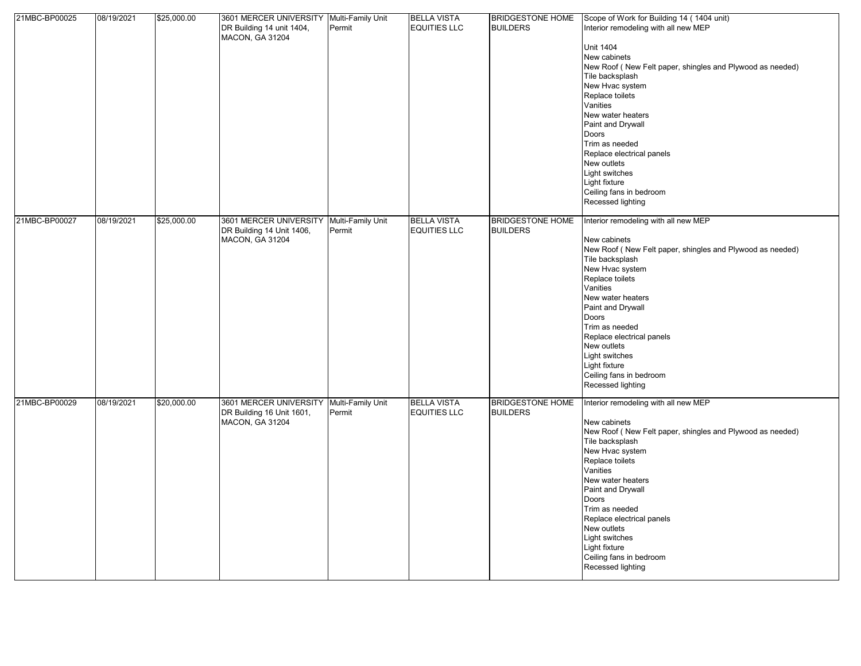| 21MBC-BP00025 | 08/19/2021 | \$25,000.00 | 3601 MERCER UNIVERSITY Multi-Family Unit<br>DR Building 14 unit 1404,<br><b>MACON, GA 31204</b> | Permit                      | <b>BELLA VISTA</b><br><b>EQUITIES LLC</b> | <b>BRIDGESTONE HOME</b><br><b>BUILDERS</b> | Scope of Work for Building 14 (1404 unit)<br>Interior remodeling with all new MEP<br><b>Unit 1404</b><br>New cabinets<br>New Roof (New Felt paper, shingles and Plywood as needed)<br>Tile backsplash<br>New Hvac system<br>Replace toilets<br>Vanities<br>New water heaters<br>Paint and Drywall<br>Doors<br>Trim as needed<br>Replace electrical panels<br>New outlets<br>Light switches        |
|---------------|------------|-------------|-------------------------------------------------------------------------------------------------|-----------------------------|-------------------------------------------|--------------------------------------------|---------------------------------------------------------------------------------------------------------------------------------------------------------------------------------------------------------------------------------------------------------------------------------------------------------------------------------------------------------------------------------------------------|
|               |            |             |                                                                                                 |                             |                                           |                                            | Light fixture<br>Ceiling fans in bedroom<br>Recessed lighting                                                                                                                                                                                                                                                                                                                                     |
| 21MBC-BP00027 | 08/19/2021 | \$25,000.00 | 3601 MERCER UNIVERSITY<br>DR Building 14 Unit 1406,<br><b>MACON, GA 31204</b>                   | Multi-Family Unit<br>Permit | <b>BELLA VISTA</b><br><b>EQUITIES LLC</b> | <b>BRIDGESTONE HOME</b><br><b>BUILDERS</b> | Interior remodeling with all new MEP<br>New cabinets<br>New Roof (New Felt paper, shingles and Plywood as needed)<br>Tile backsplash<br>New Hvac system<br>Replace toilets<br>Vanities<br>New water heaters<br>Paint and Drywall<br>Doors<br>Trim as needed<br>Replace electrical panels<br>New outlets<br><b>Light switches</b><br>Light fixture<br>Ceiling fans in bedroom<br>Recessed lighting |
| 21MBC-BP00029 | 08/19/2021 | \$20,000.00 | 3601 MERCER UNIVERSITY<br>DR Building 16 Unit 1601,<br>MACON, GA 31204                          | Multi-Family Unit<br>Permit | <b>BELLA VISTA</b><br><b>EQUITIES LLC</b> | <b>BRIDGESTONE HOME</b><br><b>BUILDERS</b> | Interior remodeling with all new MEP<br>New cabinets<br>New Roof (New Felt paper, shingles and Plywood as needed)<br>Tile backsplash<br>New Hvac system<br>Replace toilets<br>Vanities<br>New water heaters<br>Paint and Drywall<br>Doors<br>Trim as needed<br>Replace electrical panels<br>New outlets<br>Light switches<br>Light fixture<br>Ceiling fans in bedroom<br>Recessed lighting        |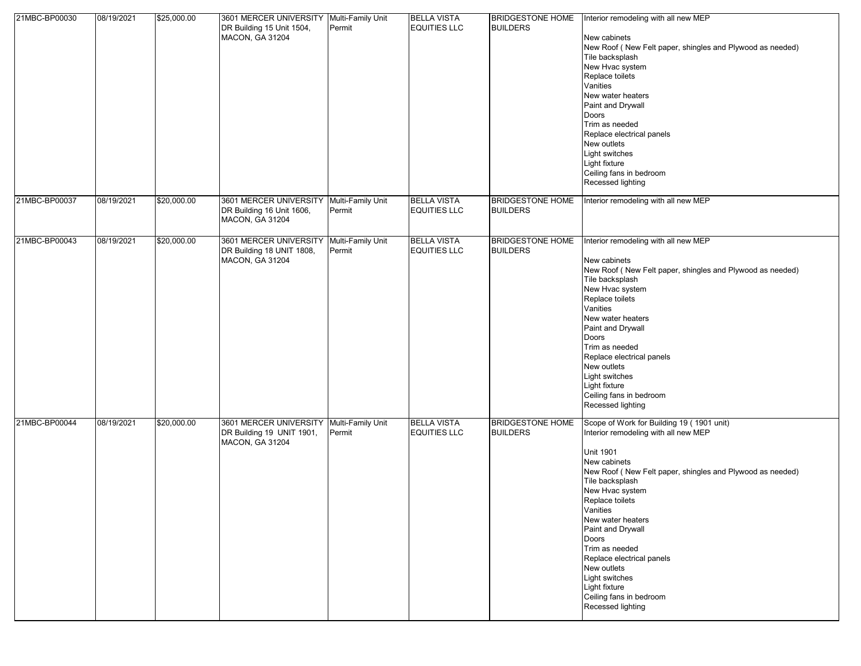| 21MBC-BP00030 | 08/19/2021 | \$25,000.00 | 3601 MERCER UNIVERSITY Multi-Family Unit<br>DR Building 15 Unit 1504,<br>MACON, GA 31204 | Permit                      | <b>BELLA VISTA</b><br><b>EQUITIES LLC</b> | <b>BRIDGESTONE HOME</b><br><b>BUILDERS</b> | Interior remodeling with all new MEP<br>New cabinets<br>New Roof (New Felt paper, shingles and Plywood as needed)<br>Tile backsplash<br>New Hvac system<br>Replace toilets<br>Vanities<br>New water heaters<br>Paint and Drywall<br>Doors<br>Trim as needed<br>Replace electrical panels<br>New outlets<br>Light switches<br>Light fixture<br>Ceiling fans in bedroom<br>Recessed lighting                                                                  |
|---------------|------------|-------------|------------------------------------------------------------------------------------------|-----------------------------|-------------------------------------------|--------------------------------------------|-------------------------------------------------------------------------------------------------------------------------------------------------------------------------------------------------------------------------------------------------------------------------------------------------------------------------------------------------------------------------------------------------------------------------------------------------------------|
| 21MBC-BP00037 | 08/19/2021 | \$20,000.00 | 3601 MERCER UNIVERSITY<br>DR Building 16 Unit 1606,<br><b>MACON, GA 31204</b>            | Multi-Family Unit<br>Permit | <b>BELLA VISTA</b><br><b>EQUITIES LLC</b> | <b>BRIDGESTONE HOME</b><br><b>BUILDERS</b> | Interior remodeling with all new MEP                                                                                                                                                                                                                                                                                                                                                                                                                        |
| 21MBC-BP00043 | 08/19/2021 | \$20,000.00 | 3601 MERCER UNIVERSITY<br>DR Building 18 UNIT 1808,<br><b>MACON, GA 31204</b>            | Multi-Family Unit<br>Permit | <b>BELLA VISTA</b><br><b>EQUITIES LLC</b> | <b>BRIDGESTONE HOME</b><br><b>BUILDERS</b> | Interior remodeling with all new MEP<br>New cabinets<br>New Roof (New Felt paper, shingles and Plywood as needed)<br>Tile backsplash<br>New Hvac system<br>Replace toilets<br>Vanities<br>New water heaters<br>Paint and Drywall<br>Doors<br>Trim as needed<br>Replace electrical panels<br>New outlets<br>Light switches<br>Light fixture<br>Ceiling fans in bedroom<br>Recessed lighting                                                                  |
| 21MBC-BP00044 | 08/19/2021 | \$20,000.00 | 3601 MERCER UNIVERSITY<br>DR Building 19 UNIT 1901,<br>MACON, GA 31204                   | Multi-Family Unit<br>Permit | <b>BELLA VISTA</b><br><b>EQUITIES LLC</b> | <b>BRIDGESTONE HOME</b><br><b>BUILDERS</b> | Scope of Work for Building 19 (1901 unit)<br>Interior remodeling with all new MEP<br><b>Unit 1901</b><br>New cabinets<br>New Roof (New Felt paper, shingles and Plywood as needed)<br>Tile backsplash<br>New Hvac system<br>Replace toilets<br>Vanities<br>New water heaters<br>Paint and Drywall<br>Doors<br>Trim as needed<br>Replace electrical panels<br>New outlets<br>Light switches<br>Light fixture<br>Ceiling fans in bedroom<br>Recessed lighting |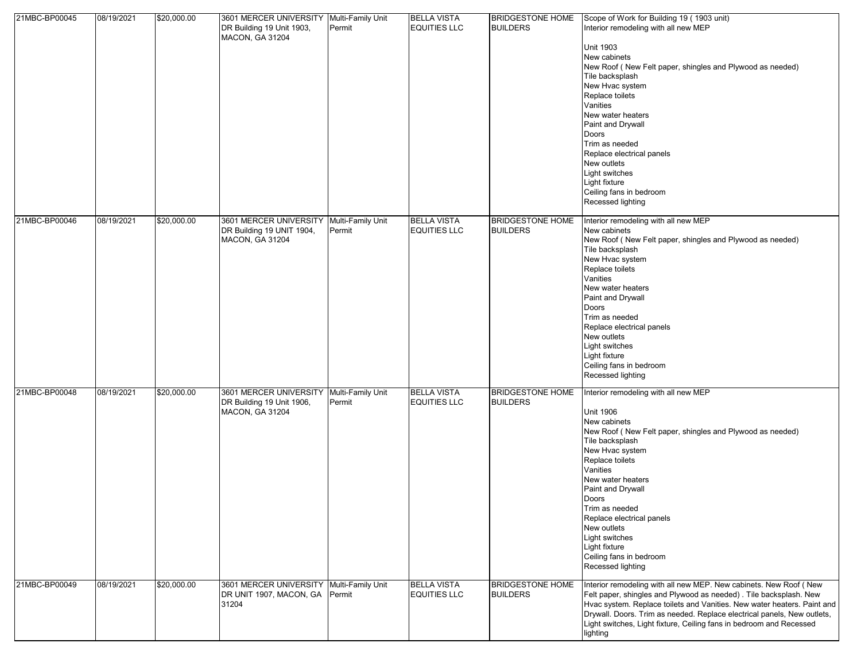| 21MBC-BP00045 | 08/19/2021 | \$20,000.00 | 3601 MERCER UNIVERSITY Multi-Family Unit<br>DR Building 19 Unit 1903,<br><b>MACON, GA 31204</b> | Permit                      | <b>BELLA VISTA</b><br><b>EQUITIES LLC</b> | <b>BRIDGESTONE HOME</b><br><b>BUILDERS</b> | Scope of Work for Building 19 (1903 unit)<br>Interior remodeling with all new MEP<br><b>Unit 1903</b><br>New cabinets<br>New Roof (New Felt paper, shingles and Plywood as needed)<br>Tile backsplash<br>New Hvac system<br>Replace toilets<br>Vanities<br>New water heaters<br>Paint and Drywall<br>Doors<br>Trim as needed<br>Replace electrical panels<br>New outlets<br>Light switches<br>Light fixture<br>Ceiling fans in bedroom<br>Recessed lighting |
|---------------|------------|-------------|-------------------------------------------------------------------------------------------------|-----------------------------|-------------------------------------------|--------------------------------------------|-------------------------------------------------------------------------------------------------------------------------------------------------------------------------------------------------------------------------------------------------------------------------------------------------------------------------------------------------------------------------------------------------------------------------------------------------------------|
| 21MBC-BP00046 | 08/19/2021 | \$20,000.00 | 3601 MERCER UNIVERSITY<br>DR Building 19 UNIT 1904,<br>MACON, GA 31204                          | Multi-Family Unit<br>Permit | <b>BELLA VISTA</b><br><b>EQUITIES LLC</b> | <b>BRIDGESTONE HOME</b><br><b>BUILDERS</b> | Interior remodeling with all new MEP<br>New cabinets<br>New Roof (New Felt paper, shingles and Plywood as needed)<br>Tile backsplash<br>New Hvac system<br>Replace toilets<br>Vanities<br>New water heaters<br>Paint and Drywall<br>Doors<br>Trim as needed<br>Replace electrical panels<br>New outlets<br>Light switches<br>Light fixture<br>Ceiling fans in bedroom<br>Recessed lighting                                                                  |
| 21MBC-BP00048 | 08/19/2021 | \$20,000.00 | 3601 MERCER UNIVERSITY Multi-Family Unit<br>DR Building 19 Unit 1906,<br><b>MACON, GA 31204</b> | Permit                      | <b>BELLA VISTA</b><br><b>EQUITIES LLC</b> | <b>BRIDGESTONE HOME</b><br><b>BUILDERS</b> | Interior remodeling with all new MEP<br><b>Unit 1906</b><br>New cabinets<br>New Roof (New Felt paper, shingles and Plywood as needed)<br>Tile backsplash<br>New Hvac system<br>Replace toilets<br>Vanities<br>New water heaters<br>Paint and Drywall<br>Doors<br>Trim as needed<br>Replace electrical panels<br>New outlets<br>Light switches<br>Light fixture<br>Ceiling fans in bedroom<br>Recessed lighting                                              |
| 21MBC-BP00049 | 08/19/2021 | \$20,000.00 | 3601 MERCER UNIVERSITY Multi-Family Unit<br>DR UNIT 1907, MACON, GA<br>31204                    | Permit                      | <b>BELLA VISTA</b><br><b>EQUITIES LLC</b> | <b>BRIDGESTONE HOME</b><br><b>BUILDERS</b> | Interior remodeling with all new MEP. New cabinets. New Roof (New<br>Felt paper, shingles and Plywood as needed). Tile backsplash. New<br>Hvac system. Replace toilets and Vanities. New water heaters. Paint and<br>Drywall. Doors. Trim as needed. Replace electrical panels, New outlets,<br>Light switches, Light fixture, Ceiling fans in bedroom and Recessed<br>lighting                                                                             |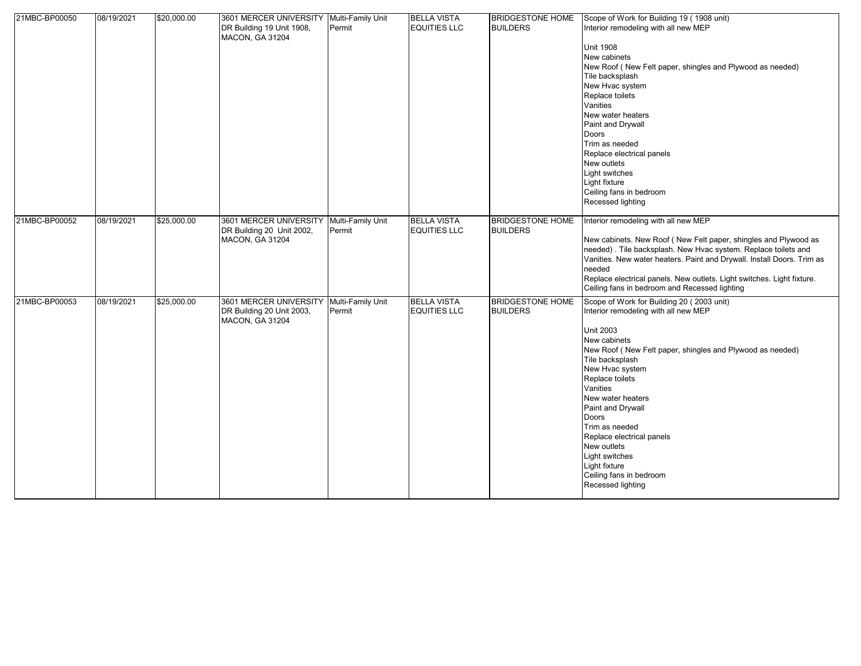| 21MBC-BP00050 | 08/19/2021 | \$20,000.00 | 3601 MERCER UNIVERSITY Multi-Family Unit<br>DR Building 19 Unit 1908,<br>MACON, GA 31204 | Permit                      | <b>BELLA VISTA</b><br><b>EQUITIES LLC</b> | <b>BRIDGESTONE HOME</b><br><b>BUILDERS</b> | Scope of Work for Building 19 (1908 unit)<br>Interior remodeling with all new MEP<br><b>Unit 1908</b><br>New cabinets<br>New Roof (New Felt paper, shingles and Plywood as needed)<br>Tile backsplash<br>New Hvac system<br>Replace toilets<br>Vanities<br>New water heaters<br>Paint and Drywall<br>Doors<br>Trim as needed<br>Replace electrical panels<br>New outlets<br>Light switches<br>Light fixture<br>Ceiling fans in bedroom<br>Recessed lighting |
|---------------|------------|-------------|------------------------------------------------------------------------------------------|-----------------------------|-------------------------------------------|--------------------------------------------|-------------------------------------------------------------------------------------------------------------------------------------------------------------------------------------------------------------------------------------------------------------------------------------------------------------------------------------------------------------------------------------------------------------------------------------------------------------|
| 21MBC-BP00052 | 08/19/2021 | \$25,000.00 | 3601 MERCER UNIVERSITY<br>DR Building 20 Unit 2002,<br><b>MACON, GA 31204</b>            | Multi-Family Unit<br>Permit | <b>BELLA VISTA</b><br><b>EQUITIES LLC</b> | <b>BRIDGESTONE HOME</b><br><b>BUILDERS</b> | Interior remodeling with all new MEP<br>New cabinets. New Roof (New Felt paper, shingles and Plywood as<br>needed). Tile backsplash. New Hvac system. Replace toilets and<br>Vanities. New water heaters. Paint and Drywall. Install Doors. Trim as<br>needed<br>Replace electrical panels. New outlets. Light switches. Light fixture.<br>Ceiling fans in bedroom and Recessed lighting                                                                    |
| 21MBC-BP00053 | 08/19/2021 | \$25,000.00 | 3601 MERCER UNIVERSITY<br>DR Building 20 Unit 2003,<br><b>MACON, GA 31204</b>            | Multi-Family Unit<br>Permit | <b>BELLA VISTA</b><br><b>EQUITIES LLC</b> | <b>BRIDGESTONE HOME</b><br><b>BUILDERS</b> | Scope of Work for Building 20 (2003 unit)<br>Interior remodeling with all new MEP<br><b>Unit 2003</b><br>New cabinets<br>New Roof (New Felt paper, shingles and Plywood as needed)<br>Tile backsplash<br>New Hvac system<br>Replace toilets<br>Vanities<br>New water heaters<br>Paint and Drywall<br>Doors<br>Trim as needed<br>Replace electrical panels<br>New outlets<br>Light switches<br>Light fixture<br>Ceiling fans in bedroom<br>Recessed lighting |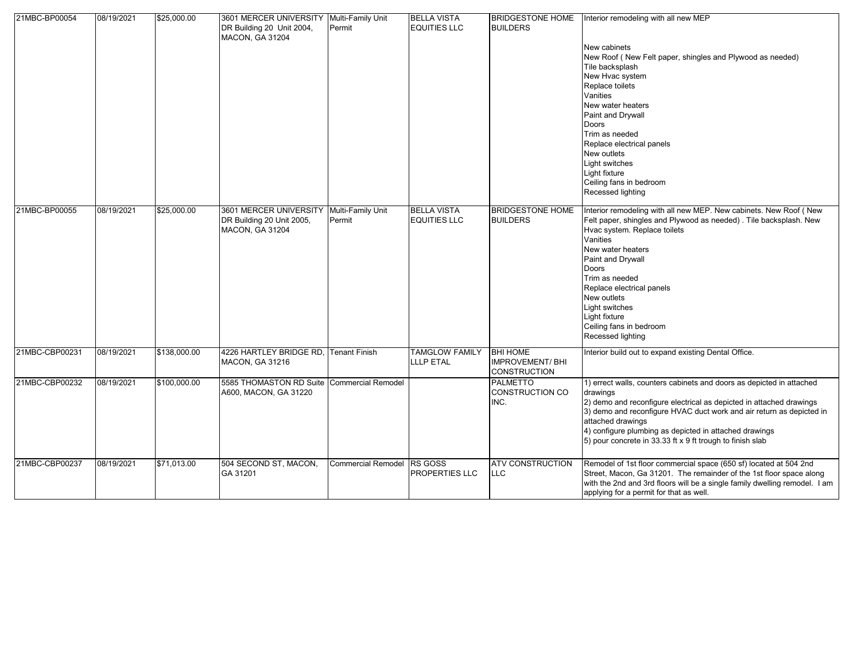| 21MBC-BP00054  | 08/19/2021 | \$25,000.00  | 3601 MERCER UNIVERSITY Multi-Family Unit<br>DR Building 20 Unit 2004,<br><b>MACON, GA 31204</b> | Permit                      | <b>BELLA VISTA</b><br><b>EQUITIES LLC</b> | <b>BRIDGESTONE HOME</b><br><b>BUILDERS</b>                       | Interior remodeling with all new MEP<br>New cabinets<br>New Roof (New Felt paper, shingles and Plywood as needed)<br>Tile backsplash<br>New Hvac system<br>Replace toilets<br>Vanities<br>New water heaters<br>Paint and Drywall<br>Doors<br>Trim as needed<br>Replace electrical panels<br>New outlets<br>Light switches<br>Light fixture<br>Ceiling fans in bedroom<br>Recessed lighting |
|----------------|------------|--------------|-------------------------------------------------------------------------------------------------|-----------------------------|-------------------------------------------|------------------------------------------------------------------|--------------------------------------------------------------------------------------------------------------------------------------------------------------------------------------------------------------------------------------------------------------------------------------------------------------------------------------------------------------------------------------------|
| 21MBC-BP00055  | 08/19/2021 | \$25,000.00  | 3601 MERCER UNIVERSITY<br>DR Building 20 Unit 2005,<br><b>MACON, GA 31204</b>                   | Multi-Family Unit<br>Permit | <b>BELLA VISTA</b><br><b>EQUITIES LLC</b> | <b>BRIDGESTONE HOME</b><br><b>BUILDERS</b>                       | Interior remodeling with all new MEP. New cabinets. New Roof (New<br>Felt paper, shingles and Plywood as needed) . Tile backsplash. New<br>Hvac system. Replace toilets<br>Vanities<br>New water heaters<br>Paint and Drywall<br>Doors<br>Trim as needed<br>Replace electrical panels<br>New outlets<br>Light switches<br>Light fixture<br>Ceiling fans in bedroom<br>Recessed lighting    |
| 21MBC-CBP00231 | 08/19/2021 | \$138,000.00 | 4226 HARTLEY BRIDGE RD.<br><b>MACON, GA 31216</b>                                               | <b>Tenant Finish</b>        | <b>TAMGLOW FAMILY</b><br><b>LLLP ETAL</b> | <b>BHI HOME</b><br><b>IMPROVEMENT/BHI</b><br><b>CONSTRUCTION</b> | Interior build out to expand existing Dental Office.                                                                                                                                                                                                                                                                                                                                       |
| 21MBC-CBP00232 | 08/19/2021 | \$100,000.00 | 5585 THOMASTON RD Suite<br>A600, MACON, GA 31220                                                | <b>Commercial Remodel</b>   |                                           | <b>PALMETTO</b><br>CONSTRUCTION CO<br>INC.                       | 1) errect walls, counters cabinets and doors as depicted in attached<br>drawings<br>2) demo and reconfigure electrical as depicted in attached drawings<br>3) demo and reconfigure HVAC duct work and air return as depicted in<br>attached drawings<br>4) configure plumbing as depicted in attached drawings<br>5) pour concrete in 33.33 ft x 9 ft trough to finish slab                |
| 21MBC-CBP00237 | 08/19/2021 | \$71,013.00  | 504 SECOND ST, MACON,<br>GA 31201                                                               | <b>Commercial Remodel</b>   | <b>RS GOSS</b><br>PROPERTIES LLC          | <b>ATV CONSTRUCTION</b><br>LLC                                   | Remodel of 1st floor commercial space (650 sf) located at 504 2nd<br>Street, Macon, Ga 31201. The remainder of the 1st floor space along<br>with the 2nd and 3rd floors will be a single family dwelling remodel. I am<br>applying for a permit for that as well.                                                                                                                          |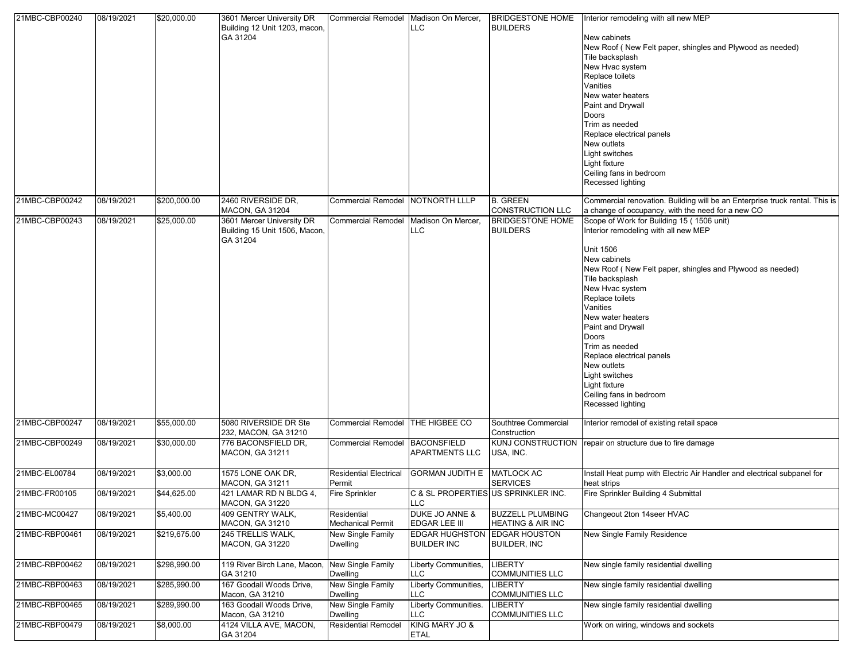| 21MBC-CBP00240 | 08/19/2021 | \$20,000.00  | 3601 Mercer University DR<br>Building 12 Unit 1203, macon,<br>GA 31204 | Commercial Remodel Madison On Mercer,   | <b>LLC</b>                                         | <b>BUILDERS</b>                                         | BRIDGESTONE HOME   Interior remodeling with all new MEP<br>New cabinets<br>New Roof (New Felt paper, shingles and Plywood as needed)<br>Tile backsplash<br>New Hvac system<br>Replace toilets<br>Vanities<br>New water heaters<br>Paint and Drywall<br><b>Doors</b><br>Trim as needed<br>Replace electrical panels<br>New outlets<br>Light switches<br>Light fixture<br>Ceiling fans in bedroom<br>Recessed lighting                                               |
|----------------|------------|--------------|------------------------------------------------------------------------|-----------------------------------------|----------------------------------------------------|---------------------------------------------------------|--------------------------------------------------------------------------------------------------------------------------------------------------------------------------------------------------------------------------------------------------------------------------------------------------------------------------------------------------------------------------------------------------------------------------------------------------------------------|
| 21MBC-CBP00242 | 08/19/2021 | \$200,000.00 | 2460 RIVERSIDE DR.<br><b>MACON, GA 31204</b>                           | Commercial Remodel NOTNORTH LLLP        |                                                    | <b>B. GREEN</b><br><b>CONSTRUCTION LLC</b>              | Commercial renovation. Building will be an Enterprise truck rental. This is<br>a change of occupancy, with the need for a new CO                                                                                                                                                                                                                                                                                                                                   |
| 21MBC-CBP00243 | 08/19/2021 | \$25,000.00  | 3601 Mercer University DR<br>Building 15 Unit 1506, Macon,<br>GA 31204 | <b>Commercial Remodel</b>               | Madison On Mercer,<br><b>LLC</b>                   | <b>BRIDGESTONE HOME</b><br><b>BUILDERS</b>              | Scope of Work for Building 15 (1506 unit)<br>Interior remodeling with all new MEP<br><b>Unit 1506</b><br>New cabinets<br>New Roof (New Felt paper, shingles and Plywood as needed)<br>Tile backsplash<br>New Hvac system<br>Replace toilets<br>Vanities<br>New water heaters<br>Paint and Drywall<br><b>Doors</b><br>Trim as needed<br>Replace electrical panels<br>New outlets<br>Light switches<br>Light fixture<br>Ceiling fans in bedroom<br>Recessed lighting |
| 21MBC-CBP00247 | 08/19/2021 | \$55,000.00  | 5080 RIVERSIDE DR Ste<br>232, MACON, GA 31210                          | <b>Commercial Remodel</b>               | THE HIGBEE CO                                      | Southtree Commercial<br>Construction                    | Interior remodel of existing retail space                                                                                                                                                                                                                                                                                                                                                                                                                          |
| 21MBC-CBP00249 | 08/19/2021 | \$30,000.00  | 776 BACONSFIELD DR.<br>MACON, GA 31211                                 | <b>Commercial Remodel</b>               | BACONSFIELD<br><b>APARTMENTS LLC</b>               | USA, INC.                                               | KUNJ CONSTRUCTION   repair on structure due to fire damage                                                                                                                                                                                                                                                                                                                                                                                                         |
| 21MBC-EL00784  | 08/19/2021 | \$3,000.00   | 1575 LONE OAK DR,<br><b>MACON, GA 31211</b>                            | <b>Residential Electrical</b><br>Permit | <b>GORMAN JUDITH E</b>                             | <b>MATLOCK AC</b><br><b>SERVICES</b>                    | Install Heat pump with Electric Air Handler and electrical subpanel for<br>heat strips                                                                                                                                                                                                                                                                                                                                                                             |
| 21MBC-FR00105  | 08/19/2021 | \$44,625.00  | 421 LAMAR RD N BLDG 4,<br>MACON, GA 31220                              | Fire Sprinkler                          | C & SL PROPERTIES US SPRINKLER INC.<br>LLU         |                                                         | Fire Sprinkler Building 4 Submittal                                                                                                                                                                                                                                                                                                                                                                                                                                |
| 21MBC-MC00427  | 08/19/2021 | \$5,400.00   | 409 GENTRY WALK.<br>MACON, GA 31210                                    | Residential<br>Mechanical Permit        | DUKE JO ANNE &<br>EDGAR LEE III                    | <b>BUZZELL PLUMBING</b><br><b>HEATING &amp; AIR INC</b> | Changeout 2ton 14seer HVAC                                                                                                                                                                                                                                                                                                                                                                                                                                         |
| 21MBC-RBP00461 | 08/19/2021 | \$219,675.00 | 245 TRELLIS WALK,<br><b>MACON, GA 31220</b>                            | New Single Family<br>Dwelling           | EDGAR HUGHSTON EDGAR HOUSTON<br><b>BUILDER INC</b> | <b>BUILDER, INC</b>                                     | New Single Family Residence                                                                                                                                                                                                                                                                                                                                                                                                                                        |
| 21MBC-RBP00462 | 08/19/2021 | \$298,990.00 | 119 River Birch Lane, Macon,<br>GA 31210                               | New Single Family<br>Dwelling           | Liberty Communities,<br><b>LLC</b>                 | <b>LIBERTY</b><br><b>COMMUNITIES LLC</b>                | New single family residential dwelling                                                                                                                                                                                                                                                                                                                                                                                                                             |
| 21MBC-RBP00463 | 08/19/2021 | \$285,990.00 | 167 Goodall Woods Drive,<br>Macon, GA 31210                            | New Single Family<br>Dwelling           | Liberty Communities,<br><b>LLC</b>                 | <b>LIBERTY</b><br><b>COMMUNITIES LLC</b>                | New single family residential dwelling                                                                                                                                                                                                                                                                                                                                                                                                                             |
| 21MBC-RBP00465 | 08/19/2021 | \$289,990.00 | 163 Goodall Woods Drive,<br>Macon, GA 31210                            | New Single Family<br>Dwelling           | Liberty Communities.<br>LLC                        | <b>LIBERTY</b><br><b>COMMUNITIES LLC</b>                | New single family residential dwelling                                                                                                                                                                                                                                                                                                                                                                                                                             |
| 21MBC-RBP00479 | 08/19/2021 | \$8,000.00   | 4124 VILLA AVE, MACON,<br>GA 31204                                     | <b>Residential Remodel</b>              | KING MARY JO &<br><b>ETAL</b>                      |                                                         | Work on wiring, windows and sockets                                                                                                                                                                                                                                                                                                                                                                                                                                |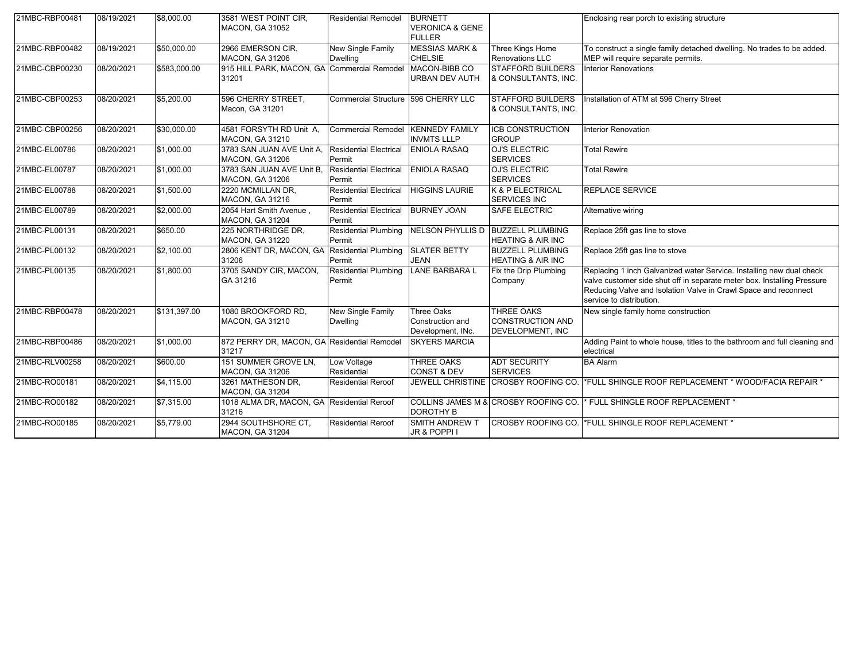| 21MBC-RBP00481 | 08/19/2021 | \$8,000.00         | 3581 WEST POINT CIR,                                 | <b>Residential Remodel</b>                  | <b>BURNETT</b>                                             |                                                                     | Enclosing rear porch to existing structure                                                                                                                                                                                                     |
|----------------|------------|--------------------|------------------------------------------------------|---------------------------------------------|------------------------------------------------------------|---------------------------------------------------------------------|------------------------------------------------------------------------------------------------------------------------------------------------------------------------------------------------------------------------------------------------|
|                |            |                    | <b>MACON, GA 31052</b>                               |                                             | <b>VERONICA &amp; GENE</b><br><b>FULLER</b>                |                                                                     |                                                                                                                                                                                                                                                |
| 21MBC-RBP00482 | 08/19/2021 | \$50,000.00        | 2966 EMERSON CIR,<br><b>MACON, GA 31206</b>          | New Single Family<br>Dwelling               | <b>MESSIAS MARK &amp;</b><br><b>CHELSIE</b>                | Three Kings Home<br><b>Renovations LLC</b>                          | To construct a single family detached dwelling. No trades to be added.<br>MEP will require separate permits.                                                                                                                                   |
| 21MBC-CBP00230 | 08/20/2021 | \$583,000.00       | 915 HILL PARK, MACON, GA Commercial Remodel<br>31201 |                                             | MACON-BIBB CO<br><b>URBAN DEV AUTH</b>                     | <b>STAFFORD BUILDERS</b><br>& CONSULTANTS. INC.                     | <b>Interior Renovations</b>                                                                                                                                                                                                                    |
| 21MBC-CBP00253 | 08/20/2021 | \$5,200.00         | 596 CHERRY STREET,<br>Macon, GA 31201                | Commercial Structure 596 CHERRY LLC         |                                                            | <b>STAFFORD BUILDERS</b><br>& CONSULTANTS, INC.                     | Installation of ATM at 596 Cherry Street                                                                                                                                                                                                       |
| 21MBC-CBP00256 | 08/20/2021 | \$30,000.00        | 4581 FORSYTH RD Unit A,<br>MACON, GA 31210           | <b>Commercial Remodel</b>                   | <b>KENNEDY FAMILY</b><br><b>INVMTS LLLP</b>                | <b>ICB CONSTRUCTION</b><br><b>GROUP</b>                             | <b>Interior Renovation</b>                                                                                                                                                                                                                     |
| 21MBC-EL00786  | 08/20/2021 | \$1,000.00         | 3783 SAN JUAN AVE Unit A,<br><b>MACON, GA 31206</b>  | <b>Residential Electrical</b><br>Permit     | <b>ENIOLA RASAQ</b>                                        | <b>OJ'S ELECTRIC</b><br><b>SERVICES</b>                             | <b>Total Rewire</b>                                                                                                                                                                                                                            |
| 21MBC-EL00787  | 08/20/2021 | \$1,000.00         | 3783 SAN JUAN AVE Unit B.<br><b>MACON, GA 31206</b>  | <b>Residential Electrical</b><br>Permit     | <b>ENIOLA RASAQ</b>                                        | <b>OJ'S ELECTRIC</b><br><b>SERVICES</b>                             | <b>Total Rewire</b>                                                                                                                                                                                                                            |
| 21MBC-EL00788  | 08/20/2021 | \$1,500.00         | 2220 MCMILLAN DR,<br><b>MACON, GA 31216</b>          | <b>Residential Electrical</b><br>Permit     | <b>HIGGINS LAURIE</b>                                      | K & P ELECTRICAL<br><b>SERVICES INC</b>                             | <b>REPLACE SERVICE</b>                                                                                                                                                                                                                         |
| 21MBC-EL00789  | 08/20/2021 | \$2,000.00         | 2054 Hart Smith Avenue,<br>MACON, GA 31204           | <b>Residential Electrical</b><br>Permit     | <b>BURNEY JOAN</b>                                         | <b>SAFE ELECTRIC</b>                                                | Alternative wiring                                                                                                                                                                                                                             |
| 21MBC-PL00131  | 08/20/2021 | \$650.00           | 225 NORTHRIDGE DR.<br><b>MACON, GA 31220</b>         | <b>Residential Plumbing</b><br>Permit       |                                                            | NELSON PHYLLIS D   BUZZELL PLUMBING<br><b>HEATING &amp; AIR INC</b> | Replace 25ft gas line to stove                                                                                                                                                                                                                 |
| 21MBC-PL00132  | 08/20/2021 | $\sqrt{$2,100.00}$ | 2806 KENT DR, MACON, GA<br>31206                     | <b>Residential Plumbing</b><br>Permit       | <b>SLATER BETTY</b><br><b>JEAN</b>                         | <b>BUZZELL PLUMBING</b><br><b>HEATING &amp; AIR INC</b>             | Replace 25ft gas line to stove                                                                                                                                                                                                                 |
| 21MBC-PL00135  | 08/20/2021 | \$1,800.00         | 3705 SANDY CIR, MACON,<br>GA 31216                   | <b>Residential Plumbing</b><br>Permit       | <b>LANE BARBARA L</b>                                      | Fix the Drip Plumbing<br>Company                                    | Replacing 1 inch Galvanized water Service. Installing new dual check<br>valve customer side shut off in separate meter box. Installing Pressure<br>Reducing Valve and Isolation Valve in Crawl Space and reconnect<br>service to distribution. |
| 21MBC-RBP00478 | 08/20/2021 | \$131,397.00       | 1080 BROOKFORD RD,<br>MACON, GA 31210                | <b>New Single Family</b><br><b>Dwelling</b> | <b>Three Oaks</b><br>Construction and<br>Development, INc. | <b>THREE OAKS</b><br><b>CONSTRUCTION AND</b><br>DEVELOPMENT, INC    | New single family home construction                                                                                                                                                                                                            |
| 21MBC-RBP00486 | 08/20/2021 | \$1,000.00         | 872 PERRY DR, MACON, GA Residential Remodel<br>31217 |                                             | <b>SKYERS MARCIA</b>                                       |                                                                     | Adding Paint to whole house, titles to the bathroom and full cleaning and<br>electrical                                                                                                                                                        |
| 21MBC-RLV00258 | 08/20/2021 | \$600.00           | 151 SUMMER GROVE LN,<br>MACON, GA 31206              | Low Voltage<br>Residential                  | <b>THREE OAKS</b><br><b>CONST &amp; DEV</b>                | <b>ADT SECURITY</b><br><b>SERVICES</b>                              | <b>BA Alarm</b>                                                                                                                                                                                                                                |
| 21MBC-RO00181  | 08/20/2021 | \$4,115.00         | 3261 MATHESON DR.<br>MACON, GA 31204                 | <b>Residential Reroof</b>                   |                                                            |                                                                     | JEWELL CHRISTINE CROSBY ROOFING CO. <sup>*</sup> FULL SHINGLE ROOF REPLACEMENT * WOOD/FACIA REPAIR *                                                                                                                                           |
| 21MBC-RO00182  | 08/20/2021 | \$7,315.00         | 1018 ALMA DR, MACON, GA Residential Reroof<br>31216  |                                             | <b>DOROTHY B</b>                                           | COLLINS JAMES M & CROSBY ROOFING CO.                                | * FULL SHINGLE ROOF REPLACEMENT *                                                                                                                                                                                                              |
| 21MBC-RO00185  | 08/20/2021 | \$5,779.00         | 2944 SOUTHSHORE CT,<br>MACON, GA 31204               | <b>Residential Reroof</b>                   | <b>SMITH ANDREW T</b><br>JR & POPPI I                      | CROSBY ROOFING CO.                                                  | *FULL SHINGLE ROOF REPLACEMENT *                                                                                                                                                                                                               |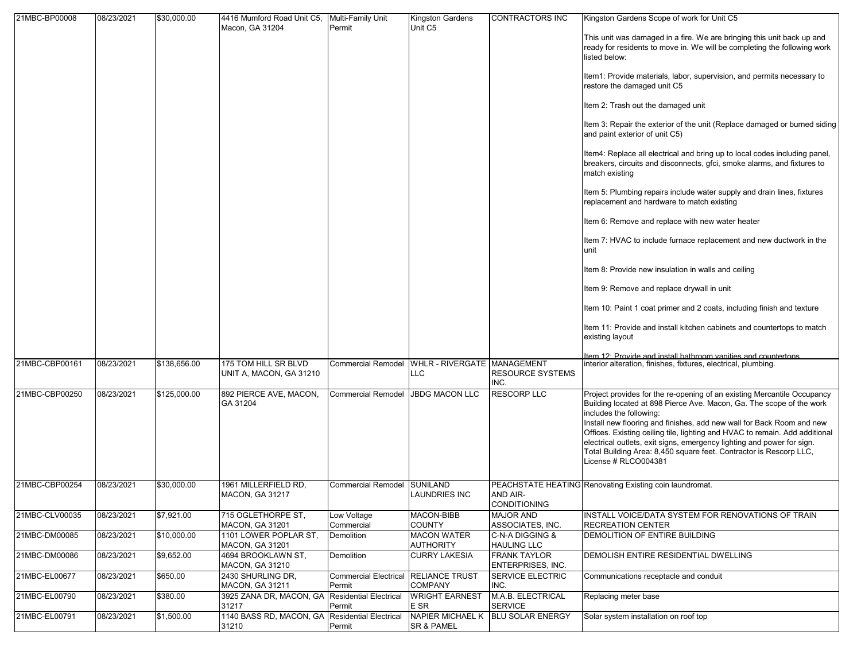| 21MBC-BP00008  | 08/23/2021 | \$30,000.00  | 4416 Mumford Road Unit C5, Multi-Family Unit |                                                | Kingston Gardens                               | CONTRACTORS INC                          | Kingston Gardens Scope of work for Unit C5                                                                                                                                                                                                                                                                                   |
|----------------|------------|--------------|----------------------------------------------|------------------------------------------------|------------------------------------------------|------------------------------------------|------------------------------------------------------------------------------------------------------------------------------------------------------------------------------------------------------------------------------------------------------------------------------------------------------------------------------|
|                |            |              | Macon, GA 31204                              | Permit                                         | Unit C5                                        |                                          | This unit was damaged in a fire. We are bringing this unit back up and<br>ready for residents to move in. We will be completing the following work<br>listed below:                                                                                                                                                          |
|                |            |              |                                              |                                                |                                                |                                          | Item1: Provide materials, labor, supervision, and permits necessary to<br>restore the damaged unit C5                                                                                                                                                                                                                        |
|                |            |              |                                              |                                                |                                                |                                          | Item 2: Trash out the damaged unit                                                                                                                                                                                                                                                                                           |
|                |            |              |                                              |                                                |                                                |                                          | Item 3: Repair the exterior of the unit (Replace damaged or burned siding<br>and paint exterior of unit C5)                                                                                                                                                                                                                  |
|                |            |              |                                              |                                                |                                                |                                          | Item4: Replace all electrical and bring up to local codes including panel,<br>breakers, circuits and disconnects, gfci, smoke alarms, and fixtures to<br>match existing                                                                                                                                                      |
|                |            |              |                                              |                                                |                                                |                                          | Item 5: Plumbing repairs include water supply and drain lines, fixtures<br>replacement and hardware to match existing                                                                                                                                                                                                        |
|                |            |              |                                              |                                                |                                                |                                          | Item 6: Remove and replace with new water heater                                                                                                                                                                                                                                                                             |
|                |            |              |                                              |                                                |                                                |                                          | Item 7: HVAC to include furnace replacement and new ductwork in the<br>unit                                                                                                                                                                                                                                                  |
|                |            |              |                                              |                                                |                                                |                                          | Item 8: Provide new insulation in walls and ceiling                                                                                                                                                                                                                                                                          |
|                |            |              |                                              |                                                |                                                |                                          | Item 9: Remove and replace drywall in unit                                                                                                                                                                                                                                                                                   |
|                |            |              |                                              |                                                |                                                |                                          | Item 10: Paint 1 coat primer and 2 coats, including finish and texture                                                                                                                                                                                                                                                       |
|                |            |              |                                              |                                                |                                                |                                          | Item 11: Provide and install kitchen cabinets and countertops to match<br>existing layout                                                                                                                                                                                                                                    |
| 21MBC-CBP00161 | 08/23/2021 | \$138,656.00 | 175 TOM HILL SR BLVD                         |                                                | Commercial Remodel WHLR - RIVERGATE MANAGEMENT |                                          | Item 12: Provide and install bathroom vanities and countertons.<br>interior alteration, finishes, fixtures, electrical, plumbing.                                                                                                                                                                                            |
|                |            |              | UNIT A, MACON, GA 31210                      |                                                | LLC                                            | <b>RESOURCE SYSTEMS</b><br>INC.          |                                                                                                                                                                                                                                                                                                                              |
| 21MBC-CBP00250 | 08/23/2021 | \$125,000.00 | 892 PIERCE AVE, MACON,<br>GA 31204           | <b>Commercial Remodel</b>                      | <b>JBDG MACON LLC</b>                          | <b>RESCORP LLC</b>                       | Project provides for the re-opening of an existing Mercantile Occupancy<br>Building located at 898 Pierce Ave. Macon, Ga. The scope of the work<br>includes the following:                                                                                                                                                   |
|                |            |              |                                              |                                                |                                                |                                          | Install new flooring and finishes, add new wall for Back Room and new<br>Offices. Existing ceiling tile, lighting and HVAC to remain. Add additional<br>electrical outlets, exit signs, emergency lighting and power for sign.<br>Total Building Area: 8,450 square feet. Contractor is Rescorp LLC,<br>License # RLCO004381 |
| 21MBC-CBP00254 | 08/23/2021 | \$30,000.00  | 1961 MILLERFIELD RD,<br>MACON, GA 31217      | <b>Commercial Remodel</b>                      | <b>SUNILAND</b><br><b>LAUNDRIES INC</b>        | AND AIR-<br><b>CONDITIONING</b>          | PEACHSTATE HEATING Renovating Existing coin laundromat.                                                                                                                                                                                                                                                                      |
| 21MBC-CLV00035 | 08/23/2021 | \$7,921.00   | 715 OGLETHORPE ST.<br>MACON, GA 31201        | Low Voltage<br>Commercial                      | MACON-BIBB<br><b>COUNTY</b>                    | <b>MAJOR AND</b><br>ASSOCIATES, INC.     | INSTALL VOICE/DATA SYSTEM FOR RENOVATIONS OF TRAIN<br><b>RECREATION CENTER</b>                                                                                                                                                                                                                                               |
| 21MBC-DM00085  | 08/23/2021 | \$10,000.00  | 1101 LOWER POPLAR ST.<br>MACON, GA 31201     | Demolition                                     | <b>MACON WATER</b><br><b>AUTHORITY</b>         | C-N-A DIGGING &<br><b>HAULING LLC</b>    | DEMOLITION OF ENTIRE BUILDING                                                                                                                                                                                                                                                                                                |
| 21MBC-DM00086  | 08/23/2021 | \$9,652.00   | 4694 BROOKLAWN ST.<br>MACON, GA 31210        | Demolition                                     | <b>CURRY LAKESIA</b>                           | <b>FRANK TAYLOR</b><br>ENTERPRISES, INC. | DEMOLISH ENTIRE RESIDENTIAL DWELLING                                                                                                                                                                                                                                                                                         |
| 21MBC-EL00677  | 08/23/2021 | \$650.00     | 2430 SHURLING DR,<br>MACON, GA 31211         | Commercial Electrical RELIANCE TRUST<br>Permit | <b>COMPANY</b>                                 | <b>SERVICE ELECTRIC</b><br>INC.          | Communications receptacle and conduit                                                                                                                                                                                                                                                                                        |
| 21MBC-EL00790  | 08/23/2021 | \$380.00     | 3925 ZANA DR, MACON, GA<br>31217             | <b>Residential Electrical</b><br>Permit        | <b>WRIGHT EARNEST</b><br>E SR                  | M.A.B. ELECTRICAL<br><b>SERVICE</b>      | Replacing meter base                                                                                                                                                                                                                                                                                                         |
| 21MBC-EL00791  | 08/23/2021 | \$1,500.00   | 1140 BASS RD, MACON, GA<br>31210             | <b>Residential Electrical</b><br>Permit        | <b>NAPIER MICHAEL K</b><br>SR & PAMEL          | <b>BLU SOLAR ENERGY</b>                  | Solar system installation on roof top                                                                                                                                                                                                                                                                                        |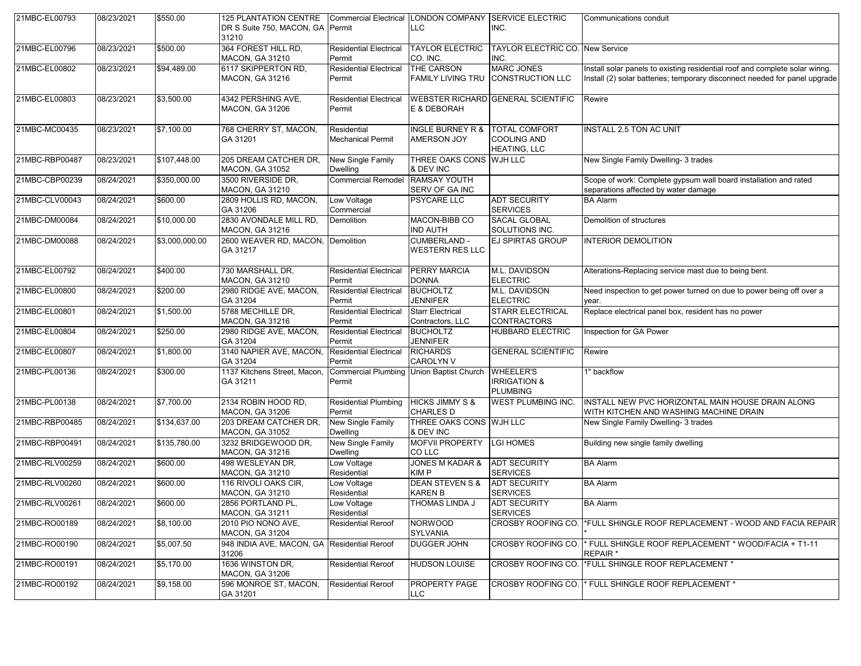| 21MBC-EL00793  | 08/23/2021 | \$550.00       | <b>125 PLANTATION CENTRE</b><br>DR S Suite 750, MACON, GA Permit<br>31210 |                                         | Commercial Electrical LONDON COMPANY SERVICE ELECTRIC<br><b>LLC</b> | INC.                                                           | Communications conduit                                                                                                                                     |
|----------------|------------|----------------|---------------------------------------------------------------------------|-----------------------------------------|---------------------------------------------------------------------|----------------------------------------------------------------|------------------------------------------------------------------------------------------------------------------------------------------------------------|
| 21MBC-EL00796  | 08/23/2021 | \$500.00       | 364 FOREST HILL RD,<br>MACON, GA 31210                                    | <b>Residential Electrical</b><br>Permit | <b>TAYLOR ELECTRIC</b><br>CO. INC.                                  | TAYLOR ELECTRIC CO. New Service<br>INC.                        |                                                                                                                                                            |
| 21MBC-EL00802  | 08/23/2021 | \$94,489.00    | 6117 SKIPPERTON RD,<br><b>MACON, GA 31216</b>                             | <b>Residential Electrical</b><br>Permit | <b>THE CARSON</b><br><b>FAMILY LIVING TRU</b>                       | <b>MARC JONES</b><br><b>CONSTRUCTION LLC</b>                   | Install solar panels to existing residential roof and complete solar wiring.<br>Install (2) solar batteries; temporary disconnect needed for panel upgrade |
| 21MBC-EL00803  | 08/23/2021 | \$3,500.00     | 4342 PERSHING AVE,<br><b>MACON, GA 31206</b>                              | <b>Residential Electrical</b><br>Permit | E & DEBORAH                                                         | <b>WEBSTER RICHARD GENERAL SCIENTIFIC</b>                      | Rewire                                                                                                                                                     |
| 21MBC-MC00435  | 08/23/2021 | \$7,100.00     | 768 CHERRY ST, MACON,<br>GA 31201                                         | Residential<br><b>Mechanical Permit</b> | <b>INGLE BURNEY R &amp;</b><br><b>AMERSON JOY</b>                   | <b>TOTAL COMFORT</b><br>COOLING AND<br>HEATING, LLC            | INSTALL 2.5 TON AC UNIT                                                                                                                                    |
| 21MBC-RBP00487 | 08/23/2021 | \$107,448.00   | 205 DREAM CATCHER DR,<br><b>MACON, GA 31052</b>                           | New Single Family<br>Dwelling           | THREE OAKS CONS WJH LLC<br>& DEV INC                                |                                                                | New Single Family Dwelling- 3 trades                                                                                                                       |
| 21MBC-CBP00239 | 08/24/2021 | \$350,000.00   | 3500 RIVERSIDE DR,<br>MACON, GA 31210                                     | <b>Commercial Remodel</b>               | <b>RAMSAY YOUTH</b><br>SERV OF GA INC                               |                                                                | Scope of work: Complete gypsum wall board installation and rated<br>separations affected by water damage                                                   |
| 21MBC-CLV00043 | 08/24/2021 | \$600.00       | 2809 HOLLIS RD, MACON,<br>GA 31206                                        | Low Voltage<br>Commercial               | <b>PSYCARE LLC</b>                                                  | <b>ADT SECURITY</b><br><b>SERVICES</b>                         | <b>BA Alarm</b>                                                                                                                                            |
| 21MBC-DM00084  | 08/24/2021 | \$10,000.00    | 2830 AVONDALE MILL RD,<br>MACON, GA 31216                                 | Demolition                              | MACON-BIBB CO<br><b>IND AUTH</b>                                    | <b>SACAL GLOBAL</b><br>SOLUTIONS INC.                          | Demolition of structures                                                                                                                                   |
| 21MBC-DM00088  | 08/24/2021 | \$3,000,000.00 | 2600 WEAVER RD, MACON, Demolition<br>GA 31217                             |                                         | <b>CUMBERLAND -</b><br><b>WESTERN RES LLC</b>                       | <b>EJ SPIRTAS GROUP</b>                                        | <b>INTERIOR DEMOLITION</b>                                                                                                                                 |
| 21MBC-EL00792  | 08/24/2021 | \$400.00       | 730 MARSHALL DR.<br>MACON, GA 31210                                       | <b>Residential Electrical</b><br>Permit | <b>PERRY MARCIA</b><br><b>DONNA</b>                                 | M.L. DAVIDSON<br><b>ELECTRIC</b>                               | Alterations-Replacing service mast due to being bent.                                                                                                      |
| 21MBC-EL00800  | 08/24/2021 | \$200.00       | 2980 RIDGE AVE, MACON,<br>GA 31204                                        | <b>Residential Electrical</b><br>Permit | <b>BUCHOLTZ</b><br><b>JENNIFER</b>                                  | M.L. DAVIDSON<br><b>ELECTRIC</b>                               | Need inspection to get power turned on due to power being off over a<br>year.                                                                              |
| 21MBC-EL00801  | 08/24/2021 | \$1,500.00     | 5788 MECHILLE DR,<br><b>MACON, GA 31216</b>                               | <b>Residential Electrical</b><br>Permit | <b>Starr Electrical</b><br>Contractors, LLC                         | <b>STARR ELECTRICAL</b><br><b>CONTRACTORS</b>                  | Replace electrical panel box, resident has no power                                                                                                        |
| 21MBC-EL00804  | 08/24/2021 | \$250.00       | 2980 RIDGE AVE, MACON,<br>GA 31204                                        | <b>Residential Electrical</b><br>Permit | <b>BUCHOLTZ</b><br><b>JENNIFER</b>                                  | <b>HUBBARD ELECTRIC</b>                                        | Inspection for GA Power                                                                                                                                    |
| 21MBC-EL00807  | 08/24/2021 | \$1,800.00     | 3140 NAPIER AVE, MACON,<br>GA 31204                                       | Residential Electrical<br>Permit        | <b>RICHARDS</b><br><b>CAROLYN V</b>                                 | <b>GENERAL SCIENTIFIC</b>                                      | Rewire                                                                                                                                                     |
| 21MBC-PL00136  | 08/24/2021 | \$300.00       | 1137 Kitchens Street, Macon,<br>GA 31211                                  | Permit                                  | Commercial Plumbing Union Baptist Church                            | <b>WHEELER'S</b><br><b>IRRIGATION &amp;</b><br><b>PLUMBING</b> | 1" backflow                                                                                                                                                |
| 21MBC-PL00138  | 08/24/2021 | \$7,700.00     | 2134 ROBIN HOOD RD,<br><b>MACON, GA 31206</b>                             | <b>Residential Plumbing</b><br>Permit   | <b>HICKS JIMMY S &amp;</b><br><b>CHARLES D</b>                      | <b>WEST PLUMBING INC.</b>                                      | INSTALL NEW PVC HORIZONTAL MAIN HOUSE DRAIN ALONG<br>WITH KITCHEN AND WASHING MACHINE DRAIN                                                                |
| 21MBC-RBP00485 | 08/24/2021 | \$134,637.00   | 203 DREAM CATCHER DR,<br>MACON, GA 31052                                  | <b>New Single Family</b><br>Dwelling    | THREE OAKS CONS WJH LLC<br>& DEV INC                                |                                                                | New Single Family Dwelling- 3 trades                                                                                                                       |
| 21MBC-RBP00491 | 08/24/2021 | \$135,780.00   | 3232 BRIDGEWOOD DR,<br>MACON, GA 31216                                    | New Single Family<br>Dwelling           | <b>MOFVII PROPERTY</b><br>CO LLC                                    | <b>LGI HOMES</b>                                               | Building new single family dwelling                                                                                                                        |
| 21MBC-RLV00259 | 08/24/2021 | \$600.00       | 498 WESLEYAN DR,<br><b>MACON, GA 31210</b>                                | Low Voltage<br>Residential              | <b>JONES M KADAR &amp;</b><br><b>KIMP</b>                           | <b>ADT SECURITY</b><br><b>SERVICES</b>                         | <b>BA Alarm</b>                                                                                                                                            |
| 21MBC-RLV00260 | 08/24/2021 | \$600.00       | 116 RIVOLI OAKS CIR,<br>MACON, GA 31210                                   | Low Voltage<br>Residential              | <b>DEAN STEVEN S &amp;</b><br><b>KAREN B</b>                        | ADT SECURITY<br><b>SERVICES</b>                                | <b>BA</b> Alarm                                                                                                                                            |
| 21MBC-RLV00261 | 08/24/2021 | \$600.00       | 2856 PORTLAND PL,<br><b>MACON, GA 31211</b>                               | Low Voltage<br>Residential              | <b>THOMAS LINDA J</b>                                               | <b>ADT SECURITY</b><br><b>SERVICES</b>                         | <b>BA Alarm</b>                                                                                                                                            |
| 21MBC-RO00189  | 08/24/2021 | \$8,100.00     | 2010 PIO NONO AVE.<br><b>MACON, GA 31204</b>                              | <b>Residential Reroof</b>               | <b>NORWOOD</b><br><b>SYLVANIA</b>                                   | <b>CROSBY ROOFING CO.</b>                                      | FULL SHINGLE ROOF REPLACEMENT - WOOD AND FACIA REPAIR                                                                                                      |
| 21MBC-RO00190  | 08/24/2021 | \$5,007.50     | 948 INDIA AVE, MACON, GA Residential Reroof<br>31206                      |                                         | <b>DUGGER JOHN</b>                                                  | CROSBY ROOFING CO.                                             | * FULL SHINGLE ROOF REPLACEMENT * WOOD/FACIA + T1-11<br>REPAIR *                                                                                           |
| 21MBC-RO00191  | 08/24/2021 | \$5,170.00     | 1636 WINSTON DR.<br><b>MACON, GA 31206</b>                                | <b>Residential Reroof</b>               | <b>HUDSON LOUISE</b>                                                | CROSBY ROOFING CO.                                             | *FULL SHINGLE ROOF REPLACEMENT *                                                                                                                           |
| 21MBC-RO00192  | 08/24/2021 | \$9,158.00     | 596 MONROE ST, MACON,<br>GA 31201                                         | <b>Residential Reroof</b>               | <b>PROPERTY PAGE</b><br><b>LLC</b>                                  | CROSBY ROOFING CO.                                             | FULL SHINGLE ROOF REPLACEMENT *                                                                                                                            |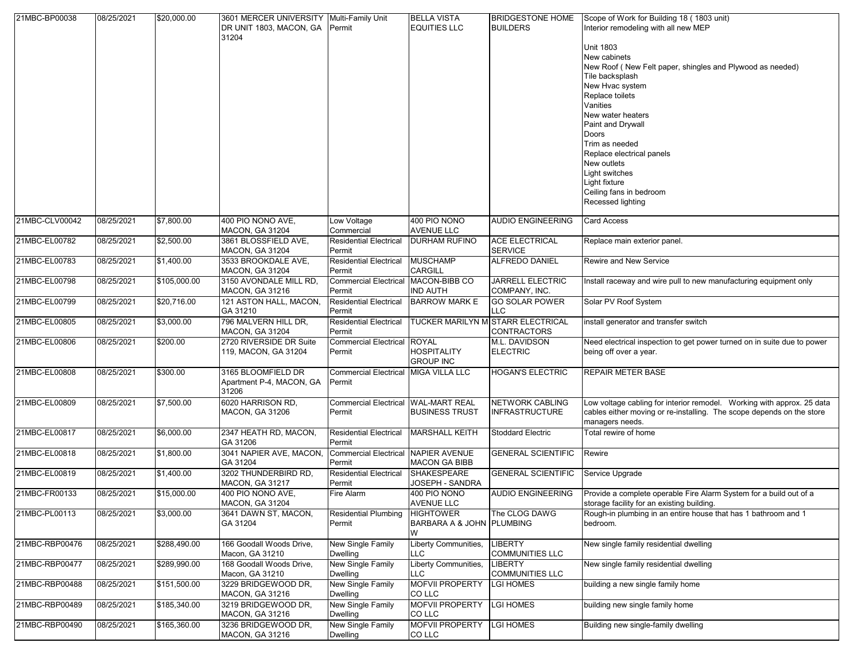| 21MBC-BP00038  | 08/25/2021 | \$20,000.00  | 3601 MERCER UNIVERSITY   Multi-Family Unit<br>DR UNIT 1803, MACON, GA Permit<br>31204 |                                                      | <b>BELLA VISTA</b><br><b>EQUITIES LLC</b>            | <b>BRIDGESTONE HOME</b><br><b>BUILDERS</b>                     | Scope of Work for Building 18 (1803 unit)<br>Interior remodeling with all new MEP                                                                                           |
|----------------|------------|--------------|---------------------------------------------------------------------------------------|------------------------------------------------------|------------------------------------------------------|----------------------------------------------------------------|-----------------------------------------------------------------------------------------------------------------------------------------------------------------------------|
|                |            |              |                                                                                       |                                                      |                                                      |                                                                | <b>Unit 1803</b><br>New cabinets<br>New Roof (New Felt paper, shingles and Plywood as needed)<br>Tile backsplash<br>New Hvac system<br>Replace toilets<br>Vanities          |
|                |            |              |                                                                                       |                                                      |                                                      |                                                                | New water heaters<br>Paint and Drywall<br>Doors<br>Trim as needed<br>Replace electrical panels<br>New outlets<br>Light switches<br>Light fixture<br>Ceiling fans in bedroom |
|                |            |              |                                                                                       |                                                      |                                                      |                                                                | Recessed lighting                                                                                                                                                           |
| 21MBC-CLV00042 | 08/25/2021 | \$7,800.00   | 400 PIO NONO AVE,<br>MACON, GA 31204                                                  | Low Voltage<br>Commercial                            | 400 PIO NONO<br><b>AVENUE LLC</b>                    | <b>AUDIO ENGINEERING</b>                                       | <b>Card Access</b>                                                                                                                                                          |
| 21MBC-EL00782  | 08/25/2021 | \$2,500.00   | 3861 BLOSSFIELD AVE,<br>MACON, GA 31204                                               | <b>Residential Electrical</b><br>Permit              | <b>DURHAM RUFINO</b>                                 | <b>ACE ELECTRICAL</b><br><b>SERVICE</b>                        | Replace main exterior panel.                                                                                                                                                |
| 21MBC-EL00783  | 08/25/2021 | \$1,400.00   | 3533 BROOKDALE AVE,<br>MACON, GA 31204                                                | <b>Residential Electrical</b><br>Permit              | <b>MUSCHAMP</b><br><b>CARGILL</b>                    | ALFREDO DANIEL                                                 | Rewire and New Service                                                                                                                                                      |
| 21MBC-EL00798  | 08/25/2021 | \$105,000.00 | 3150 AVONDALE MILL RD,<br>MACON, GA 31216                                             | Commercial Electrical MACON-BIBB CO<br>Permit        | <b>IND AUTH</b>                                      | <b>JARRELL ELECTRIC</b><br>COMPANY, INC.                       | Install raceway and wire pull to new manufacturing equipment only                                                                                                           |
| 21MBC-EL00799  | 08/25/2021 | \$20,716.00  | 121 ASTON HALL, MACON,<br>GA 31210                                                    | <b>Residential Electrical</b><br>Permit              | <b>BARROW MARK E</b>                                 | <b>GO SOLAR POWER</b><br>LLC.                                  | Solar PV Roof System                                                                                                                                                        |
| 21MBC-EL00805  | 08/25/2021 | \$3,000.00   | 796 MALVERN HILL DR,<br>MACON, GA 31204                                               | <b>Residential Electrical</b><br>Permit              |                                                      | <b>TUCKER MARILYN MISTARR ELECTRICAL</b><br><b>CONTRACTORS</b> | install generator and transfer switch                                                                                                                                       |
| 21MBC-EL00806  | 08/25/2021 | \$200.00     | 2720 RIVERSIDE DR Suite<br>119, MACON, GA 31204                                       | Commercial Electrical ROYAL<br>Permit                | <b>HOSPITALITY</b><br><b>GROUP INC</b>               | M.L. DAVIDSON<br><b>ELECTRIC</b>                               | Need electrical inspection to get power turned on in suite due to power<br>being off over a year.                                                                           |
| 21MBC-EL00808  | 08/25/2021 | \$300.00     | 3165 BLOOMFIELD DR<br>Apartment P-4, MACON, GA<br>31206                               | Commercial Electrical MIGA VILLA LLC<br>Permit       |                                                      | <b>HOGAN'S ELECTRIC</b>                                        | <b>REPAIR METER BASE</b>                                                                                                                                                    |
| 21MBC-EL00809  | 08/25/2021 | \$7,500.00   | 6020 HARRISON RD.<br>MACON, GA 31206                                                  | Commercial Electrical WAL-MART REAL<br>Permit        | <b>BUSINESS TRUST</b>                                | <b>NETWORK CABLING</b><br><b>INFRASTRUCTURE</b>                | Low voltage cabling for interior remodel. Working with approx. 25 data<br>cables either moving or re-installing. The scope depends on the store<br>managers needs.          |
| 21MBC-EL00817  | 08/25/2021 | \$6,000.00   | 2347 HEATH RD, MACON,<br>GA 31206                                                     | <b>Residential Electrical</b><br>Permit              | <b>MARSHALL KEITH</b>                                | <b>Stoddard Electric</b>                                       | Total rewire of home                                                                                                                                                        |
| 21MBC-EL00818  | 08/25/2021 | \$1,800.00   | 3041 NAPIER AVE, MACON,<br>GA 31204                                                   | <b>Commercial Electrical NAPIER AVENUE</b><br>Permit | <b>MACON GA BIBB</b>                                 | <b>GENERAL SCIENTIFIC</b>                                      | Rewire                                                                                                                                                                      |
| 21MBC-EL00819  | 08/25/2021 | \$1,400.00   | 3202 THUNDERBIRD RD.<br>MACON, GA 31217                                               | <b>Residential Electrical</b><br>Permit              | SHAKESPEARE<br>JOSEPH - SANDRA                       | <b>GENERAL SCIENTIFIC</b>                                      | Service Upgrade                                                                                                                                                             |
| 21MBC-FR00133  | 08/25/2021 | \$15,000.00  | 400 PIO NONO AVE,<br><b>MACON, GA 31204</b>                                           | Fire Alarm                                           | 400 PIO NONO<br><b>AVENUE LLC</b>                    | <b>AUDIO ENGINEERING</b>                                       | Provide a complete operable Fire Alarm System for a build out of a<br>storage facility for an existing building.                                                            |
| 21MBC-PL00113  | 08/25/2021 | \$3,000.00   | 3641 DAWN ST, MACON,<br>GA 31204                                                      | <b>Residential Plumbing</b><br>Permit                | <b>HIGHTOWER</b><br><b>BARBARA A &amp; JOHN</b><br>W | The CLOG DAWG<br><b>PLUMBING</b>                               | Rough-in plumbing in an entire house that has 1 bathroom and 1<br>bedroom.                                                                                                  |
| 21MBC-RBP00476 | 08/25/2021 | \$288,490.00 | 166 Goodall Woods Drive,<br>Macon, GA 31210                                           | New Single Family<br>Dwelling                        | Liberty Communities,<br><b>LLC</b>                   | LIBERTY<br><b>COMMUNITIES LLC</b>                              | New single family residential dwelling                                                                                                                                      |
| 21MBC-RBP00477 | 08/25/2021 | \$289,990.00 | 168 Goodall Woods Drive,<br>Macon, GA 31210                                           | New Single Family<br>Dwelling                        | Liberty Communities,<br><b>LLC</b>                   | <b>LIBERTY</b><br><b>COMMUNITIES LLC</b>                       | New single family residential dwelling                                                                                                                                      |
| 21MBC-RBP00488 | 08/25/2021 | \$151,500.00 | 3229 BRIDGEWOOD DR.<br>MACON, GA 31216                                                | New Single Family<br>Dwelling                        | <b>MOFVII PROPERTY</b><br>CO LLC                     | LGI HOMES                                                      | building a new single family home                                                                                                                                           |
| 21MBC-RBP00489 | 08/25/2021 | \$185,340.00 | 3219 BRIDGEWOOD DR.<br><b>MACON, GA 31216</b>                                         | New Single Family<br><b>Dwelling</b>                 | <b>MOFVII PROPERTY</b><br>CO LLC                     | LGI HOMES                                                      | building new single family home                                                                                                                                             |
| 21MBC-RBP00490 | 08/25/2021 | \$165,360.00 | 3236 BRIDGEWOOD DR,<br>MACON, GA 31216                                                | <b>New Single Family</b><br>Dwelling                 | <b>MOFVII PROPERTY</b><br>CO LLC                     | <b>LGI HOMES</b>                                               | Building new single-family dwelling                                                                                                                                         |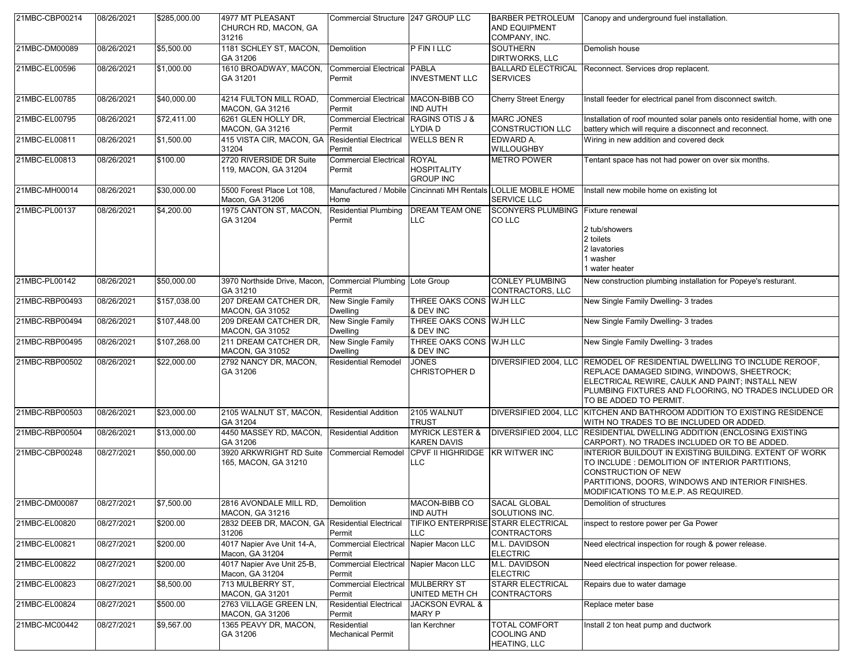| 21MBC-CBP00214 | 08/26/2021 | \$285,000.00 | 4977 MT PLEASANT<br>CHURCH RD, MACON, GA<br>31216 | Commercial Structure 247 GROUP LLC               |                                                        | <b>BARBER PETROLEUM</b><br>AND EQUIPMENT<br>COMPANY, INC.                            | Canopy and underground fuel installation.                                                                                                                                                                                                                     |
|----------------|------------|--------------|---------------------------------------------------|--------------------------------------------------|--------------------------------------------------------|--------------------------------------------------------------------------------------|---------------------------------------------------------------------------------------------------------------------------------------------------------------------------------------------------------------------------------------------------------------|
| 21MBC-DM00089  | 08/26/2021 | \$5,500.00   | 1181 SCHLEY ST, MACON,<br>GA 31206                | Demolition                                       | <b>PFINILLC</b>                                        | <b>SOUTHERN</b><br>DIRTWORKS, LLC                                                    | Demolish house                                                                                                                                                                                                                                                |
| 21MBC-EL00596  | 08/26/2021 | \$1,000.00   | 1610 BROADWAY, MACON,<br>GA 31201                 | <b>Commercial Electrical</b><br>Permit           | <b>PABLA</b><br><b>INVESTMENT LLC</b>                  | <b>BALLARD ELECTRICAL</b><br><b>SERVICES</b>                                         | Reconnect. Services drop replacent.                                                                                                                                                                                                                           |
| 21MBC-EL00785  | 08/26/2021 | \$40,000.00  | 4214 FULTON MILL ROAD,<br>MACON, GA 31216         | Commercial Electrical MACON-BIBB CO<br>Permit    | <b>IND AUTH</b>                                        | <b>Cherry Street Energy</b>                                                          | Install feeder for electrical panel from disconnect switch.                                                                                                                                                                                                   |
| 21MBC-EL00795  | 08/26/2021 | \$72,411.00  | 6261 GLEN HOLLY DR.<br><b>MACON, GA 31216</b>     | <b>Commercial Electrical</b><br>Permit           | <b>RAGINS OTIS J &amp;</b><br>LYDIA D                  | <b>MARC JONES</b><br><b>CONSTRUCTION LLC</b>                                         | Installation of roof mounted solar panels onto residential home, with one<br>battery which will require a disconnect and reconnect.                                                                                                                           |
| 21MBC-EL00811  | 08/26/2021 | \$1,500.00   | 415 VISTA CIR, MACON, GA<br>31204                 | <b>Residential Electrical</b><br>Permit          | <b>WELLS BEN R</b>                                     | EDWARD A.<br><b>WILLOUGHBY</b>                                                       | Wiring in new addition and covered deck                                                                                                                                                                                                                       |
| 21MBC-EL00813  | 08/26/2021 | \$100.00     | 2720 RIVERSIDE DR Suite<br>119, MACON, GA 31204   | <b>Commercial Electrical</b><br>Permit           | <b>ROYAL</b><br><b>HOSPITALITY</b><br><b>GROUP INC</b> | <b>METRO POWER</b>                                                                   | Tentant space has not had power on over six months.                                                                                                                                                                                                           |
| 21MBC-MH00014  | 08/26/2021 | \$30,000.00  | 5500 Forest Place Lot 108,<br>Macon, GA 31206     | Home                                             |                                                        | Manufactured / Mobile Cincinnati MH Rentals LOLLIE MOBILE HOME<br><b>SERVICE LLC</b> | Install new mobile home on existing lot                                                                                                                                                                                                                       |
| 21MBC-PL00137  | 08/26/2021 | \$4,200.00   | 1975 CANTON ST, MACON,<br>GA 31204                | <b>Residential Plumbing</b><br>Permit            | <b>DREAM TEAM ONE</b><br>LLC                           | SCONYERS PLUMBING Fixture renewal<br>CO LLC                                          | 2 tub/showers<br>2 toilets<br>2 lavatories<br>1 washer<br>1 water heater                                                                                                                                                                                      |
| 21MBC-PL00142  | 08/26/2021 | \$50,000.00  | 3970 Northside Drive, Macon,<br>GA 31210          | Commercial Plumbing Lote Group<br>Permit         |                                                        | <b>CONLEY PLUMBING</b><br>CONTRACTORS, LLC                                           | New construction plumbing installation for Popeye's resturant.                                                                                                                                                                                                |
| 21MBC-RBP00493 | 08/26/2021 | \$157,038.00 | 207 DREAM CATCHER DR.<br>MACON, GA 31052          | New Single Family<br><b>Dwelling</b>             | THREE OAKS CONS WJH LLC<br>& DEV INC                   |                                                                                      | New Single Family Dwelling- 3 trades                                                                                                                                                                                                                          |
| 21MBC-RBP00494 | 08/26/2021 | \$107,448.00 | 209 DREAM CATCHER DR.<br><b>MACON, GA 31052</b>   | New Single Family<br><b>Dwelling</b>             | THREE OAKS CONS WJH LLC<br>& DEV INC                   |                                                                                      | New Single Family Dwelling- 3 trades                                                                                                                                                                                                                          |
| 21MBC-RBP00495 | 08/26/2021 | \$107,268.00 | 211 DREAM CATCHER DR,<br><b>MACON, GA 31052</b>   | New Single Family<br><b>Dwelling</b>             | THREE OAKS CONS WJH LLC<br>& DEV INC                   |                                                                                      | New Single Family Dwelling- 3 trades                                                                                                                                                                                                                          |
| 21MBC-RBP00502 | 08/26/2021 | \$22,000.00  | 2792 NANCY DR, MACON,<br>GA 31206                 | <b>Residential Remodel</b>                       | <b>JONES</b><br><b>CHRISTOPHER D</b>                   |                                                                                      | DIVERSIFIED 2004, LLC REMODEL OF RESIDENTIAL DWELLING TO INCLUDE REROOF,<br>REPLACE DAMAGED SIDING, WINDOWS, SHEETROCK;<br>ELECTRICAL REWIRE, CAULK AND PAINT; INSTALL NEW<br>PLUMBING FIXTURES AND FLOORING, NO TRADES INCLUDED OR<br>TO BE ADDED TO PERMIT. |
| 21MBC-RBP00503 | 08/26/2021 | \$23,000.00  | 2105 WALNUT ST, MACON,<br>GA 31204                | <b>Residential Addition</b>                      | 2105 WALNUT<br><b>TRUST</b>                            |                                                                                      | DIVERSIFIED 2004, LLC KITCHEN AND BATHROOM ADDITION TO EXISTING RESIDENCE<br>WITH NO TRADES TO BE INCLUDED OR ADDED.                                                                                                                                          |
| 21MBC-RBP00504 | 08/26/2021 | \$13,000.00  | 4450 MASSEY RD, MACON,<br>GA 31206                | <b>Residential Addition</b>                      | <b>MYRICK LESTER &amp;</b><br><b>KAREN DAVIS</b>       |                                                                                      | DIVERSIFIED 2004, LLC RESIDENTIAL DWELLING ADDITION (ENCLOSING EXISTING<br>CARPORT). NO TRADES INCLUDED OR TO BE ADDED.                                                                                                                                       |
| 21MBC-CBP00248 | 08/27/2021 | \$50,000.00  | 3920 ARKWRIGHT RD Suite<br>165, MACON, GA 31210   | <b>Commercial Remodel</b>                        | CPVF II HIGHRIDGE KR WITWER INC<br><b>LLC</b>          |                                                                                      | INTERIOR BUILDOUT IN EXISTING BUILDING. EXTENT OF WORK<br>TO INCLUDE: DEMOLITION OF INTERIOR PARTITIONS,<br><b>CONSTRUCTION OF NEW</b><br>PARTITIONS, DOORS, WINDOWS AND INTERIOR FINISHES.<br>MODIFICATIONS TO M.E.P. AS REQUIRED.                           |
| 21MBC-DM00087  | 08/27/2021 | \$7,500.00   | 2816 AVONDALE MILL RD,<br>MACON, GA 31216         | Demolition                                       | MACON-BIBB CO<br><b>IND AUTH</b>                       | <b>SACAL GLOBAL</b><br>SOLUTIONS INC.                                                | Demolition of structures                                                                                                                                                                                                                                      |
| 21MBC-EL00820  | 08/27/2021 | \$200.00     | 2832 DEEB DR, MACON, GA<br>31206                  | <b>Residential Electrical</b><br>Permit          | LLC                                                    | TIFIKO ENTERPRISE STARR ELECTRICAL<br><b>CONTRACTORS</b>                             | inspect to restore power per Ga Power                                                                                                                                                                                                                         |
| 21MBC-EL00821  | 08/27/2021 | \$200.00     | 4017 Napier Ave Unit 14-A,<br>Macon, GA 31204     | Commercial Electrical Napier Macon LLC<br>Permit |                                                        | M.L. DAVIDSON<br><b>ELECTRIC</b>                                                     | Need electrical inspection for rough & power release.                                                                                                                                                                                                         |
| 21MBC-EL00822  | 08/27/2021 | \$200.00     | 4017 Napier Ave Unit 25-B,<br>Macon, GA 31204     | Commercial Electrical Napier Macon LLC<br>Permit |                                                        | M.L. DAVIDSON<br><b>ELECTRIC</b>                                                     | Need electrical inspection for power release.                                                                                                                                                                                                                 |
| 21MBC-EL00823  | 08/27/2021 | \$8,500.00   | 713 MULBERRY ST.<br><b>MACON, GA 31201</b>        | <b>Commercial Electrical</b><br>Permit           | <b>MULBERRY ST</b><br>UNITED METH CH                   | <b>STARR ELECTRICAL</b><br><b>CONTRACTORS</b>                                        | Repairs due to water damage                                                                                                                                                                                                                                   |
| 21MBC-EL00824  | 08/27/2021 | \$500.00     | 2763 VILLAGE GREEN LN,<br><b>MACON, GA 31206</b>  | <b>Residential Electrical</b><br>Permit          | <b>JACKSON EVRAL &amp;</b><br>MARY P                   |                                                                                      | Replace meter base                                                                                                                                                                                                                                            |
| 21MBC-MC00442  | 08/27/2021 | \$9,567.00   | 1365 PEAVY DR, MACON,<br>GA 31206                 | Residential<br><b>Mechanical Permit</b>          | lan Kerchner                                           | <b>TOTAL COMFORT</b><br><b>COOLING AND</b><br>HEATING, LLC                           | Install 2 ton heat pump and ductwork                                                                                                                                                                                                                          |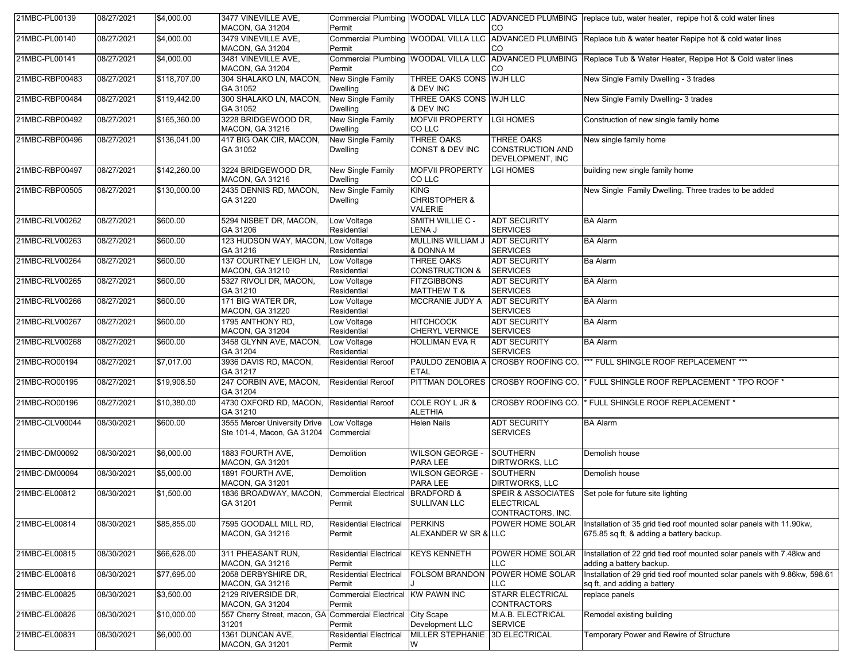| 21MBC-PL00139  | 08/27/2021 | \$4,000.00   | 3477 VINEVILLE AVE,<br><b>MACON, GA 31204</b>                      | Permit                                      |                                                    | CO                                                                      | Commercial Plumbing WOODAL VILLA LLC ADVANCED PLUMBING replace tub, water heater, repipe hot & cold water lines  |
|----------------|------------|--------------|--------------------------------------------------------------------|---------------------------------------------|----------------------------------------------------|-------------------------------------------------------------------------|------------------------------------------------------------------------------------------------------------------|
| 21MBC-PL00140  | 08/27/2021 | \$4,000.00   | 3479 VINEVILLE AVE,<br><b>MACON, GA 31204</b>                      | Permit                                      |                                                    | CO                                                                      | Commercial Plumbing WOODAL VILLA LLC ADVANCED PLUMBING Replace tub & water heater Repipe hot & cold water lines  |
| 21MBC-PL00141  | 08/27/2021 | \$4,000.00   | 3481 VINEVILLE AVE,<br><b>MACON, GA 31204</b>                      | Permit                                      |                                                    | CO                                                                      | Commercial Plumbing WOODAL VILLA LLC ADVANCED PLUMBING Replace Tub & Water Heater, Repipe Hot & Cold water lines |
| 21MBC-RBP00483 | 08/27/2021 | \$118,707.00 | 304 SHALAKO LN, MACON,<br>GA 31052                                 | New Single Family<br>Dwelling               | THREE OAKS CONS WJH LLC<br>& DEV INC               |                                                                         | New Single Family Dwelling - 3 trades                                                                            |
| 21MBC-RBP00484 | 08/27/2021 | \$119,442.00 | 300 SHALAKO LN, MACON,<br>GA 31052                                 | New Single Family<br><b>Dwelling</b>        | THREE OAKS CONS WJH LLC<br>& DEV INC               |                                                                         | New Single Family Dwelling- 3 trades                                                                             |
| 21MBC-RBP00492 | 08/27/2021 | \$165,360.00 | 3228 BRIDGEWOOD DR,<br><b>MACON, GA 31216</b>                      | New Single Family<br>Dwelling               | <b>MOFVII PROPERTY</b><br>CO LLC                   | <b>LGI HOMES</b>                                                        | Construction of new single family home                                                                           |
| 21MBC-RBP00496 | 08/27/2021 | \$136,041.00 | 417 BIG OAK CIR, MACON,<br>GA 31052                                | New Single Family<br>Dwelling               | <b>THREE OAKS</b><br><b>CONST &amp; DEV INC</b>    | <b>THREE OAKS</b><br><b>CONSTRUCTION AND</b><br>DEVELOPMENT, INC        | New single family home                                                                                           |
| 21MBC-RBP00497 | 08/27/2021 | \$142,260.00 | 3224 BRIDGEWOOD DR,<br>MACON, GA 31216                             | New Single Family<br><b>Dwelling</b>        | <b>MOFVII PROPERTY</b><br>CO LLC                   | <b>LGI HOMES</b>                                                        | building new single family home                                                                                  |
| 21MBC-RBP00505 | 08/27/2021 | \$130,000.00 | 2435 DENNIS RD, MACON,<br>GA 31220                                 | New Single Family<br>Dwelling               | KING<br><b>CHRISTOPHER &amp;</b><br><b>VALERIE</b> |                                                                         | New Single Family Dwelling. Three trades to be added                                                             |
| 21MBC-RLV00262 | 08/27/2021 | \$600.00     | 5294 NISBET DR, MACON,<br>GA 31206                                 | Low Voltage<br>Residential                  | <b>SMITH WILLIE C -</b><br>LENA J                  | <b>ADT SECURITY</b><br><b>SERVICES</b>                                  | <b>BA Alarm</b>                                                                                                  |
| 21MBC-RLV00263 | 08/27/2021 | \$600.00     | 123 HUDSON WAY, MACON,<br>GA 31216                                 | Low Voltage<br>Residential                  | MULLINS WILLIAM J ADT SECURITY<br>& DONNA M        | <b>SERVICES</b>                                                         | <b>BA Alarm</b>                                                                                                  |
| 21MBC-RLV00264 | 08/27/2021 | \$600.00     | 137 COURTNEY LEIGH LN,<br><b>MACON, GA 31210</b>                   | Low Voltage<br>Residential                  | <b>THREE OAKS</b><br><b>CONSTRUCTION &amp;</b>     | <b>ADT SECURITY</b><br><b>SERVICES</b>                                  | Ba Alarm                                                                                                         |
| 21MBC-RLV00265 | 08/27/2021 | \$600.00     | 5327 RIVOLI DR, MACON,<br>GA 31210                                 | Low Voltage<br>Residential                  | <b>FITZGIBBONS</b><br><b>MATTHEW T &amp;</b>       | <b>ADT SECURITY</b><br><b>SERVICES</b>                                  | <b>BA Alarm</b>                                                                                                  |
| 21MBC-RLV00266 | 08/27/2021 | \$600.00     | 171 BIG WATER DR.<br><b>MACON, GA 31220</b>                        | Low Voltage<br>Residential                  | MCCRANIE JUDY A                                    | <b>ADT SECURITY</b><br><b>SERVICES</b>                                  | <b>BA Alarm</b>                                                                                                  |
| 21MBC-RLV00267 | 08/27/2021 | \$600.00     | 1795 ANTHONY RD.<br><b>MACON, GA 31204</b>                         | Low Voltage<br>Residential                  | <b>HITCHCOCK</b><br><b>CHERYL VERNICE</b>          | <b>ADT SECURITY</b><br><b>SERVICES</b>                                  | <b>BA Alarm</b>                                                                                                  |
| 21MBC-RLV00268 | 08/27/2021 | \$600.00     | 3458 GLYNN AVE, MACON,<br>GA 31204                                 | Low Voltage<br>Residential                  | <b>HOLLIMAN EVA R</b>                              | <b>ADT SECURITY</b><br><b>SERVICES</b>                                  | <b>BA Alarm</b>                                                                                                  |
| 21MBC-RO00194  | 08/27/2021 | \$7,017.00   | 3936 DAVIS RD, MACON,<br>GA 31217                                  | <b>Residential Reroof</b>                   | <b>ETAL</b>                                        |                                                                         | PAULDO ZENOBIA A CROSBY ROOFING CO.  *** FULL SHINGLE ROOF REPLACEMENT ***                                       |
| 21MBC-RO00195  | 08/27/2021 | \$19,908.50  | 247 CORBIN AVE, MACON,<br>GA 31204                                 | Residential Reroof                          |                                                    | PITTMAN DOLORES CROSBY ROOFING CO.                                      | * FULL SHINGLE ROOF REPLACEMENT * TPO ROOF *                                                                     |
| 21MBC-RO00196  | 08/27/2021 | \$10,380.00  | 4730 OXFORD RD, MACON,<br>GA 31210                                 | <b>Residential Reroof</b>                   | COLE ROY L JR &<br><b>ALETHIA</b>                  | CROSBY ROOFING CO.                                                      | * FULL SHINGLE ROOF REPLACEMENT *                                                                                |
| 21MBC-CLV00044 | 08/30/2021 | \$600.00     | 3555 Mercer University Drive<br>Ste 101-4, Macon, GA 31204         | Low Voltage<br>Commercial                   | Helen Nails                                        | <b>ADT SECURITY</b><br><b>SERVICES</b>                                  | <b>BA Alarm</b>                                                                                                  |
| 21MBC-DM00092  | 08/30/2021 | \$6,000.00   | 1883 FOURTH AVE,<br>MACON, GA 31201                                | Demolition                                  | <b>WILSON GEORGE -</b><br>PARA LEE                 | <b>SOUTHERN</b><br>DIRTWORKS, LLC                                       | Demolish house                                                                                                   |
| 21MBC-DM00094  | 08/30/2021 | \$5,000.00   | 1891 FOURTH AVE,<br><b>MACON, GA 31201</b>                         | Demolition                                  | <b>WILSON GEORGE -</b><br>PARA LEE                 | <b>SOUTHERN</b><br>DIRTWORKS, LLC                                       | Demolish house                                                                                                   |
| 21MBC-EL00812  | 08/30/2021 | \$1,500.00   | 1836 BROADWAY, MACON, Commercial Electrical BRADFORD &<br>GA 31201 | Permit                                      | SULLIVAN LLC                                       | <b>SPEIR &amp; ASSOCIATES</b><br><b>ELECTRICAL</b><br>CONTRACTORS, INC. | Set pole for future site lighting                                                                                |
| 21MBC-EL00814  | 08/30/2021 | \$85,855.00  | 7595 GOODALL MILL RD,<br>MACON, GA 31216                           | <b>Residential Electrical</b><br>Permit     | <b>PERKINS</b><br>ALEXANDER W SR & LLC             | POWER HOME SOLAR                                                        | Installation of 35 grid tied roof mounted solar panels with 11.90kw,<br>675.85 sq ft, & adding a battery backup. |
| 21MBC-EL00815  | 08/30/2021 | \$66,628.00  | 311 PHEASANT RUN,<br>MACON, GA 31216                               | <b>Residential Electrical</b><br>Permit     | <b>KEYS KENNETH</b>                                | POWER HOME SOLAR<br><b>LLC</b>                                          | Installation of 22 grid tied roof mounted solar panels with 7.48kw and<br>adding a battery backup.               |
| 21MBC-EL00816  | 08/30/2021 | \$77,695.00  | 2058 DERBYSHIRE DR,<br>MACON, GA 31216                             | <b>Residential Electrical</b><br>Permit     |                                                    | FOLSOM BRANDON POWER HOME SOLAR<br><b>LLC</b>                           | Installation of 29 grid tied roof mounted solar panels with 9.86kw, 598.61<br>sq ft, and adding a battery        |
| 21MBC-EL00825  | 08/30/2021 | \$3,500.00   | 2129 RIVERSIDE DR,<br><b>MACON, GA 31204</b>                       | Commercial Electrical KW PAWN INC<br>Permit |                                                    | <b>STARR ELECTRICAL</b><br><b>CONTRACTORS</b>                           | replace panels                                                                                                   |
| 21MBC-EL00826  | 08/30/2021 | \$10,000.00  | 557 Cherry Street, macon, GA<br>31201                              | Commercial Electrical City Scape<br>Permit  | Development LLC                                    | M.A.B. ELECTRICAL<br><b>SERVICE</b>                                     | Remodel existing building                                                                                        |
| 21MBC-EL00831  | 08/30/2021 | \$6,000.00   | 1361 DUNCAN AVE,<br>MACON, GA 31201                                | <b>Residential Electrical</b><br>Permit     | MILLER STEPHANIE 3D ELECTRICAL<br>W                |                                                                         | Temporary Power and Rewire of Structure                                                                          |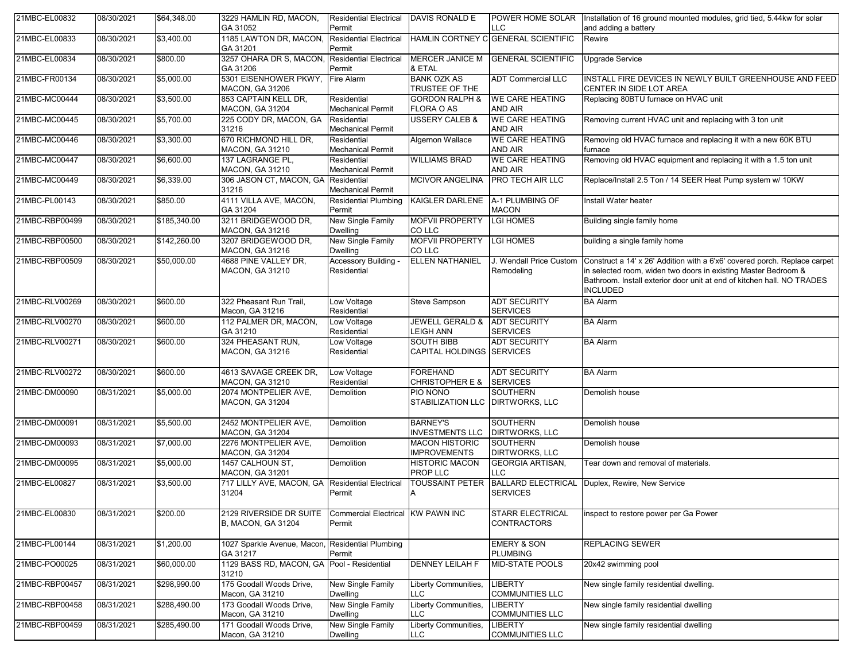| 21MBC-EL00832  | 08/30/2021 | \$64,348.00  | 3229 HAMLIN RD, MACON,<br>GA 31052                       | <b>Residential Electrical</b><br>Permit     | DAVIS RONALD E                                 | <b>LLC</b>                                | POWER HOME SOLAR Installation of 16 ground mounted modules, grid tied, 5.44kw for solar<br>and adding a battery                                                                                                                          |
|----------------|------------|--------------|----------------------------------------------------------|---------------------------------------------|------------------------------------------------|-------------------------------------------|------------------------------------------------------------------------------------------------------------------------------------------------------------------------------------------------------------------------------------------|
| 21MBC-EL00833  | 08/30/2021 | \$3,400.00   | 1185 LAWTON DR, MACON,<br>GA 31201                       | <b>Residential Electrical</b><br>Permit     |                                                | HAMLIN CORTNEY C GENERAL SCIENTIFIC       | Rewire                                                                                                                                                                                                                                   |
| 21MBC-EL00834  | 08/30/2021 | \$800.00     | 3257 OHARA DR S, MACON,<br>GA 31206                      | <b>Residential Electrical</b><br>Permit     | MERCER JANICE M<br>& ETAL                      | <b>GENERAL SCIENTIFIC</b>                 | <b>Upgrade Service</b>                                                                                                                                                                                                                   |
| 21MBC-FR00134  | 08/30/2021 | \$5,000.00   | 5301 EISENHOWER PKWY,<br><b>MACON, GA 31206</b>          | Fire Alarm                                  | <b>BANK OZK AS</b><br>TRUSTEE OF THE           | <b>ADT Commercial LLC</b>                 | INSTALL FIRE DEVICES IN NEWLY BUILT GREENHOUSE AND FEED<br>CENTER IN SIDE LOT AREA                                                                                                                                                       |
| 21MBC-MC00444  | 08/30/2021 | \$3,500.00   | 853 CAPTAIN KELL DR,<br><b>MACON, GA 31204</b>           | Residential<br><b>Mechanical Permit</b>     | <b>GORDON RALPH &amp;</b><br>FLORA O AS        | <b>WE CARE HEATING</b><br>AND AIR         | Replacing 80BTU furnace on HVAC unit                                                                                                                                                                                                     |
| 21MBC-MC00445  | 08/30/2021 | \$5,700.00   | 225 CODY DR, MACON, GA<br>31216                          | Residential<br><b>Mechanical Permit</b>     | <b>USSERY CALEB &amp;</b>                      | <b>WE CARE HEATING</b><br>AND AIR         | Removing current HVAC unit and replacing with 3 ton unit                                                                                                                                                                                 |
| 21MBC-MC00446  | 08/30/2021 | \$3,300.00   | 670 RICHMOND HILL DR,<br>MACON, GA 31210                 | Residential<br><b>Mechanical Permit</b>     | Algernon Wallace                               | <b>WE CARE HEATING</b><br>AND AIR         | Removing old HVAC furnace and replacing it with a new 60K BTU<br>furnace                                                                                                                                                                 |
| 21MBC-MC00447  | 08/30/2021 | \$6,600.00   | 137 LAGRANGE PL.<br><b>MACON, GA 31210</b>               | Residential<br><b>Mechanical Permit</b>     | <b>WILLIAMS BRAD</b>                           | <b>WE CARE HEATING</b><br><b>AND AIR</b>  | Removing old HVAC equipment and replacing it with a 1.5 ton unit                                                                                                                                                                         |
| 21MBC-MC00449  | 08/30/2021 | \$6,339.00   | 306 JASON CT, MACON, GA<br>31216                         | Residential<br>Mechanical Permit            | <b>MCIVOR ANGELINA</b>                         | <b>PRO TECH AIR LLC</b>                   | Replace/Install 2.5 Ton / 14 SEER Heat Pump system w/ 10KW                                                                                                                                                                               |
| 21MBC-PL00143  | 08/30/2021 | \$850.00     | 4111 VILLA AVE, MACON,<br>GA 31204                       | <b>Residential Plumbing</b><br>Permit       | KAIGLER DARLENE                                | A-1 PLUMBING OF<br><b>MACON</b>           | Install Water heater                                                                                                                                                                                                                     |
| 21MBC-RBP00499 | 08/30/2021 | \$185,340.00 | 3211 BRIDGEWOOD DR,<br><b>MACON, GA 31216</b>            | New Single Family<br><b>Dwelling</b>        | MOFVII PROPERTY<br>CO LLC                      | <b>LGI HOMES</b>                          | Building single family home                                                                                                                                                                                                              |
| 21MBC-RBP00500 | 08/30/2021 | \$142,260.00 | 3207 BRIDGEWOOD DR.<br><b>MACON, GA 31216</b>            | New Single Family<br><b>Dwelling</b>        | <b>MOFVII PROPERTY</b><br>CO LLC               | <b>LGI HOMES</b>                          | building a single family home                                                                                                                                                                                                            |
| 21MBC-RBP00509 | 08/30/2021 | \$50,000.00  | 4688 PINE VALLEY DR.<br><b>MACON, GA 31210</b>           | Accessory Building -<br>Residential         | ELLEN NATHANIEL                                | J. Wendall Price Custom<br>Remodeling     | Construct a 14' x 26' Addition with a 6'x6' covered porch. Replace carpet<br>in selected room, widen two doors in existing Master Bedroom &<br>Bathroom. Install exterior door unit at end of kitchen hall. NO TRADES<br><b>INCLUDED</b> |
| 21MBC-RLV00269 | 08/30/2021 | \$600.00     | 322 Pheasant Run Trail,<br>Macon, GA 31216               | Low Voltage<br>Residential                  | <b>Steve Sampson</b>                           | <b>ADT SECURITY</b><br><b>SERVICES</b>    | <b>BA Alarm</b>                                                                                                                                                                                                                          |
| 21MBC-RLV00270 | 08/30/2021 | \$600.00     | 112 PALMER DR, MACON,<br>GA 31210                        | Low Voltage<br>Residential                  | <b>JEWELL GERALD &amp;</b><br><b>LEIGH ANN</b> | <b>ADT SECURITY</b><br><b>SERVICES</b>    | <b>BA Alarm</b>                                                                                                                                                                                                                          |
| 21MBC-RLV00271 | 08/30/2021 | \$600.00     | 324 PHEASANT RUN,<br><b>MACON, GA 31216</b>              | Low Voltage<br>Residential                  | <b>SOUTH BIBB</b><br>CAPITAL HOLDINGS SERVICES | <b>ADT SECURITY</b>                       | <b>BA Alarm</b>                                                                                                                                                                                                                          |
| 21MBC-RLV00272 | 08/30/2021 | \$600.00     | 4613 SAVAGE CREEK DR,<br><b>MACON, GA 31210</b>          | Low Voltage<br>Residential                  | <b>FOREHAND</b><br>CHRISTOPHER E &             | <b>ADT SECURITY</b><br><b>SERVICES</b>    | <b>BA Alarm</b>                                                                                                                                                                                                                          |
| 21MBC-DM00090  | 08/31/2021 | \$5,000.00   | 2074 MONTPELIER AVE,<br><b>MACON, GA 31204</b>           | Demolition                                  | PIO NONO<br>STABILIZATION LLC   DIRTWORKS, LLC | <b>SOUTHERN</b>                           | Demolish house                                                                                                                                                                                                                           |
| 21MBC-DM00091  | 08/31/2021 | \$5,500.00   | 2452 MONTPELIER AVE,<br><b>MACON, GA 31204</b>           | Demolition                                  | <b>BARNEY'S</b><br><b>INVESTMENTS LLC</b>      | <b>SOUTHERN</b><br><b>DIRTWORKS, LLC</b>  | Demolish house                                                                                                                                                                                                                           |
| 21MBC-DM00093  | 08/31/2021 | \$7,000.00   | 2276 MONTPELIER AVE,<br><b>MACON, GA 31204</b>           | Demolition                                  | <b>MACON HISTORIC</b><br><b>IMPROVEMENTS</b>   | SOUTHERN<br><b>DIRTWORKS, LLC</b>         | Demolish house                                                                                                                                                                                                                           |
| 21MBC-DM00095  | 08/31/2021 | \$5,000.00   | 1457 CALHOUN ST,<br><b>MACON, GA 31201</b>               | Demolition                                  | <b>HISTORIC MACON</b><br>PROP LLC              | <b>GEORGIA ARTISAN,</b><br>LLC            | Tear down and removal of materials.                                                                                                                                                                                                      |
| 21MBC-EL00827  | 08/31/2021 | \$3,500.00   | 717 LILLY AVE, MACON, GA Residential Electrical<br>31204 | Permit                                      | <b>TOUSSAINT PETER</b><br>IA.                  | <b>SERVICES</b>                           | BALLARD ELECTRICAL Duplex, Rewire, New Service                                                                                                                                                                                           |
| 21MBC-EL00830  | 08/31/2021 | \$200.00     | 2129 RIVERSIDE DR SUITE<br><b>B. MACON, GA 31204</b>     | Commercial Electrical KW PAWN INC<br>Permit |                                                | STARR ELECTRICAL<br><b>CONTRACTORS</b>    | inspect to restore power per Ga Power                                                                                                                                                                                                    |
| 21MBC-PL00144  | 08/31/2021 | \$1,200.00   | 1027 Sparkle Avenue, Macon,<br>GA 31217                  | <b>Residential Plumbing</b><br>Permit       |                                                | <b>EMERY &amp; SON</b><br><b>PLUMBING</b> | <b>REPLACING SEWER</b>                                                                                                                                                                                                                   |
| 21MBC-PO00025  | 08/31/2021 | \$60,000.00  | 1129 BASS RD, MACON, GA Pool - Residential<br>31210      |                                             | <b>DENNEY LEILAH F</b>                         | <b>MID-STATE POOLS</b>                    | 20x42 swimming pool                                                                                                                                                                                                                      |
| 21MBC-RBP00457 | 08/31/2021 | \$298,990.00 | 175 Goodall Woods Drive,<br>Macon, GA 31210              | New Single Family<br><b>Dwelling</b>        | Liberty Communities,<br><b>LLC</b>             | <b>LIBERTY</b><br><b>COMMUNITIES LLC</b>  | New single family residential dwelling.                                                                                                                                                                                                  |
| 21MBC-RBP00458 | 08/31/2021 | \$288,490.00 | 173 Goodall Woods Drive,<br>Macon, GA 31210              | New Single Family<br><b>Dwelling</b>        | Liberty Communities,<br><b>LLC</b>             | <b>LIBERTY</b><br><b>COMMUNITIES LLC</b>  | New single family residential dwelling                                                                                                                                                                                                   |
| 21MBC-RBP00459 | 08/31/2021 | \$285,490.00 | 171 Goodall Woods Drive,<br>Macon, GA 31210              | New Single Family<br><b>Dwelling</b>        | Liberty Communities,<br><b>LLC</b>             | <b>LIBERTY</b><br><b>COMMUNITIES LLC</b>  | New single family residential dwelling                                                                                                                                                                                                   |